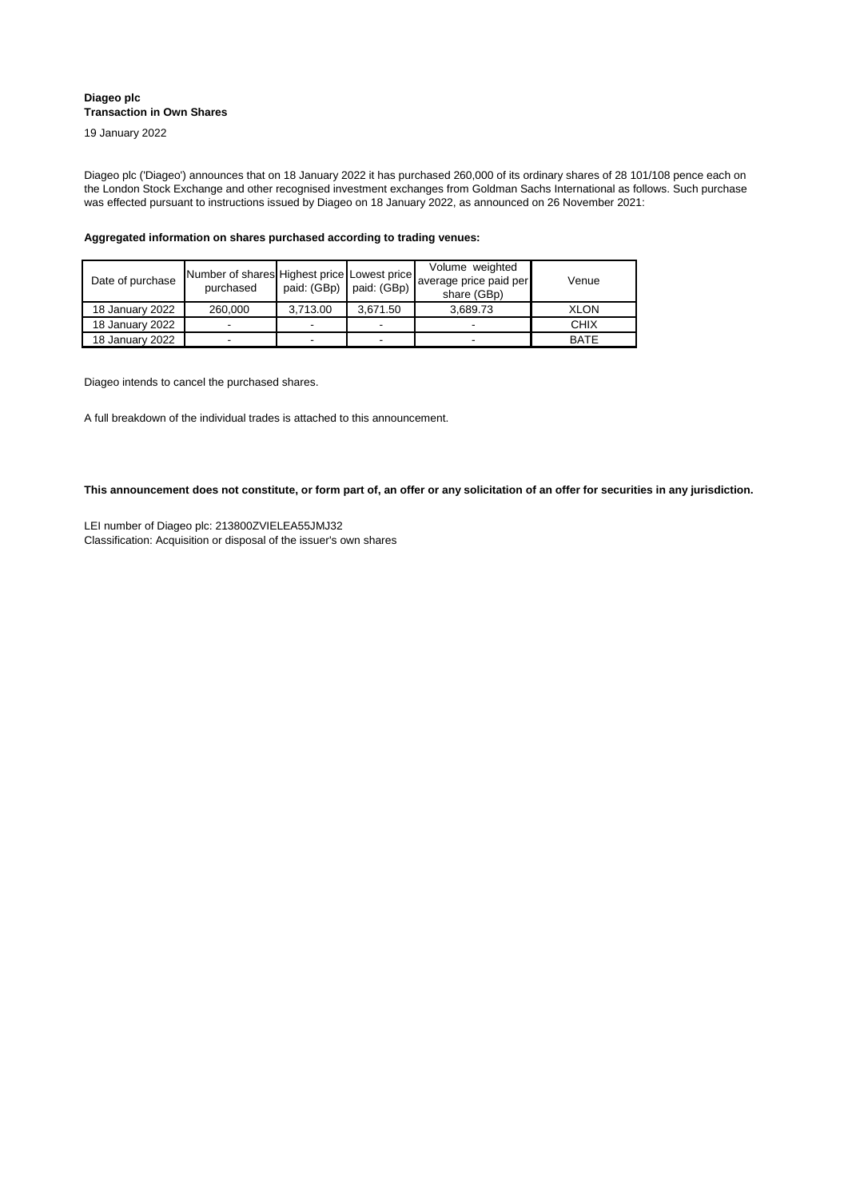| Date of purchase | Number of shares Highest price Lowest price<br>purchased | paid: $(GBp)$ paid: $(GBp)$ |                          | Volume weighted<br>average price paid per<br>share (GBp) | Venue       |
|------------------|----------------------------------------------------------|-----------------------------|--------------------------|----------------------------------------------------------|-------------|
| 18 January 2022  | 260,000                                                  | 3,713.00                    | 3,671.50                 | 3,689.73                                                 | <b>XLON</b> |
| 18 January 2022  |                                                          |                             | -                        |                                                          | <b>CHIX</b> |
| 18 January 2022  |                                                          |                             | $\overline{\phantom{0}}$ |                                                          | <b>BATE</b> |

## **Diageo plc Transaction in Own Shares**

19 January 2022

Diageo plc ('Diageo') announces that on 18 January 2022 it has purchased 260,000 of its ordinary shares of 28 101/108 pence each on the London Stock Exchange and other recognised investment exchanges from Goldman Sachs International as follows. Such purchase was effected pursuant to instructions issued by Diageo on 18 January 2022, as announced on 26 November 2021:

Classification: Acquisition or disposal of the issuer's own shares LEI number of Diageo plc: 213800ZVIELEA55JMJ32

**Aggregated information on shares purchased according to trading venues:**

Diageo intends to cancel the purchased shares.

A full breakdown of the individual trades is attached to this announcement.

**This announcement does not constitute, or form part of, an offer or any solicitation of an offer for securities in any jurisdiction.**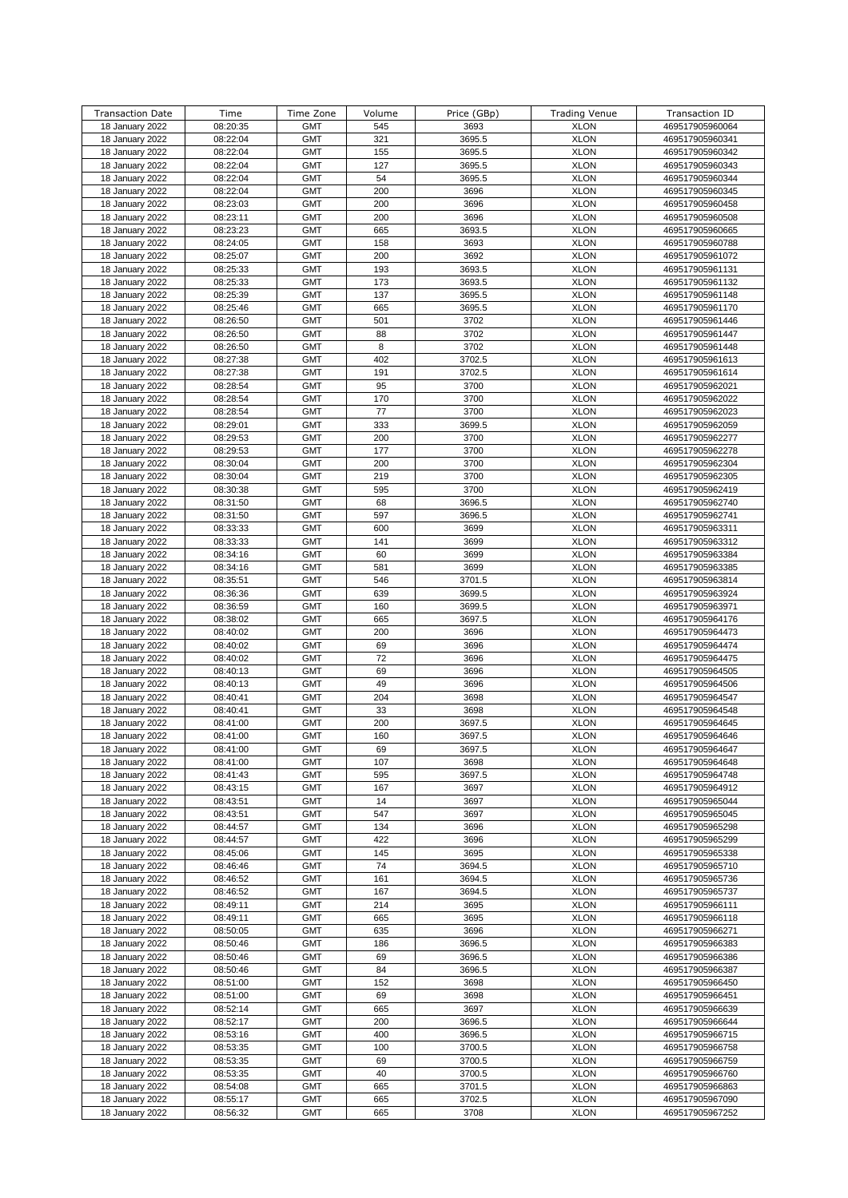| <b>Transaction Date</b> | Time     | Time Zone  | Volume | Price (GBp) | <b>Trading Venue</b> | Transaction ID  |
|-------------------------|----------|------------|--------|-------------|----------------------|-----------------|
|                         | 08:20:35 | <b>GMT</b> | 545    | 3693        | <b>XLON</b>          | 469517905960064 |
| 18 January 2022         |          |            |        |             |                      |                 |
| 18 January 2022         | 08:22:04 | <b>GMT</b> | 321    | 3695.5      | <b>XLON</b>          | 469517905960341 |
| 18 January 2022         | 08:22:04 | <b>GMT</b> | 155    | 3695.5      | <b>XLON</b>          | 469517905960342 |
| 18 January 2022         | 08:22:04 | <b>GMT</b> | 127    | 3695.5      | <b>XLON</b>          | 469517905960343 |
| 18 January 2022         | 08:22:04 | <b>GMT</b> | 54     | 3695.5      | <b>XLON</b>          | 469517905960344 |
| 18 January 2022         | 08:22:04 | <b>GMT</b> | 200    | 3696        | <b>XLON</b>          | 469517905960345 |
| 18 January 2022         | 08:23:03 | <b>GMT</b> | 200    | 3696        | <b>XLON</b>          | 469517905960458 |
| 18 January 2022         | 08:23:11 | <b>GMT</b> | 200    | 3696        | <b>XLON</b>          | 469517905960508 |
| 18 January 2022         | 08:23:23 | <b>GMT</b> | 665    | 3693.5      | <b>XLON</b>          | 469517905960665 |
| 18 January 2022         | 08:24:05 | <b>GMT</b> | 158    | 3693        | <b>XLON</b>          | 469517905960788 |
|                         |          |            |        |             |                      |                 |
| 18 January 2022         | 08:25:07 | <b>GMT</b> | 200    | 3692        | <b>XLON</b>          | 469517905961072 |
| 18 January 2022         | 08:25:33 | <b>GMT</b> | 193    | 3693.5      | <b>XLON</b>          | 469517905961131 |
| 18 January 2022         | 08:25:33 | <b>GMT</b> | 173    | 3693.5      | <b>XLON</b>          | 469517905961132 |
| 18 January 2022         | 08:25:39 | <b>GMT</b> | 137    | 3695.5      | <b>XLON</b>          | 469517905961148 |
| 18 January 2022         | 08:25:46 | <b>GMT</b> | 665    | 3695.5      | <b>XLON</b>          | 469517905961170 |
| 18 January 2022         | 08:26:50 | <b>GMT</b> | 501    | 3702        | <b>XLON</b>          | 469517905961446 |
| 18 January 2022         | 08:26:50 | <b>GMT</b> | 88     | 3702        | <b>XLON</b>          | 469517905961447 |
| 18 January 2022         | 08:26:50 | <b>GMT</b> | 8      | 3702        | <b>XLON</b>          | 469517905961448 |
| 18 January 2022         | 08:27:38 | <b>GMT</b> | 402    | 3702.5      | <b>XLON</b>          | 469517905961613 |
| 18 January 2022         | 08:27:38 | <b>GMT</b> | 191    | 3702.5      | <b>XLON</b>          | 469517905961614 |
| 18 January 2022         | 08:28:54 | <b>GMT</b> | 95     | 3700        | <b>XLON</b>          | 469517905962021 |
|                         |          |            |        |             |                      |                 |
| 18 January 2022         | 08:28:54 | <b>GMT</b> | 170    | 3700        | <b>XLON</b>          | 469517905962022 |
| 18 January 2022         | 08:28:54 | <b>GMT</b> | 77     | 3700        | <b>XLON</b>          | 469517905962023 |
| 18 January 2022         | 08:29:01 | <b>GMT</b> | 333    | 3699.5      | <b>XLON</b>          | 469517905962059 |
| 18 January 2022         | 08:29:53 | <b>GMT</b> | 200    | 3700        | <b>XLON</b>          | 469517905962277 |
| 18 January 2022         | 08:29:53 | <b>GMT</b> | 177    | 3700        | <b>XLON</b>          | 469517905962278 |
| 18 January 2022         | 08:30:04 | <b>GMT</b> | 200    | 3700        | <b>XLON</b>          | 469517905962304 |
| 18 January 2022         | 08:30:04 | <b>GMT</b> | 219    | 3700        | <b>XLON</b>          | 469517905962305 |
| 18 January 2022         | 08:30:38 | <b>GMT</b> | 595    | 3700        | <b>XLON</b>          | 469517905962419 |
| 18 January 2022         | 08:31:50 | <b>GMT</b> | 68     | 3696.5      | <b>XLON</b>          | 469517905962740 |
| 18 January 2022         | 08:31:50 | <b>GMT</b> | 597    | 3696.5      | <b>XLON</b>          | 469517905962741 |
| 18 January 2022         | 08:33:33 | <b>GMT</b> | 600    | 3699        | <b>XLON</b>          | 469517905963311 |
| 18 January 2022         | 08:33:33 | <b>GMT</b> | 141    | 3699        | <b>XLON</b>          | 469517905963312 |
|                         |          |            |        |             |                      |                 |
| 18 January 2022         | 08:34:16 | <b>GMT</b> | 60     | 3699        | <b>XLON</b>          | 469517905963384 |
| 18 January 2022         | 08:34:16 | <b>GMT</b> | 581    | 3699        | <b>XLON</b>          | 469517905963385 |
| 18 January 2022         | 08:35:51 | <b>GMT</b> | 546    | 3701.5      | <b>XLON</b>          | 469517905963814 |
| 18 January 2022         | 08:36:36 | <b>GMT</b> | 639    | 3699.5      | <b>XLON</b>          | 469517905963924 |
| 18 January 2022         | 08:36:59 | <b>GMT</b> | 160    | 3699.5      | <b>XLON</b>          | 469517905963971 |
| 18 January 2022         | 08:38:02 | <b>GMT</b> | 665    | 3697.5      | <b>XLON</b>          | 469517905964176 |
| 18 January 2022         | 08:40:02 | <b>GMT</b> | 200    | 3696        | <b>XLON</b>          | 469517905964473 |
| 18 January 2022         | 08:40:02 | <b>GMT</b> | 69     | 3696        | <b>XLON</b>          | 469517905964474 |
| 18 January 2022         | 08:40:02 | <b>GMT</b> | 72     | 3696        | <b>XLON</b>          | 469517905964475 |
| 18 January 2022         | 08:40:13 | <b>GMT</b> | 69     | 3696        | <b>XLON</b>          | 469517905964505 |
| 18 January 2022         | 08:40:13 | <b>GMT</b> | 49     | 3696        | <b>XLON</b>          | 469517905964506 |
| 18 January 2022         | 08:40:41 | <b>GMT</b> | 204    | 3698        | <b>XLON</b>          | 469517905964547 |
| 18 January 2022         | 08:40:41 | <b>GMT</b> | 33     | 3698        | <b>XLON</b>          | 469517905964548 |
|                         |          |            |        |             |                      |                 |
| 18 January 2022         | 08:41:00 | <b>GMT</b> | 200    | 3697.5      | <b>XLON</b>          | 469517905964645 |
| 18 January 2022         | 08:41:00 | <b>GMT</b> | 160    | 3697.5      | <b>XLON</b>          | 469517905964646 |
| 18 January 2022         | 08:41:00 | <b>GMT</b> | 69     | 3697.5      | <b>XLON</b>          | 469517905964647 |
| 18 January 2022         | 08:41:00 | <b>GMT</b> | 107    | 3698        | <b>XLON</b>          | 469517905964648 |
| 18 January 2022         | 08:41:43 | <b>GMT</b> | 595    | 3697.5      | <b>XLON</b>          | 469517905964748 |
| 18 January 2022         | 08:43:15 | <b>GMT</b> | 167    | 3697        | <b>XLON</b>          | 469517905964912 |
| 18 January 2022         | 08:43:51 | <b>GMT</b> | 14     | 3697        | <b>XLON</b>          | 469517905965044 |
| 18 January 2022         | 08:43:51 | <b>GMT</b> | 547    | 3697        | <b>XLON</b>          | 469517905965045 |
| 18 January 2022         | 08:44:57 | <b>GMT</b> | 134    | 3696        | <b>XLON</b>          | 469517905965298 |
| 18 January 2022         | 08:44:57 | <b>GMT</b> | 422    | 3696        | <b>XLON</b>          | 469517905965299 |
| 18 January 2022         | 08:45:06 | <b>GMT</b> | 145    | 3695        | <b>XLON</b>          | 469517905965338 |
| 18 January 2022         | 08:46:46 | <b>GMT</b> | 74     | 3694.5      | <b>XLON</b>          | 469517905965710 |
| 18 January 2022         | 08:46:52 | <b>GMT</b> | 161    | 3694.5      | <b>XLON</b>          |                 |
|                         |          |            |        |             |                      | 469517905965736 |
| 18 January 2022         | 08:46:52 | <b>GMT</b> | 167    | 3694.5      | <b>XLON</b>          | 469517905965737 |
| 18 January 2022         | 08:49:11 | <b>GMT</b> | 214    | 3695        | <b>XLON</b>          | 469517905966111 |
| 18 January 2022         | 08:49:11 | <b>GMT</b> | 665    | 3695        | <b>XLON</b>          | 469517905966118 |
| 18 January 2022         | 08:50:05 | <b>GMT</b> | 635    | 3696        | <b>XLON</b>          | 469517905966271 |
| 18 January 2022         | 08:50:46 | <b>GMT</b> | 186    | 3696.5      | <b>XLON</b>          | 469517905966383 |
| 18 January 2022         | 08:50:46 | <b>GMT</b> | 69     | 3696.5      | <b>XLON</b>          | 469517905966386 |
| 18 January 2022         | 08:50:46 | <b>GMT</b> | 84     | 3696.5      | <b>XLON</b>          | 469517905966387 |
| 18 January 2022         | 08:51:00 | <b>GMT</b> | 152    | 3698        | <b>XLON</b>          | 469517905966450 |
| 18 January 2022         | 08:51:00 | <b>GMT</b> | 69     | 3698        | <b>XLON</b>          | 469517905966451 |
| 18 January 2022         | 08:52:14 | <b>GMT</b> | 665    | 3697        | <b>XLON</b>          | 469517905966639 |
| 18 January 2022         | 08:52:17 | <b>GMT</b> | 200    | 3696.5      | <b>XLON</b>          | 469517905966644 |
| 18 January 2022         | 08:53:16 | <b>GMT</b> | 400    | 3696.5      | <b>XLON</b>          | 469517905966715 |
| 18 January 2022         | 08:53:35 | <b>GMT</b> | 100    | 3700.5      | <b>XLON</b>          | 469517905966758 |
|                         |          |            |        |             | <b>XLON</b>          |                 |
| 18 January 2022         | 08:53:35 | <b>GMT</b> | 69     | 3700.5      |                      | 469517905966759 |
| 18 January 2022         | 08:53:35 | <b>GMT</b> | 40     | 3700.5      | <b>XLON</b>          | 469517905966760 |
| 18 January 2022         | 08:54:08 | <b>GMT</b> | 665    | 3701.5      | <b>XLON</b>          | 469517905966863 |
| 18 January 2022         | 08:55:17 | <b>GMT</b> | 665    | 3702.5      | <b>XLON</b>          | 469517905967090 |
| 18 January 2022         | 08:56:32 | <b>GMT</b> | 665    | 3708        | <b>XLON</b>          | 469517905967252 |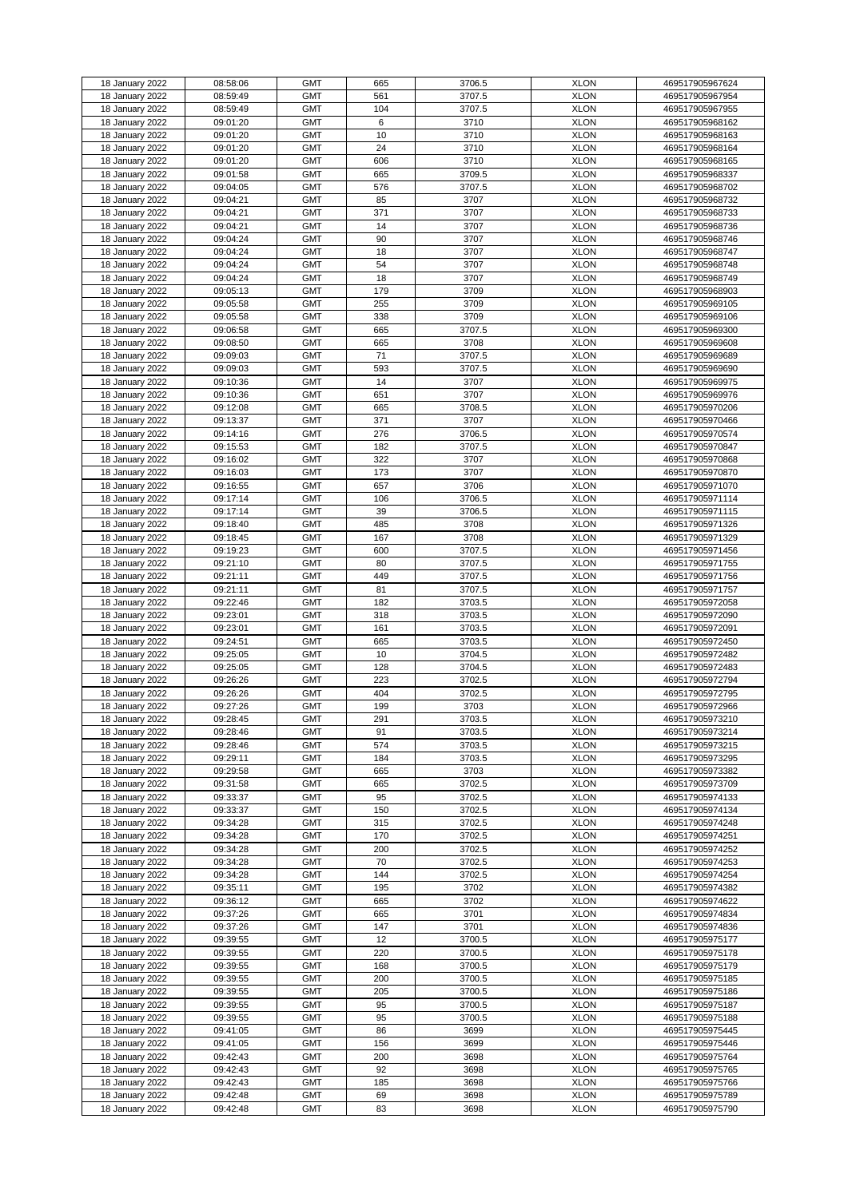| 18 January 2022 | 08:58:06 | <b>GMT</b> | 665 | 3706.5 | <b>XLON</b> | 469517905967624 |
|-----------------|----------|------------|-----|--------|-------------|-----------------|
| 18 January 2022 | 08:59:49 | <b>GMT</b> | 561 | 3707.5 | <b>XLON</b> | 469517905967954 |
| 18 January 2022 | 08:59:49 | <b>GMT</b> | 104 | 3707.5 | <b>XLON</b> | 469517905967955 |
|                 |          | <b>GMT</b> |     |        | <b>XLON</b> |                 |
| 18 January 2022 | 09:01:20 |            | 6   | 3710   |             | 469517905968162 |
| 18 January 2022 | 09:01:20 | <b>GMT</b> | 10  | 3710   | <b>XLON</b> | 469517905968163 |
| 18 January 2022 | 09:01:20 | <b>GMT</b> | 24  | 3710   | <b>XLON</b> | 469517905968164 |
| 18 January 2022 | 09:01:20 | <b>GMT</b> | 606 | 3710   | <b>XLON</b> | 469517905968165 |
|                 |          |            |     |        |             |                 |
| 18 January 2022 | 09:01:58 | <b>GMT</b> | 665 | 3709.5 | <b>XLON</b> | 469517905968337 |
| 18 January 2022 | 09:04:05 | <b>GMT</b> | 576 | 3707.5 | <b>XLON</b> | 469517905968702 |
| 18 January 2022 | 09:04:21 | <b>GMT</b> | 85  | 3707   | <b>XLON</b> | 469517905968732 |
| 18 January 2022 | 09:04:21 | <b>GMT</b> | 371 | 3707   | <b>XLON</b> | 469517905968733 |
|                 |          |            |     |        |             |                 |
| 18 January 2022 | 09:04:21 | <b>GMT</b> | 14  | 3707   | <b>XLON</b> | 469517905968736 |
| 18 January 2022 | 09:04:24 | <b>GMT</b> | 90  | 3707   | <b>XLON</b> | 469517905968746 |
| 18 January 2022 | 09:04:24 | <b>GMT</b> | 18  | 3707   | <b>XLON</b> | 469517905968747 |
| 18 January 2022 | 09:04:24 | <b>GMT</b> | 54  | 3707   | <b>XLON</b> | 469517905968748 |
|                 |          | <b>GMT</b> | 18  |        |             |                 |
| 18 January 2022 | 09:04:24 |            |     | 3707   | <b>XLON</b> | 469517905968749 |
| 18 January 2022 | 09:05:13 | <b>GMT</b> | 179 | 3709   | <b>XLON</b> | 469517905968903 |
| 18 January 2022 | 09:05:58 | <b>GMT</b> | 255 | 3709   | <b>XLON</b> | 469517905969105 |
| 18 January 2022 | 09:05:58 | <b>GMT</b> | 338 | 3709   | <b>XLON</b> | 469517905969106 |
| 18 January 2022 | 09:06:58 | <b>GMT</b> | 665 | 3707.5 | <b>XLON</b> | 469517905969300 |
|                 |          |            |     |        |             |                 |
| 18 January 2022 | 09:08:50 | <b>GMT</b> | 665 | 3708   | <b>XLON</b> | 469517905969608 |
| 18 January 2022 | 09:09:03 | <b>GMT</b> | 71  | 3707.5 | <b>XLON</b> | 469517905969689 |
| 18 January 2022 | 09:09:03 | <b>GMT</b> | 593 | 3707.5 | <b>XLON</b> | 469517905969690 |
| 18 January 2022 | 09:10:36 | <b>GMT</b> | 14  | 3707   | <b>XLON</b> | 469517905969975 |
|                 |          |            |     |        |             |                 |
| 18 January 2022 | 09:10:36 | <b>GMT</b> | 651 | 3707   | <b>XLON</b> | 469517905969976 |
| 18 January 2022 | 09:12:08 | <b>GMT</b> | 665 | 3708.5 | <b>XLON</b> | 469517905970206 |
| 18 January 2022 | 09:13:37 | <b>GMT</b> | 371 | 3707   | <b>XLON</b> | 469517905970466 |
| 18 January 2022 | 09:14:16 | <b>GMT</b> | 276 | 3706.5 | <b>XLON</b> | 469517905970574 |
|                 |          |            |     |        |             |                 |
| 18 January 2022 | 09:15:53 | <b>GMT</b> | 182 | 3707.5 | <b>XLON</b> | 469517905970847 |
| 18 January 2022 | 09:16:02 | <b>GMT</b> | 322 | 3707   | <b>XLON</b> | 469517905970868 |
| 18 January 2022 | 09:16:03 | <b>GMT</b> | 173 | 3707   | <b>XLON</b> | 469517905970870 |
| 18 January 2022 | 09:16:55 | <b>GMT</b> | 657 | 3706   | <b>XLON</b> | 469517905971070 |
|                 |          |            |     |        |             |                 |
| 18 January 2022 | 09:17:14 | <b>GMT</b> | 106 | 3706.5 | <b>XLON</b> | 469517905971114 |
| 18 January 2022 | 09:17:14 | <b>GMT</b> | 39  | 3706.5 | <b>XLON</b> | 469517905971115 |
| 18 January 2022 | 09:18:40 | <b>GMT</b> | 485 | 3708   | <b>XLON</b> | 469517905971326 |
| 18 January 2022 | 09:18:45 | <b>GMT</b> | 167 | 3708   | <b>XLON</b> | 469517905971329 |
|                 |          |            |     |        |             |                 |
| 18 January 2022 | 09:19:23 | <b>GMT</b> | 600 | 3707.5 | <b>XLON</b> | 469517905971456 |
| 18 January 2022 | 09:21:10 | <b>GMT</b> | 80  | 3707.5 | <b>XLON</b> | 469517905971755 |
| 18 January 2022 | 09:21:11 | <b>GMT</b> | 449 | 3707.5 | <b>XLON</b> | 469517905971756 |
| 18 January 2022 | 09:21:11 | <b>GMT</b> | 81  | 3707.5 | <b>XLON</b> | 469517905971757 |
|                 |          |            |     |        |             |                 |
| 18 January 2022 | 09:22:46 | <b>GMT</b> | 182 | 3703.5 | <b>XLON</b> | 469517905972058 |
| 18 January 2022 | 09:23:01 | <b>GMT</b> | 318 | 3703.5 | <b>XLON</b> | 469517905972090 |
| 18 January 2022 | 09:23:01 | <b>GMT</b> | 161 | 3703.5 | <b>XLON</b> | 469517905972091 |
| 18 January 2022 | 09:24:51 | <b>GMT</b> | 665 | 3703.5 | <b>XLON</b> | 469517905972450 |
|                 |          |            |     |        |             |                 |
| 18 January 2022 | 09:25:05 | <b>GMT</b> | 10  | 3704.5 | <b>XLON</b> | 469517905972482 |
| 18 January 2022 | 09:25:05 | <b>GMT</b> | 128 | 3704.5 | <b>XLON</b> | 469517905972483 |
| 18 January 2022 | 09:26:26 | <b>GMT</b> | 223 | 3702.5 | <b>XLON</b> | 469517905972794 |
| 18 January 2022 | 09:26:26 | <b>GMT</b> | 404 | 3702.5 | <b>XLON</b> | 469517905972795 |
|                 |          |            |     |        |             |                 |
| 18 January 2022 | 09:27:26 | <b>GMT</b> | 199 | 3703   | <b>XLON</b> | 469517905972966 |
| 18 January 2022 | 09:28:45 | <b>GMT</b> | 291 | 3703.5 | <b>XLON</b> | 469517905973210 |
| 18 January 2022 | 09:28:46 | <b>GMT</b> | 91  | 3703.5 | <b>XLON</b> | 469517905973214 |
| 18 January 2022 | 09:28:46 | <b>GMT</b> | 574 | 3703.5 | <b>XLON</b> | 469517905973215 |
| 18 January 2022 | 09:29:11 | <b>GMT</b> | 184 | 3703.5 | <b>XLON</b> | 469517905973295 |
|                 |          |            |     |        |             |                 |
| 18 January 2022 | 09:29:58 | <b>GMT</b> | 665 | 3703   | <b>XLON</b> | 469517905973382 |
| 18 January 2022 | 09:31:58 | <b>GMT</b> | 665 | 3702.5 | <b>XLON</b> | 469517905973709 |
| 18 January 2022 | 09:33:37 | <b>GMT</b> | 95  | 3702.5 | <b>XLON</b> | 469517905974133 |
| 18 January 2022 | 09:33:37 | <b>GMT</b> | 150 | 3702.5 | <b>XLON</b> | 469517905974134 |
|                 |          |            |     |        |             |                 |
| 18 January 2022 | 09:34:28 | <b>GMT</b> | 315 | 3702.5 | <b>XLON</b> | 469517905974248 |
| 18 January 2022 | 09:34:28 | <b>GMT</b> | 170 | 3702.5 | <b>XLON</b> | 469517905974251 |
| 18 January 2022 | 09:34:28 | <b>GMT</b> | 200 | 3702.5 | <b>XLON</b> | 469517905974252 |
| 18 January 2022 | 09:34:28 | <b>GMT</b> | 70  | 3702.5 | <b>XLON</b> | 469517905974253 |
| 18 January 2022 | 09:34:28 | <b>GMT</b> | 144 | 3702.5 | <b>XLON</b> | 469517905974254 |
|                 |          |            |     |        |             |                 |
| 18 January 2022 | 09:35:11 | <b>GMT</b> | 195 | 3702   | <b>XLON</b> | 469517905974382 |
| 18 January 2022 | 09:36:12 | <b>GMT</b> | 665 | 3702   | <b>XLON</b> | 469517905974622 |
| 18 January 2022 | 09:37:26 | <b>GMT</b> | 665 | 3701   | <b>XLON</b> | 469517905974834 |
| 18 January 2022 | 09:37:26 | <b>GMT</b> | 147 | 3701   | <b>XLON</b> | 469517905974836 |
|                 |          |            |     |        |             |                 |
| 18 January 2022 | 09:39:55 | <b>GMT</b> | 12  | 3700.5 | <b>XLON</b> | 469517905975177 |
| 18 January 2022 | 09:39:55 | <b>GMT</b> | 220 | 3700.5 | <b>XLON</b> | 469517905975178 |
| 18 January 2022 | 09:39:55 | <b>GMT</b> | 168 | 3700.5 | <b>XLON</b> | 469517905975179 |
| 18 January 2022 | 09:39:55 | <b>GMT</b> | 200 | 3700.5 | <b>XLON</b> | 469517905975185 |
|                 |          |            |     |        |             |                 |
| 18 January 2022 | 09:39:55 | <b>GMT</b> | 205 | 3700.5 | <b>XLON</b> | 469517905975186 |
| 18 January 2022 | 09:39:55 | <b>GMT</b> | 95  | 3700.5 | <b>XLON</b> | 469517905975187 |
| 18 January 2022 | 09:39:55 | <b>GMT</b> | 95  | 3700.5 | <b>XLON</b> | 469517905975188 |
| 18 January 2022 | 09:41:05 | <b>GMT</b> | 86  | 3699   | <b>XLON</b> | 469517905975445 |
|                 |          |            |     |        |             |                 |
| 18 January 2022 | 09:41:05 | <b>GMT</b> | 156 | 3699   | <b>XLON</b> | 469517905975446 |
| 18 January 2022 | 09:42:43 | <b>GMT</b> | 200 | 3698   | <b>XLON</b> | 469517905975764 |
| 18 January 2022 | 09:42:43 | <b>GMT</b> | 92  | 3698   | <b>XLON</b> | 469517905975765 |
| 18 January 2022 | 09:42:43 | <b>GMT</b> | 185 | 3698   | <b>XLON</b> | 469517905975766 |
| 18 January 2022 | 09:42:48 | <b>GMT</b> | 69  | 3698   | <b>XLON</b> | 469517905975789 |
|                 |          |            |     |        |             |                 |
| 18 January 2022 | 09:42:48 | <b>GMT</b> | 83  | 3698   | <b>XLON</b> | 469517905975790 |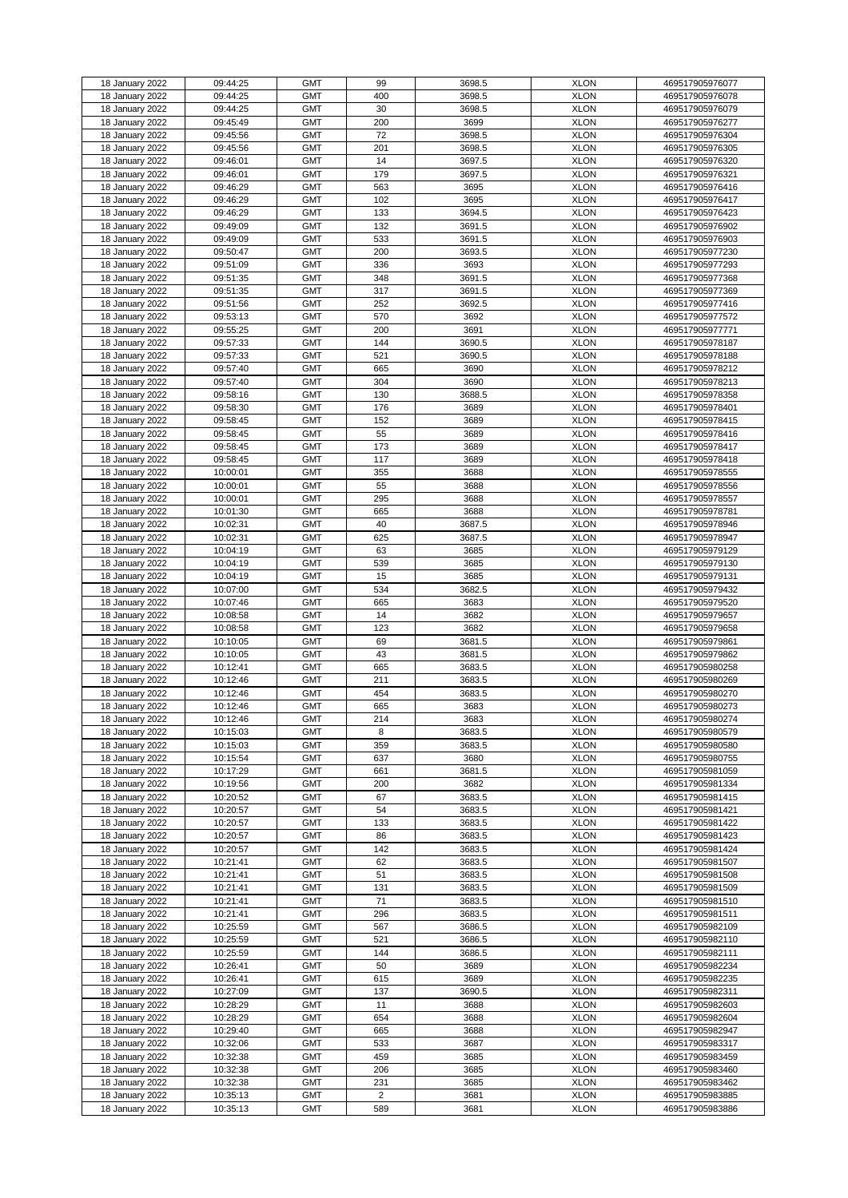| 18 January 2022 | 09:44:25 | <b>GMT</b> | 99             | 3698.5 | <b>XLON</b> | 469517905976077 |
|-----------------|----------|------------|----------------|--------|-------------|-----------------|
| 18 January 2022 | 09:44:25 | <b>GMT</b> | 400            | 3698.5 | <b>XLON</b> | 469517905976078 |
|                 |          |            |                |        |             |                 |
| 18 January 2022 | 09:44:25 | <b>GMT</b> | 30             | 3698.5 | <b>XLON</b> | 469517905976079 |
| 18 January 2022 | 09:45:49 | <b>GMT</b> | 200            | 3699   | <b>XLON</b> | 469517905976277 |
| 18 January 2022 | 09:45:56 | <b>GMT</b> | 72             | 3698.5 | <b>XLON</b> | 469517905976304 |
|                 |          |            |                |        |             |                 |
| 18 January 2022 | 09:45:56 | <b>GMT</b> | 201            | 3698.5 | <b>XLON</b> | 469517905976305 |
| 18 January 2022 | 09:46:01 | <b>GMT</b> | 14             | 3697.5 | <b>XLON</b> | 469517905976320 |
| 18 January 2022 | 09:46:01 | <b>GMT</b> | 179            | 3697.5 | <b>XLON</b> | 469517905976321 |
|                 |          |            |                |        |             |                 |
| 18 January 2022 | 09:46:29 | <b>GMT</b> | 563            | 3695   | <b>XLON</b> | 469517905976416 |
| 18 January 2022 | 09:46:29 | <b>GMT</b> | 102            | 3695   | <b>XLON</b> | 469517905976417 |
|                 |          |            |                |        |             |                 |
| 18 January 2022 | 09:46:29 | <b>GMT</b> | 133            | 3694.5 | <b>XLON</b> | 469517905976423 |
| 18 January 2022 | 09:49:09 | <b>GMT</b> | 132            | 3691.5 | <b>XLON</b> | 469517905976902 |
| 18 January 2022 | 09:49:09 | <b>GMT</b> | 533            | 3691.5 | <b>XLON</b> | 469517905976903 |
|                 |          |            |                |        |             |                 |
| 18 January 2022 | 09:50:47 | <b>GMT</b> | 200            | 3693.5 | <b>XLON</b> | 469517905977230 |
| 18 January 2022 | 09:51:09 | <b>GMT</b> | 336            | 3693   | <b>XLON</b> | 469517905977293 |
| 18 January 2022 | 09:51:35 | <b>GMT</b> | 348            | 3691.5 | <b>XLON</b> | 469517905977368 |
|                 |          |            |                |        |             |                 |
| 18 January 2022 | 09:51:35 | <b>GMT</b> | 317            | 3691.5 | <b>XLON</b> | 469517905977369 |
| 18 January 2022 | 09:51:56 | <b>GMT</b> | 252            | 3692.5 | <b>XLON</b> | 469517905977416 |
|                 |          |            |                |        |             | 469517905977572 |
| 18 January 2022 | 09:53:13 | <b>GMT</b> | 570            | 3692   | <b>XLON</b> |                 |
| 18 January 2022 | 09:55:25 | <b>GMT</b> | 200            | 3691   | <b>XLON</b> | 469517905977771 |
| 18 January 2022 | 09:57:33 | <b>GMT</b> | 144            | 3690.5 | <b>XLON</b> | 469517905978187 |
|                 |          |            |                |        |             |                 |
| 18 January 2022 | 09:57:33 | <b>GMT</b> | 521            | 3690.5 | <b>XLON</b> | 469517905978188 |
| 18 January 2022 | 09:57:40 | <b>GMT</b> | 665            | 3690   | <b>XLON</b> | 469517905978212 |
|                 |          | <b>GMT</b> | 304            | 3690   | <b>XLON</b> |                 |
| 18 January 2022 | 09:57:40 |            |                |        |             | 469517905978213 |
| 18 January 2022 | 09:58:16 | <b>GMT</b> | 130            | 3688.5 | <b>XLON</b> | 469517905978358 |
| 18 January 2022 | 09:58:30 | <b>GMT</b> | 176            | 3689   | <b>XLON</b> | 469517905978401 |
|                 |          |            |                |        |             |                 |
| 18 January 2022 | 09:58:45 | <b>GMT</b> | 152            | 3689   | <b>XLON</b> | 469517905978415 |
| 18 January 2022 | 09:58:45 | <b>GMT</b> | 55             | 3689   | <b>XLON</b> | 469517905978416 |
| 18 January 2022 | 09:58:45 | <b>GMT</b> | 173            | 3689   | <b>XLON</b> | 469517905978417 |
|                 |          |            |                |        |             |                 |
| 18 January 2022 | 09:58:45 | <b>GMT</b> | 117            | 3689   | <b>XLON</b> | 469517905978418 |
| 18 January 2022 | 10:00:01 | <b>GMT</b> | 355            | 3688   | <b>XLON</b> | 469517905978555 |
|                 |          |            |                |        |             |                 |
| 18 January 2022 | 10:00:01 | <b>GMT</b> | 55             | 3688   | <b>XLON</b> | 469517905978556 |
| 18 January 2022 | 10:00:01 | <b>GMT</b> | 295            | 3688   | <b>XLON</b> | 469517905978557 |
| 18 January 2022 | 10:01:30 | <b>GMT</b> | 665            | 3688   | <b>XLON</b> | 469517905978781 |
|                 |          |            |                |        |             |                 |
| 18 January 2022 | 10:02:31 | <b>GMT</b> | 40             | 3687.5 | <b>XLON</b> | 469517905978946 |
| 18 January 2022 | 10:02:31 | <b>GMT</b> | 625            | 3687.5 | <b>XLON</b> | 469517905978947 |
|                 |          |            |                |        |             |                 |
| 18 January 2022 | 10:04:19 | <b>GMT</b> | 63             | 3685   | <b>XLON</b> | 469517905979129 |
| 18 January 2022 | 10:04:19 | <b>GMT</b> | 539            | 3685   | <b>XLON</b> | 469517905979130 |
| 18 January 2022 | 10:04:19 | <b>GMT</b> | 15             | 3685   | <b>XLON</b> | 469517905979131 |
|                 |          |            |                |        |             |                 |
| 18 January 2022 | 10:07:00 | <b>GMT</b> | 534            | 3682.5 | <b>XLON</b> | 469517905979432 |
| 18 January 2022 | 10:07:46 | <b>GMT</b> | 665            | 3683   | <b>XLON</b> | 469517905979520 |
|                 |          |            |                |        |             |                 |
| 18 January 2022 | 10:08:58 | <b>GMT</b> | 14             | 3682   | <b>XLON</b> | 469517905979657 |
| 18 January 2022 | 10:08:58 | <b>GMT</b> | 123            | 3682   | <b>XLON</b> | 469517905979658 |
| 18 January 2022 | 10:10:05 | <b>GMT</b> | 69             | 3681.5 | <b>XLON</b> | 469517905979861 |
|                 |          |            |                |        |             |                 |
| 18 January 2022 | 10:10:05 | <b>GMT</b> | 43             | 3681.5 | <b>XLON</b> | 469517905979862 |
| 18 January 2022 | 10:12:41 | <b>GMT</b> | 665            | 3683.5 | <b>XLON</b> | 469517905980258 |
|                 |          |            |                |        |             |                 |
| 18 January 2022 | 10:12:46 | <b>GMT</b> | 211            | 3683.5 | <b>XLON</b> | 469517905980269 |
| 18 January 2022 | 10:12:46 | <b>GMT</b> | 454            | 3683.5 | <b>XLON</b> | 469517905980270 |
| 18 January 2022 | 10:12:46 | <b>GMT</b> | 665            | 3683   | <b>XLON</b> | 469517905980273 |
|                 |          |            |                |        |             |                 |
| 18 January 2022 | 10:12:46 | <b>GMT</b> | 214            | 3683   | <b>XLON</b> | 469517905980274 |
| 18 January 2022 | 10:15:03 | <b>GMT</b> | 8              | 3683.5 | <b>XLON</b> | 469517905980579 |
|                 |          | <b>GMT</b> | 359            |        | <b>XLON</b> |                 |
| 18 January 2022 | 10:15:03 |            |                | 3683.5 |             | 469517905980580 |
| 18 January 2022 | 10:15:54 | <b>GMT</b> | 637            | 3680   | <b>XLON</b> | 469517905980755 |
| 18 January 2022 | 10:17:29 | <b>GMT</b> | 661            | 3681.5 | <b>XLON</b> | 469517905981059 |
|                 |          |            |                |        |             |                 |
| 18 January 2022 | 10:19:56 | <b>GMT</b> | 200            | 3682   | <b>XLON</b> | 469517905981334 |
| 18 January 2022 | 10:20:52 | <b>GMT</b> | 67             | 3683.5 | <b>XLON</b> | 469517905981415 |
| 18 January 2022 | 10:20:57 | <b>GMT</b> | 54             | 3683.5 | <b>XLON</b> | 469517905981421 |
|                 |          |            |                |        |             |                 |
| 18 January 2022 | 10:20:57 | <b>GMT</b> | 133            | 3683.5 | <b>XLON</b> | 469517905981422 |
| 18 January 2022 | 10:20:57 | <b>GMT</b> | 86             | 3683.5 | <b>XLON</b> | 469517905981423 |
| 18 January 2022 | 10:20:57 | <b>GMT</b> | 142            | 3683.5 | <b>XLON</b> | 469517905981424 |
|                 |          |            |                |        |             |                 |
| 18 January 2022 | 10:21:41 | <b>GMT</b> | 62             | 3683.5 | <b>XLON</b> | 469517905981507 |
| 18 January 2022 | 10:21:41 | <b>GMT</b> | 51             | 3683.5 | <b>XLON</b> | 469517905981508 |
| 18 January 2022 | 10:21:41 | <b>GMT</b> | 131            | 3683.5 | <b>XLON</b> | 469517905981509 |
|                 |          |            |                |        |             |                 |
| 18 January 2022 | 10:21:41 | <b>GMT</b> | 71             | 3683.5 | <b>XLON</b> | 469517905981510 |
| 18 January 2022 | 10:21:41 | <b>GMT</b> | 296            | 3683.5 | <b>XLON</b> | 469517905981511 |
|                 |          |            |                |        |             |                 |
| 18 January 2022 | 10:25:59 | <b>GMT</b> | 567            | 3686.5 | <b>XLON</b> | 469517905982109 |
| 18 January 2022 | 10:25:59 | <b>GMT</b> | 521            | 3686.5 | <b>XLON</b> | 469517905982110 |
| 18 January 2022 | 10:25:59 | <b>GMT</b> | 144            | 3686.5 | <b>XLON</b> | 469517905982111 |
|                 |          |            |                |        |             |                 |
| 18 January 2022 | 10:26:41 | <b>GMT</b> | 50             | 3689   | <b>XLON</b> | 469517905982234 |
| 18 January 2022 | 10:26:41 | <b>GMT</b> | 615            | 3689   | <b>XLON</b> | 469517905982235 |
|                 |          |            |                |        |             | 469517905982311 |
| 18 January 2022 | 10:27:09 | <b>GMT</b> | 137            | 3690.5 | <b>XLON</b> |                 |
| 18 January 2022 | 10:28:29 | <b>GMT</b> | 11             | 3688   | <b>XLON</b> | 469517905982603 |
| 18 January 2022 | 10:28:29 | <b>GMT</b> | 654            | 3688   | <b>XLON</b> | 469517905982604 |
|                 |          |            |                |        |             |                 |
| 18 January 2022 | 10:29:40 | <b>GMT</b> | 665            | 3688   | <b>XLON</b> | 469517905982947 |
| 18 January 2022 | 10:32:06 | <b>GMT</b> | 533            | 3687   | <b>XLON</b> | 469517905983317 |
| 18 January 2022 | 10:32:38 | <b>GMT</b> | 459            | 3685   | <b>XLON</b> | 469517905983459 |
|                 |          |            |                |        |             |                 |
| 18 January 2022 | 10:32:38 | <b>GMT</b> | 206            | 3685   | <b>XLON</b> | 469517905983460 |
| 18 January 2022 | 10:32:38 | <b>GMT</b> | 231            | 3685   | <b>XLON</b> | 469517905983462 |
|                 |          |            |                |        |             |                 |
| 18 January 2022 | 10:35:13 | <b>GMT</b> | $\overline{2}$ | 3681   | <b>XLON</b> | 469517905983885 |
| 18 January 2022 | 10:35:13 | <b>GMT</b> | 589            | 3681   | <b>XLON</b> | 469517905983886 |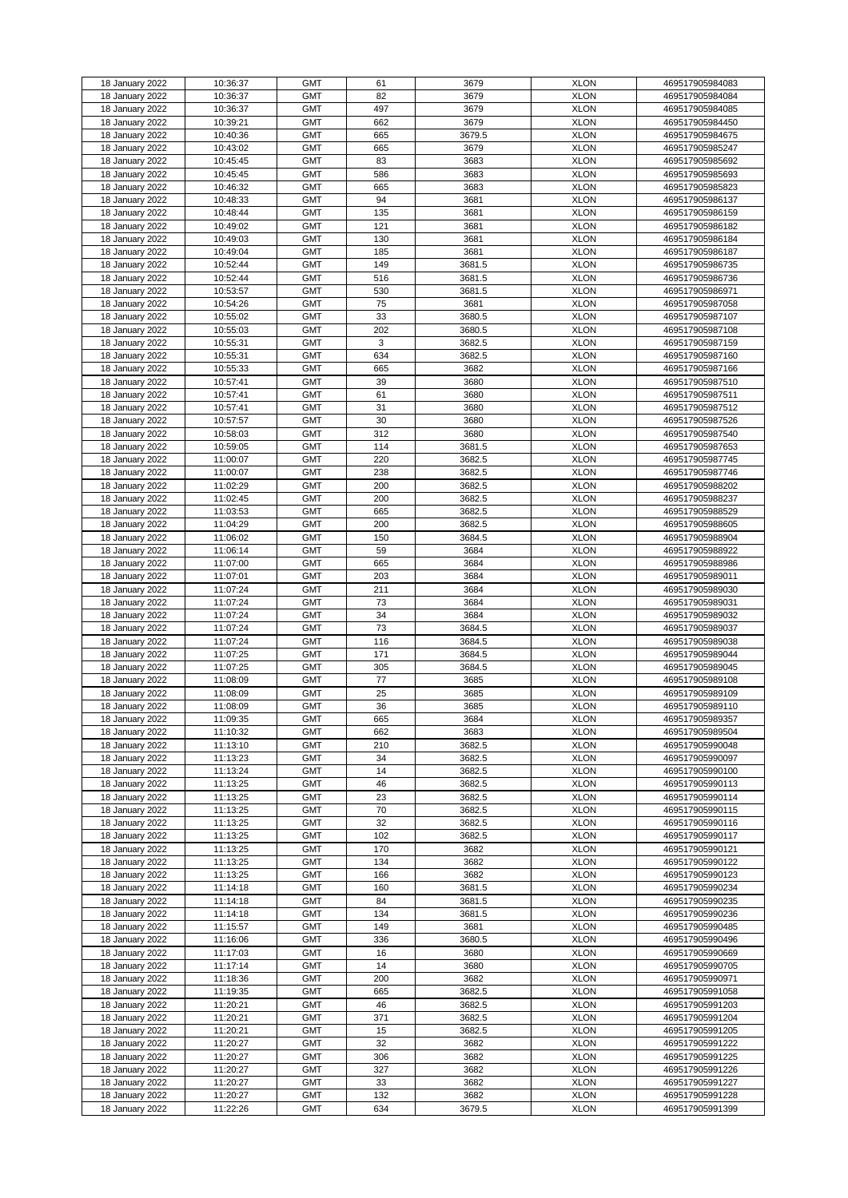| 18 January 2022                    | 10:36:37             | <b>GMT</b>               | 61         | 3679           | <b>XLON</b>                | 469517905984083                    |
|------------------------------------|----------------------|--------------------------|------------|----------------|----------------------------|------------------------------------|
| 18 January 2022                    | 10:36:37             | <b>GMT</b>               | 82         | 3679           | <b>XLON</b>                | 469517905984084                    |
|                                    |                      |                          |            |                |                            |                                    |
| 18 January 2022                    | 10:36:37             | <b>GMT</b>               | 497        | 3679           | <b>XLON</b>                | 469517905984085                    |
| 18 January 2022                    | 10:39:21             | <b>GMT</b>               | 662        | 3679           | <b>XLON</b>                | 469517905984450                    |
|                                    |                      |                          |            |                |                            |                                    |
| 18 January 2022                    | 10:40:36             | <b>GMT</b>               | 665        | 3679.5         | <b>XLON</b>                | 469517905984675                    |
| 18 January 2022                    | 10:43:02             | <b>GMT</b>               | 665        | 3679           | <b>XLON</b>                | 469517905985247                    |
|                                    |                      |                          |            |                |                            |                                    |
| 18 January 2022                    | 10:45:45             | <b>GMT</b>               | 83         | 3683           | <b>XLON</b>                | 469517905985692                    |
| 18 January 2022                    | 10:45:45             | <b>GMT</b>               | 586        | 3683           | <b>XLON</b>                | 469517905985693                    |
|                                    |                      |                          |            |                |                            |                                    |
| 18 January 2022                    | 10:46:32             | <b>GMT</b>               | 665        | 3683           | <b>XLON</b>                | 469517905985823                    |
| 18 January 2022                    | 10:48:33             | <b>GMT</b>               | 94         | 3681           | <b>XLON</b>                | 469517905986137                    |
|                                    |                      |                          |            |                |                            |                                    |
| 18 January 2022                    | 10:48:44             | <b>GMT</b>               | 135        | 3681           | <b>XLON</b>                | 469517905986159                    |
| 18 January 2022                    | 10:49:02             | <b>GMT</b>               | 121        | 3681           | <b>XLON</b>                | 469517905986182                    |
|                                    |                      |                          |            |                |                            |                                    |
| 18 January 2022                    | 10:49:03             | <b>GMT</b>               | 130        | 3681           | <b>XLON</b>                | 469517905986184                    |
| 18 January 2022                    | 10:49:04             | <b>GMT</b>               | 185        | 3681           | <b>XLON</b>                | 469517905986187                    |
|                                    |                      |                          |            |                |                            |                                    |
| 18 January 2022                    | 10:52:44             | <b>GMT</b>               | 149        | 3681.5         | <b>XLON</b>                | 469517905986735                    |
| 18 January 2022                    | 10:52:44             | <b>GMT</b>               | 516        | 3681.5         | <b>XLON</b>                | 469517905986736                    |
|                                    |                      | <b>GMT</b>               |            |                | <b>XLON</b>                |                                    |
| 18 January 2022                    | 10:53:57             |                          | 530        | 3681.5         |                            | 469517905986971                    |
| 18 January 2022                    | 10:54:26             | <b>GMT</b>               | 75         | 3681           | <b>XLON</b>                | 469517905987058                    |
| 18 January 2022                    | 10:55:02             | <b>GMT</b>               | 33         | 3680.5         | <b>XLON</b>                | 469517905987107                    |
|                                    |                      |                          |            |                |                            |                                    |
| 18 January 2022                    | 10:55:03             | <b>GMT</b>               | 202        | 3680.5         | <b>XLON</b>                | 469517905987108                    |
| 18 January 2022                    | 10:55:31             | <b>GMT</b>               | 3          | 3682.5         | <b>XLON</b>                | 469517905987159                    |
|                                    |                      |                          |            |                |                            |                                    |
| 18 January 2022                    | 10:55:31             | <b>GMT</b>               | 634        | 3682.5         | <b>XLON</b>                | 469517905987160                    |
| 18 January 2022                    | 10:55:33             | <b>GMT</b>               | 665        | 3682           | <b>XLON</b>                | 469517905987166                    |
|                                    |                      |                          |            |                |                            |                                    |
| 18 January 2022                    | 10:57:41             | <b>GMT</b>               | 39         | 3680           | <b>XLON</b>                | 469517905987510                    |
| 18 January 2022                    | 10:57:41             | <b>GMT</b>               | 61         | 3680           | <b>XLON</b>                | 469517905987511                    |
|                                    |                      | <b>GMT</b>               | 31         | 3680           |                            |                                    |
| 18 January 2022                    | 10:57:41             |                          |            |                | <b>XLON</b>                | 469517905987512                    |
| 18 January 2022                    | 10:57:57             | <b>GMT</b>               | 30         | 3680           | <b>XLON</b>                | 469517905987526                    |
| 18 January 2022                    | 10:58:03             | <b>GMT</b>               | 312        | 3680           | <b>XLON</b>                | 469517905987540                    |
|                                    |                      |                          |            |                |                            |                                    |
| 18 January 2022                    | 10:59:05             | <b>GMT</b>               | 114        | 3681.5         | <b>XLON</b>                | 469517905987653                    |
| 18 January 2022                    | 11:00:07             | <b>GMT</b>               | 220        | 3682.5         | <b>XLON</b>                | 469517905987745                    |
|                                    |                      |                          |            |                |                            |                                    |
| 18 January 2022                    | 11:00:07             | <b>GMT</b>               | 238        | 3682.5         | <b>XLON</b>                | 469517905987746                    |
| 18 January 2022                    | 11:02:29             | <b>GMT</b>               | 200        | 3682.5         | <b>XLON</b>                | 469517905988202                    |
|                                    |                      |                          |            |                |                            |                                    |
| 18 January 2022                    | 11:02:45             | <b>GMT</b>               | 200        | 3682.5         | <b>XLON</b>                | 469517905988237                    |
| 18 January 2022                    | 11:03:53             | <b>GMT</b>               | 665        | 3682.5         | <b>XLON</b>                | 469517905988529                    |
|                                    |                      |                          |            |                |                            |                                    |
| 18 January 2022                    | 11:04:29             | <b>GMT</b>               | 200        | 3682.5         | <b>XLON</b>                | 469517905988605                    |
| 18 January 2022                    | 11:06:02             | <b>GMT</b>               | 150        | 3684.5         | <b>XLON</b>                | 469517905988904                    |
|                                    |                      |                          |            |                |                            |                                    |
| 18 January 2022                    | 11:06:14             | <b>GMT</b>               | 59         | 3684           | <b>XLON</b>                | 469517905988922                    |
| 18 January 2022                    | 11:07:00             | <b>GMT</b>               | 665        | 3684           | <b>XLON</b>                | 469517905988986                    |
|                                    |                      |                          |            |                |                            |                                    |
| 18 January 2022                    | 11:07:01             | <b>GMT</b>               | 203        | 3684           | <b>XLON</b>                | 469517905989011                    |
| 18 January 2022                    | 11:07:24             | <b>GMT</b>               | 211        | 3684           | <b>XLON</b>                | 469517905989030                    |
| 18 January 2022                    | 11:07:24             | <b>GMT</b>               | 73         | 3684           | <b>XLON</b>                | 469517905989031                    |
|                                    |                      |                          |            |                |                            |                                    |
| 18 January 2022                    | 11:07:24             | <b>GMT</b>               | 34         | 3684           | <b>XLON</b>                | 469517905989032                    |
| 18 January 2022                    | 11:07:24             | <b>GMT</b>               | 73         | 3684.5         | <b>XLON</b>                | 469517905989037                    |
|                                    |                      |                          |            |                |                            |                                    |
| 18 January 2022                    | 11:07:24             | <b>GMT</b>               | 116        | 3684.5         | <b>XLON</b>                | 469517905989038                    |
| 18 January 2022                    | 11:07:25             | <b>GMT</b>               | 171        | 3684.5         | <b>XLON</b>                | 469517905989044                    |
|                                    |                      |                          |            |                |                            |                                    |
| 18 January 2022                    | 11:07:25             | <b>GMT</b>               | 305        | 3684.5         | <b>XLON</b>                | 469517905989045                    |
| 18 January 2022                    | 11:08:09             | <b>GMT</b>               | 77         | 3685           | <b>XLON</b>                | 469517905989108                    |
|                                    |                      |                          |            |                |                            |                                    |
| 18 January 2022                    | 11:08:09             | <b>GMT</b>               | 25         | 3685           | <b>XLON</b>                | 469517905989109                    |
| 18 January 2022                    | 11:08:09             | <b>GMT</b>               | 36         | 3685           | <b>XLON</b>                | 469517905989110                    |
| 18 January 2022                    | 11:09:35             | <b>GMT</b>               | 665        | 3684           | <b>XLON</b>                | 469517905989357                    |
|                                    |                      |                          |            |                |                            |                                    |
| 18 January 2022                    | 11:10:32             | <b>GMT</b>               | 662        | 3683           | <b>XLON</b>                | 469517905989504                    |
| 18 January 2022                    | 11:13:10             | <b>GMT</b>               | 210        | 3682.5         | <b>XLON</b>                | 469517905990048                    |
|                                    |                      |                          |            |                |                            |                                    |
| 18 January 2022                    | 11:13:23             | <b>GMT</b>               | 34         | 3682.5         | <b>XLON</b>                | 469517905990097                    |
| 18 January 2022                    | 11:13:24             | <b>GMT</b>               | 14         | 3682.5         | <b>XLON</b>                | 469517905990100                    |
| 18 January 2022                    |                      | <b>GMT</b>               | 46         |                | <b>XLON</b>                |                                    |
|                                    | 11:13:25             |                          |            | 3682.5         |                            | 469517905990113                    |
| 18 January 2022                    | 11:13:25             | <b>GMT</b>               | 23         | 3682.5         | <b>XLON</b>                | 469517905990114                    |
| 18 January 2022                    | 11:13:25             | <b>GMT</b>               | 70         | 3682.5         | <b>XLON</b>                | 469517905990115                    |
|                                    |                      |                          |            |                |                            |                                    |
| 18 January 2022                    | 11:13:25             | <b>GMT</b>               | 32         | 3682.5         | <b>XLON</b>                | 469517905990116                    |
| 18 January 2022                    | 11:13:25             | <b>GMT</b>               | 102        | 3682.5         | <b>XLON</b>                | 469517905990117                    |
|                                    |                      |                          |            |                |                            |                                    |
| 18 January 2022                    | 11:13:25             | <b>GMT</b>               | 170        | 3682           | <b>XLON</b>                | 469517905990121                    |
| 18 January 2022                    | 11:13:25             | <b>GMT</b>               | 134        | 3682           | <b>XLON</b>                | 469517905990122                    |
| 18 January 2022                    | 11:13:25             | <b>GMT</b>               | 166        | 3682           | <b>XLON</b>                | 469517905990123                    |
|                                    |                      |                          |            |                |                            |                                    |
| 18 January 2022                    | 11:14:18             | <b>GMT</b>               | 160        | 3681.5         | <b>XLON</b>                | 469517905990234                    |
| 18 January 2022                    | 11:14:18             | <b>GMT</b>               | 84         | 3681.5         | <b>XLON</b>                | 469517905990235                    |
|                                    |                      |                          |            |                |                            |                                    |
| 18 January 2022                    | 11:14:18             | <b>GMT</b>               | 134        | 3681.5         | <b>XLON</b>                | 469517905990236                    |
| 18 January 2022                    | 11:15:57             | <b>GMT</b>               | 149        | 3681           | <b>XLON</b>                | 469517905990485                    |
| 18 January 2022                    | 11:16:06             | <b>GMT</b>               | 336        | 3680.5         | <b>XLON</b>                | 469517905990496                    |
|                                    |                      |                          |            |                |                            |                                    |
| 18 January 2022                    | 11:17:03             | <b>GMT</b>               | 16         | 3680           | <b>XLON</b>                | 469517905990669                    |
| 18 January 2022                    | 11:17:14             | <b>GMT</b>               | 14         | 3680           | <b>XLON</b>                | 469517905990705                    |
|                                    |                      |                          |            |                |                            |                                    |
| 18 January 2022                    |                      | <b>GMT</b>               | 200        | 3682           | <b>XLON</b>                | 469517905990971                    |
|                                    | 11:18:36             |                          |            | 3682.5         | <b>XLON</b>                | 469517905991058                    |
|                                    |                      |                          |            |                |                            |                                    |
| 18 January 2022                    | 11:19:35             | <b>GMT</b>               | 665        |                |                            |                                    |
| 18 January 2022                    | 11:20:21             | <b>GMT</b>               | 46         | 3682.5         | <b>XLON</b>                | 469517905991203                    |
| 18 January 2022                    | 11:20:21             | <b>GMT</b>               | 371        | 3682.5         | <b>XLON</b>                | 469517905991204                    |
|                                    |                      |                          |            |                |                            |                                    |
| 18 January 2022                    | 11:20:21             | <b>GMT</b>               | 15         | 3682.5         | <b>XLON</b>                | 469517905991205                    |
| 18 January 2022                    | 11:20:27             | <b>GMT</b>               | 32         | 3682           | <b>XLON</b>                | 469517905991222                    |
|                                    |                      |                          |            |                |                            |                                    |
| 18 January 2022                    | 11:20:27             | <b>GMT</b>               | 306        | 3682           | <b>XLON</b>                | 469517905991225                    |
| 18 January 2022                    | 11:20:27             | <b>GMT</b>               | 327        | 3682           | <b>XLON</b>                | 469517905991226                    |
|                                    |                      |                          |            |                |                            |                                    |
| 18 January 2022                    | 11:20:27             | <b>GMT</b>               | 33         | 3682           | <b>XLON</b>                | 469517905991227                    |
| 18 January 2022<br>18 January 2022 | 11:20:27<br>11:22:26 | <b>GMT</b><br><b>GMT</b> | 132<br>634 | 3682<br>3679.5 | <b>XLON</b><br><b>XLON</b> | 469517905991228<br>469517905991399 |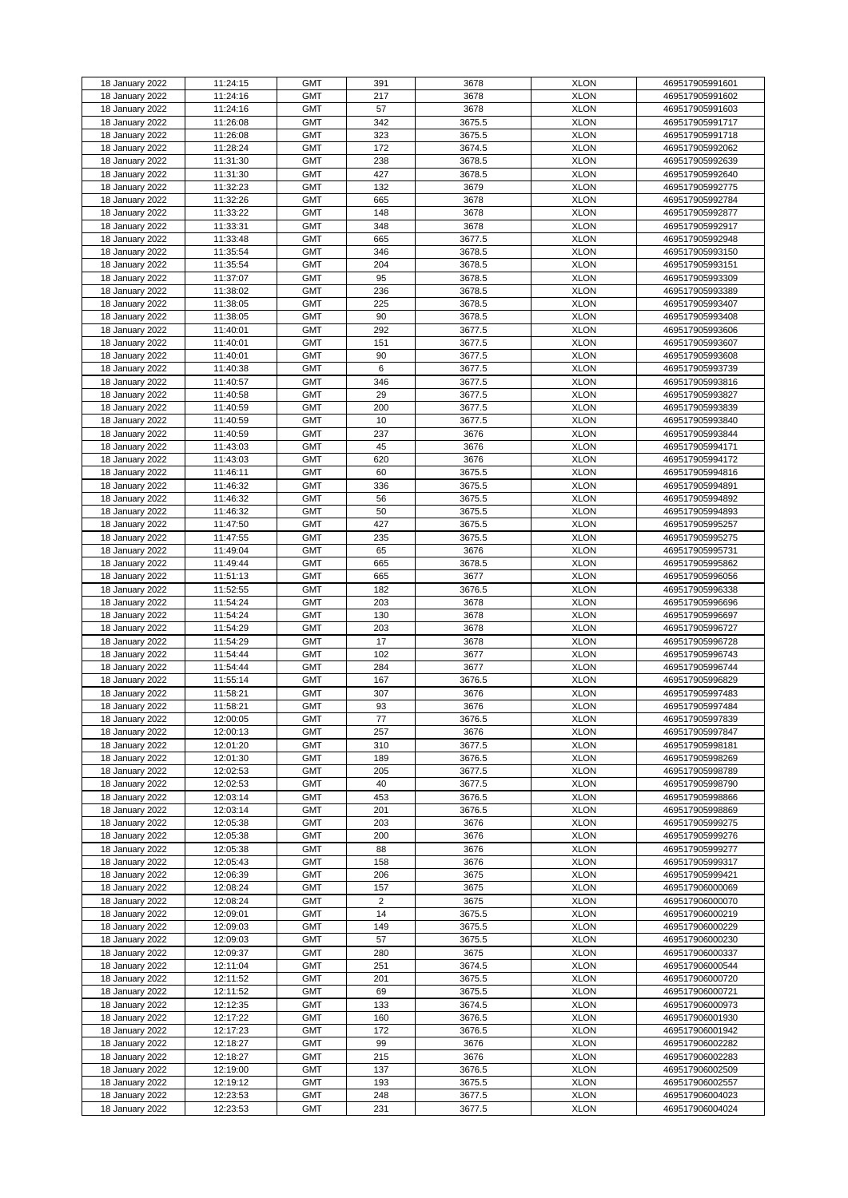| 18 January 2022                    | 11:24:15             | <b>GMT</b>               | 391            | 3678             | <b>XLON</b>                | 469517905991601                    |
|------------------------------------|----------------------|--------------------------|----------------|------------------|----------------------------|------------------------------------|
| 18 January 2022                    | 11:24:16             | <b>GMT</b>               | 217            | 3678             | <b>XLON</b>                | 469517905991602                    |
|                                    |                      |                          |                |                  |                            |                                    |
| 18 January 2022                    | 11:24:16             | <b>GMT</b>               | 57             | 3678             | <b>XLON</b>                | 469517905991603                    |
| 18 January 2022                    | 11:26:08             | <b>GMT</b>               | 342            | 3675.5           | <b>XLON</b>                | 469517905991717                    |
|                                    |                      |                          |                |                  |                            |                                    |
| 18 January 2022                    | 11:26:08             | <b>GMT</b>               | 323            | 3675.5           | <b>XLON</b>                | 469517905991718                    |
| 18 January 2022                    | 11:28:24             | <b>GMT</b>               | 172            | 3674.5           | <b>XLON</b>                | 469517905992062                    |
| 18 January 2022                    | 11:31:30             | <b>GMT</b>               | 238            | 3678.5           | <b>XLON</b>                | 469517905992639                    |
|                                    |                      |                          |                |                  |                            |                                    |
| 18 January 2022                    | 11:31:30             | <b>GMT</b>               | 427            | 3678.5           | <b>XLON</b>                | 469517905992640                    |
| 18 January 2022                    | 11:32:23             | <b>GMT</b>               | 132            | 3679             | <b>XLON</b>                | 469517905992775                    |
|                                    |                      |                          |                |                  |                            |                                    |
| 18 January 2022                    | 11:32:26             | <b>GMT</b>               | 665            | 3678             | <b>XLON</b>                | 469517905992784                    |
| 18 January 2022                    | 11:33:22             | <b>GMT</b>               | 148            | 3678             | <b>XLON</b>                | 469517905992877                    |
| 18 January 2022                    | 11:33:31             | <b>GMT</b>               | 348            | 3678             | <b>XLON</b>                | 469517905992917                    |
|                                    |                      |                          |                |                  |                            |                                    |
| 18 January 2022                    | 11:33:48             | <b>GMT</b>               | 665            | 3677.5           | <b>XLON</b>                | 469517905992948                    |
| 18 January 2022                    | 11:35:54             | <b>GMT</b>               | 346            | 3678.5           | <b>XLON</b>                | 469517905993150                    |
| 18 January 2022                    | 11:35:54             | <b>GMT</b>               | 204            | 3678.5           | <b>XLON</b>                | 469517905993151                    |
|                                    |                      |                          |                |                  |                            |                                    |
| 18 January 2022                    | 11:37:07             | <b>GMT</b>               | 95             | 3678.5           | <b>XLON</b>                | 469517905993309                    |
| 18 January 2022                    | 11:38:02             | <b>GMT</b>               | 236            | 3678.5           | <b>XLON</b>                | 469517905993389                    |
| 18 January 2022                    | 11:38:05             | <b>GMT</b>               | 225            | 3678.5           | <b>XLON</b>                | 469517905993407                    |
|                                    |                      |                          |                |                  |                            |                                    |
| 18 January 2022                    | 11:38:05             | <b>GMT</b>               | 90             | 3678.5           | <b>XLON</b>                | 469517905993408                    |
| 18 January 2022                    | 11:40:01             | <b>GMT</b>               | 292            | 3677.5           | <b>XLON</b>                | 469517905993606                    |
| 18 January 2022                    | 11:40:01             | <b>GMT</b>               | 151            | 3677.5           | <b>XLON</b>                | 469517905993607                    |
|                                    |                      |                          |                |                  |                            |                                    |
| 18 January 2022                    | 11:40:01             | <b>GMT</b>               | 90             | 3677.5           | <b>XLON</b>                | 469517905993608                    |
| 18 January 2022                    | 11:40:38             | <b>GMT</b>               | 6              | 3677.5           | <b>XLON</b>                | 469517905993739                    |
|                                    |                      | <b>GMT</b>               | 346            |                  | <b>XLON</b>                |                                    |
| 18 January 2022                    | 11:40:57             |                          |                | 3677.5           |                            | 469517905993816                    |
| 18 January 2022                    | 11:40:58             | <b>GMT</b>               | 29             | 3677.5           | <b>XLON</b>                | 469517905993827                    |
| 18 January 2022                    | 11:40:59             | <b>GMT</b>               | 200            | 3677.5           | <b>XLON</b>                | 469517905993839                    |
|                                    |                      |                          |                |                  |                            |                                    |
| 18 January 2022                    | 11:40:59             | <b>GMT</b>               | 10             | 3677.5           | <b>XLON</b>                | 469517905993840                    |
| 18 January 2022                    | 11:40:59             | <b>GMT</b>               | 237            | 3676             | <b>XLON</b>                | 469517905993844                    |
| 18 January 2022                    | 11:43:03             | <b>GMT</b>               | 45             | 3676             | <b>XLON</b>                | 469517905994171                    |
|                                    |                      |                          |                |                  |                            |                                    |
| 18 January 2022                    | 11:43:03             | <b>GMT</b>               | 620            | 3676             | <b>XLON</b>                | 469517905994172                    |
| 18 January 2022                    | 11:46:11             | <b>GMT</b>               | 60             | 3675.5           | <b>XLON</b>                | 469517905994816                    |
| 18 January 2022                    |                      | <b>GMT</b>               |                |                  | <b>XLON</b>                |                                    |
|                                    | 11:46:32             |                          | 336            | 3675.5           |                            | 469517905994891                    |
| 18 January 2022                    | 11:46:32             | <b>GMT</b>               | 56             | 3675.5           | <b>XLON</b>                | 469517905994892                    |
| 18 January 2022                    | 11:46:32             | <b>GMT</b>               | 50             | 3675.5           | <b>XLON</b>                | 469517905994893                    |
|                                    |                      |                          |                |                  |                            |                                    |
| 18 January 2022                    | 11:47:50             | <b>GMT</b>               | 427            | 3675.5           | <b>XLON</b>                | 469517905995257                    |
| 18 January 2022                    | 11:47:55             | <b>GMT</b>               | 235            | 3675.5           | <b>XLON</b>                | 469517905995275                    |
| 18 January 2022                    | 11:49:04             | <b>GMT</b>               | 65             | 3676             | <b>XLON</b>                | 469517905995731                    |
|                                    |                      |                          |                |                  |                            |                                    |
| 18 January 2022                    | 11:49:44             | <b>GMT</b>               | 665            | 3678.5           | <b>XLON</b>                | 469517905995862                    |
| 18 January 2022                    | 11:51:13             | <b>GMT</b>               | 665            | 3677             | <b>XLON</b>                | 469517905996056                    |
|                                    |                      |                          |                |                  |                            |                                    |
| 18 January 2022                    | 11:52:55             | <b>GMT</b>               | 182            | 3676.5           | <b>XLON</b>                | 469517905996338                    |
| 18 January 2022                    | 11:54:24             | <b>GMT</b>               | 203            | 3678             | <b>XLON</b>                | 469517905996696                    |
| 18 January 2022                    | 11:54:24             | <b>GMT</b>               | 130            | 3678             | <b>XLON</b>                | 469517905996697                    |
|                                    |                      |                          |                |                  |                            |                                    |
| 18 January 2022                    | 11:54:29             | <b>GMT</b>               | 203            | 3678             | <b>XLON</b>                | 469517905996727                    |
| 18 January 2022                    | 11:54:29             | <b>GMT</b>               | 17             | 3678             | <b>XLON</b>                | 469517905996728                    |
| 18 January 2022                    | 11:54:44             | <b>GMT</b>               | 102            | 3677             | <b>XLON</b>                | 469517905996743                    |
|                                    |                      |                          |                |                  |                            |                                    |
| 18 January 2022                    | 11:54:44             | <b>GMT</b>               | 284            | 3677             | <b>XLON</b>                | 469517905996744                    |
| 18 January 2022                    | 11:55:14             | <b>GMT</b>               | 167            | 3676.5           | <b>XLON</b>                | 469517905996829                    |
| 18 January 2022                    | 11:58:21             | <b>GMT</b>               | 307            | 3676             | <b>XLON</b>                | 469517905997483                    |
|                                    |                      |                          |                |                  |                            |                                    |
| 18 January 2022                    | 11:58:21             | <b>GMT</b>               | 93             | 3676             | <b>XLON</b>                | 469517905997484                    |
| 18 January 2022                    | 12:00:05             | <b>GMT</b>               | 77             | 3676.5           | <b>XLON</b>                | 469517905997839                    |
|                                    |                      |                          |                |                  |                            |                                    |
| 18 January 2022                    | 12:00:13             | <b>GMT</b>               | 257            | 3676             | <b>XLON</b>                | 469517905997847                    |
| 18 January 2022                    | 12:01:20             | <b>GMT</b>               | 310            | 3677.5           | <b>XLON</b>                | 469517905998181                    |
| 18 January 2022                    | 12:01:30             | <b>GMT</b>               | 189            | 3676.5           | <b>XLON</b>                | 469517905998269                    |
|                                    |                      |                          |                |                  |                            |                                    |
| 18 January 2022                    | 12:02:53             | <b>GMT</b>               | 205            | 3677.5           | <b>XLON</b>                | 469517905998789                    |
| 18 January 2022                    | 12:02:53             | <b>GMT</b>               | 40             | 3677.5           | <b>XLON</b>                | 469517905998790                    |
| 18 January 2022                    | 12:03:14             | <b>GMT</b>               | 453            | 3676.5           | <b>XLON</b>                | 469517905998866                    |
| 18 January 2022                    | 12:03:14             | <b>GMT</b>               | 201            | 3676.5           | <b>XLON</b>                | 469517905998869                    |
|                                    |                      |                          |                |                  |                            |                                    |
| 18 January 2022                    | 12:05:38             | <b>GMT</b>               | 203            | 3676             | <b>XLON</b>                | 469517905999275                    |
| 18 January 2022                    | 12:05:38             | <b>GMT</b>               | 200            | 3676             | <b>XLON</b>                | 469517905999276                    |
| 18 January 2022                    | 12:05:38             | <b>GMT</b>               | 88             | 3676             | <b>XLON</b>                | 469517905999277                    |
|                                    |                      |                          |                |                  |                            |                                    |
| 18 January 2022                    | 12:05:43             | <b>GMT</b>               | 158            | 3676             | <b>XLON</b>                | 469517905999317                    |
| 18 January 2022                    | 12:06:39             | <b>GMT</b>               | 206            | 3675             | <b>XLON</b>                | 469517905999421                    |
| 18 January 2022                    | 12:08:24             | <b>GMT</b>               | 157            | 3675             | <b>XLON</b>                | 469517906000069                    |
|                                    |                      |                          |                |                  |                            |                                    |
| 18 January 2022                    | 12:08:24             | <b>GMT</b>               | $\overline{2}$ | 3675             | <b>XLON</b>                | 469517906000070                    |
| 18 January 2022                    | 12:09:01             | <b>GMT</b>               | 14             | 3675.5           | <b>XLON</b>                | 469517906000219                    |
| 18 January 2022                    | 12:09:03             | <b>GMT</b>               | 149            | 3675.5           | <b>XLON</b>                | 469517906000229                    |
|                                    |                      |                          |                |                  |                            |                                    |
| 18 January 2022                    | 12:09:03             | <b>GMT</b>               | 57             | 3675.5           | <b>XLON</b>                | 469517906000230                    |
| 18 January 2022                    | 12:09:37             | <b>GMT</b>               | 280            | 3675             | <b>XLON</b>                | 469517906000337                    |
|                                    | 12:11:04             | <b>GMT</b>               |                | 3674.5           |                            |                                    |
| 18 January 2022                    |                      |                          | 251            |                  | <b>XLON</b>                | 469517906000544                    |
| 18 January 2022                    | 12:11:52             | <b>GMT</b>               | 201            | 3675.5           | <b>XLON</b>                | 469517906000720                    |
| 18 January 2022                    | 12:11:52             | <b>GMT</b>               | 69             | 3675.5           | <b>XLON</b>                | 469517906000721                    |
|                                    |                      |                          |                |                  |                            |                                    |
| 18 January 2022                    |                      | <b>GMT</b>               | 133            | 3674.5           | <b>XLON</b>                | 469517906000973                    |
|                                    | 12:12:35             |                          |                |                  | <b>XLON</b>                | 469517906001930                    |
| 18 January 2022                    | 12:17:22             | <b>GMT</b>               | 160            | 3676.5           |                            |                                    |
|                                    |                      |                          |                |                  |                            |                                    |
| 18 January 2022                    | 12:17:23             | <b>GMT</b>               | 172            | 3676.5           | <b>XLON</b>                | 469517906001942                    |
| 18 January 2022                    | 12:18:27             | <b>GMT</b>               | 99             | 3676             | <b>XLON</b>                | 469517906002282                    |
| 18 January 2022                    | 12:18:27             | <b>GMT</b>               | 215            | 3676             | <b>XLON</b>                | 469517906002283                    |
|                                    |                      |                          |                |                  |                            |                                    |
| 18 January 2022                    | 12:19:00             | <b>GMT</b>               | 137            | 3676.5           | <b>XLON</b>                | 469517906002509                    |
| 18 January 2022                    | 12:19:12             | <b>GMT</b>               | 193            | 3675.5           | <b>XLON</b>                | 469517906002557                    |
|                                    |                      |                          |                |                  |                            |                                    |
| 18 January 2022<br>18 January 2022 | 12:23:53<br>12:23:53 | <b>GMT</b><br><b>GMT</b> | 248<br>231     | 3677.5<br>3677.5 | <b>XLON</b><br><b>XLON</b> | 469517906004023<br>469517906004024 |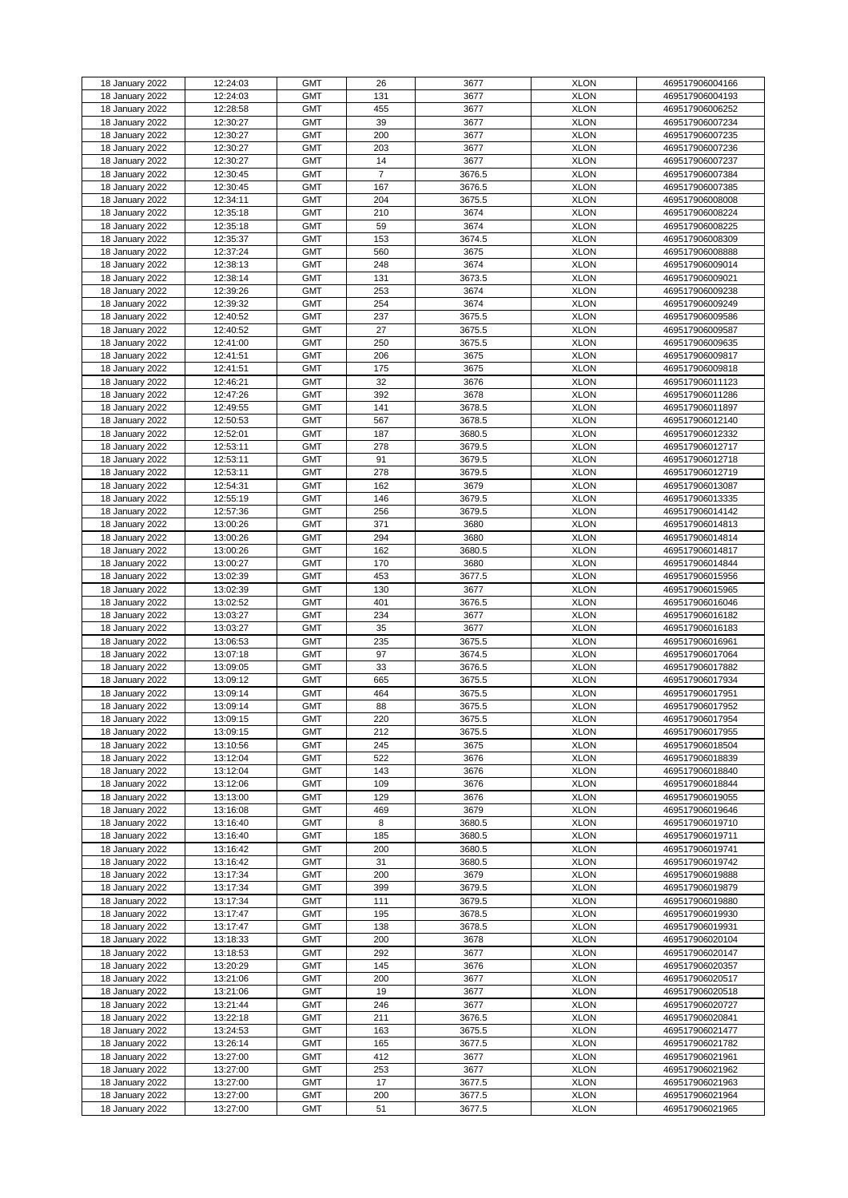|                 |          | <b>GMT</b> | 26             | 3677   | <b>XLON</b> |                 |
|-----------------|----------|------------|----------------|--------|-------------|-----------------|
| 18 January 2022 | 12:24:03 |            |                |        |             | 469517906004166 |
| 18 January 2022 | 12:24:03 | <b>GMT</b> | 131            | 3677   | <b>XLON</b> | 469517906004193 |
| 18 January 2022 | 12:28:58 | <b>GMT</b> | 455            | 3677   | <b>XLON</b> | 469517906006252 |
| 18 January 2022 | 12:30:27 | <b>GMT</b> | 39             | 3677   | <b>XLON</b> | 469517906007234 |
| 18 January 2022 | 12:30:27 | <b>GMT</b> | 200            | 3677   | <b>XLON</b> | 469517906007235 |
|                 | 12:30:27 | <b>GMT</b> | 203            | 3677   | <b>XLON</b> | 469517906007236 |
| 18 January 2022 |          |            |                |        |             |                 |
| 18 January 2022 | 12:30:27 | <b>GMT</b> | 14             | 3677   | <b>XLON</b> | 469517906007237 |
| 18 January 2022 | 12:30:45 | <b>GMT</b> | $\overline{7}$ | 3676.5 | <b>XLON</b> | 469517906007384 |
| 18 January 2022 | 12:30:45 | <b>GMT</b> | 167            | 3676.5 | <b>XLON</b> | 469517906007385 |
| 18 January 2022 | 12:34:11 | <b>GMT</b> | 204            | 3675.5 | <b>XLON</b> | 469517906008008 |
| 18 January 2022 | 12:35:18 | <b>GMT</b> | 210            | 3674   | <b>XLON</b> | 469517906008224 |
|                 |          |            |                |        |             |                 |
| 18 January 2022 | 12:35:18 | <b>GMT</b> | 59             | 3674   | <b>XLON</b> | 469517906008225 |
| 18 January 2022 | 12:35:37 | <b>GMT</b> | 153            | 3674.5 | <b>XLON</b> | 469517906008309 |
| 18 January 2022 | 12:37:24 | <b>GMT</b> | 560            | 3675   | <b>XLON</b> | 469517906008888 |
| 18 January 2022 | 12:38:13 | <b>GMT</b> | 248            | 3674   | <b>XLON</b> | 469517906009014 |
| 18 January 2022 | 12:38:14 | <b>GMT</b> | 131            | 3673.5 | <b>XLON</b> | 469517906009021 |
|                 |          |            |                |        |             |                 |
| 18 January 2022 | 12:39:26 | <b>GMT</b> | 253            | 3674   | <b>XLON</b> | 469517906009238 |
| 18 January 2022 | 12:39:32 | <b>GMT</b> | 254            | 3674   | <b>XLON</b> | 469517906009249 |
| 18 January 2022 | 12:40:52 | <b>GMT</b> | 237            | 3675.5 | <b>XLON</b> | 469517906009586 |
| 18 January 2022 | 12:40:52 | <b>GMT</b> | 27             | 3675.5 | <b>XLON</b> | 469517906009587 |
| 18 January 2022 | 12:41:00 | <b>GMT</b> | 250            | 3675.5 | <b>XLON</b> | 469517906009635 |
|                 |          |            |                |        |             |                 |
| 18 January 2022 | 12:41:51 | <b>GMT</b> | 206            | 3675   | <b>XLON</b> | 469517906009817 |
| 18 January 2022 | 12:41:51 | <b>GMT</b> | 175            | 3675   | <b>XLON</b> | 469517906009818 |
| 18 January 2022 | 12:46:21 | <b>GMT</b> | 32             | 3676   | <b>XLON</b> | 469517906011123 |
| 18 January 2022 | 12:47:26 | <b>GMT</b> | 392            | 3678   | <b>XLON</b> | 469517906011286 |
| 18 January 2022 | 12:49:55 | <b>GMT</b> | 141            | 3678.5 | <b>XLON</b> | 469517906011897 |
| 18 January 2022 | 12:50:53 | <b>GMT</b> | 567            | 3678.5 | <b>XLON</b> | 469517906012140 |
|                 |          |            |                |        |             |                 |
| 18 January 2022 | 12:52:01 | <b>GMT</b> | 187            | 3680.5 | <b>XLON</b> | 469517906012332 |
| 18 January 2022 | 12:53:11 | <b>GMT</b> | 278            | 3679.5 | <b>XLON</b> | 469517906012717 |
| 18 January 2022 | 12:53:11 | <b>GMT</b> | 91             | 3679.5 | <b>XLON</b> | 469517906012718 |
| 18 January 2022 | 12:53:11 | <b>GMT</b> | 278            | 3679.5 | <b>XLON</b> | 469517906012719 |
| 18 January 2022 | 12:54:31 | <b>GMT</b> | 162            | 3679   | <b>XLON</b> | 469517906013087 |
|                 |          |            |                |        |             |                 |
| 18 January 2022 | 12:55:19 | <b>GMT</b> | 146            | 3679.5 | <b>XLON</b> | 469517906013335 |
| 18 January 2022 | 12:57:36 | <b>GMT</b> | 256            | 3679.5 | <b>XLON</b> | 469517906014142 |
| 18 January 2022 | 13:00:26 | <b>GMT</b> | 371            | 3680   | <b>XLON</b> | 469517906014813 |
| 18 January 2022 | 13:00:26 | <b>GMT</b> | 294            | 3680   | <b>XLON</b> | 469517906014814 |
| 18 January 2022 | 13:00:26 | <b>GMT</b> | 162            | 3680.5 | <b>XLON</b> | 469517906014817 |
|                 |          |            |                |        |             |                 |
| 18 January 2022 | 13:00:27 | <b>GMT</b> | 170            | 3680   | <b>XLON</b> | 469517906014844 |
| 18 January 2022 | 13:02:39 | <b>GMT</b> | 453            | 3677.5 | <b>XLON</b> | 469517906015956 |
| 18 January 2022 | 13:02:39 | <b>GMT</b> | 130            | 3677   | <b>XLON</b> | 469517906015965 |
| 18 January 2022 | 13:02:52 | <b>GMT</b> | 401            | 3676.5 | <b>XLON</b> | 469517906016046 |
| 18 January 2022 | 13:03:27 | <b>GMT</b> | 234            | 3677   | <b>XLON</b> | 469517906016182 |
|                 |          | <b>GMT</b> | 35             |        | <b>XLON</b> |                 |
| 18 January 2022 | 13:03:27 |            |                | 3677   |             | 469517906016183 |
| 18 January 2022 | 13:06:53 | <b>GMT</b> | 235            | 3675.5 | <b>XLON</b> | 469517906016961 |
| 18 January 2022 | 13:07:18 | <b>GMT</b> | 97             | 3674.5 | <b>XLON</b> | 469517906017064 |
| 18 January 2022 | 13:09:05 | <b>GMT</b> | 33             | 3676.5 | <b>XLON</b> | 469517906017882 |
| 18 January 2022 | 13:09:12 | <b>GMT</b> | 665            | 3675.5 | <b>XLON</b> | 469517906017934 |
| 18 January 2022 | 13:09:14 | <b>GMT</b> | 464            | 3675.5 | <b>XLON</b> | 469517906017951 |
|                 |          |            |                |        |             |                 |
| 18 January 2022 | 13:09:14 | <b>GMT</b> | 88             | 3675.5 | <b>XLON</b> | 469517906017952 |
| 18 January 2022 | 13:09:15 | <b>GMT</b> | 220            | 3675.5 | <b>XLON</b> | 469517906017954 |
| 18 January 2022 | 13:09:15 | <b>GMT</b> | 212            | 3675.5 | <b>XLON</b> | 469517906017955 |
| 18 January 2022 | 13:10:56 | <b>GMT</b> | 245            | 3675   | <b>XLON</b> | 469517906018504 |
| 18 January 2022 | 13:12:04 | <b>GMT</b> | 522            | 3676   | <b>XLON</b> | 469517906018839 |
| 18 January 2022 | 13:12:04 | <b>GMT</b> | 143            | 3676   | <b>XLON</b> | 469517906018840 |
|                 |          |            |                |        |             |                 |
| 18 January 2022 | 13:12:06 | <b>GMT</b> | 109            | 3676   | <b>XLON</b> | 469517906018844 |
| 18 January 2022 | 13:13:00 | <b>GMT</b> | 129            | 3676   | <b>XLON</b> | 469517906019055 |
| 18 January 2022 | 13:16:08 | <b>GMT</b> | 469            | 3679   | <b>XLON</b> | 469517906019646 |
| 18 January 2022 | 13:16:40 | <b>GMT</b> | 8              | 3680.5 | <b>XLON</b> | 469517906019710 |
| 18 January 2022 | 13:16:40 | <b>GMT</b> | 185            | 3680.5 | <b>XLON</b> | 469517906019711 |
| 18 January 2022 | 13:16:42 | <b>GMT</b> | 200            | 3680.5 | <b>XLON</b> | 469517906019741 |
|                 |          |            |                |        |             |                 |
| 18 January 2022 | 13:16:42 | <b>GMT</b> | 31             | 3680.5 | <b>XLON</b> | 469517906019742 |
| 18 January 2022 | 13:17:34 | <b>GMT</b> | 200            | 3679   | <b>XLON</b> | 469517906019888 |
| 18 January 2022 | 13:17:34 | <b>GMT</b> | 399            | 3679.5 | <b>XLON</b> | 469517906019879 |
| 18 January 2022 | 13:17:34 | <b>GMT</b> | 111            | 3679.5 | <b>XLON</b> | 469517906019880 |
| 18 January 2022 | 13:17:47 | <b>GMT</b> | 195            | 3678.5 | <b>XLON</b> | 469517906019930 |
| 18 January 2022 | 13:17:47 | <b>GMT</b> | 138            | 3678.5 | <b>XLON</b> | 469517906019931 |
|                 |          |            |                |        |             |                 |
| 18 January 2022 | 13:18:33 | <b>GMT</b> | 200            | 3678   | <b>XLON</b> | 469517906020104 |
| 18 January 2022 | 13:18:53 | <b>GMT</b> | 292            | 3677   | <b>XLON</b> | 469517906020147 |
| 18 January 2022 | 13:20:29 | <b>GMT</b> | 145            | 3676   | <b>XLON</b> | 469517906020357 |
| 18 January 2022 | 13:21:06 | <b>GMT</b> | 200            | 3677   | <b>XLON</b> | 469517906020517 |
| 18 January 2022 | 13:21:06 | <b>GMT</b> | 19             | 3677   | <b>XLON</b> | 469517906020518 |
|                 |          |            |                |        |             |                 |
| 18 January 2022 | 13:21:44 | <b>GMT</b> | 246            | 3677   | <b>XLON</b> | 469517906020727 |
| 18 January 2022 | 13:22:18 | <b>GMT</b> | 211            | 3676.5 | <b>XLON</b> | 469517906020841 |
| 18 January 2022 | 13:24:53 | <b>GMT</b> | 163            | 3675.5 | <b>XLON</b> | 469517906021477 |
| 18 January 2022 | 13:26:14 | <b>GMT</b> | 165            | 3677.5 | <b>XLON</b> | 469517906021782 |
| 18 January 2022 | 13:27:00 | <b>GMT</b> | 412            | 3677   | <b>XLON</b> | 469517906021961 |
| 18 January 2022 | 13:27:00 | <b>GMT</b> | 253            | 3677   | <b>XLON</b> | 469517906021962 |
|                 |          |            |                |        |             |                 |
| 18 January 2022 | 13:27:00 | <b>GMT</b> | 17             | 3677.5 | <b>XLON</b> | 469517906021963 |
| 18 January 2022 | 13:27:00 | <b>GMT</b> | 200            | 3677.5 | <b>XLON</b> | 469517906021964 |
| 18 January 2022 | 13:27:00 | <b>GMT</b> | 51             | 3677.5 | <b>XLON</b> | 469517906021965 |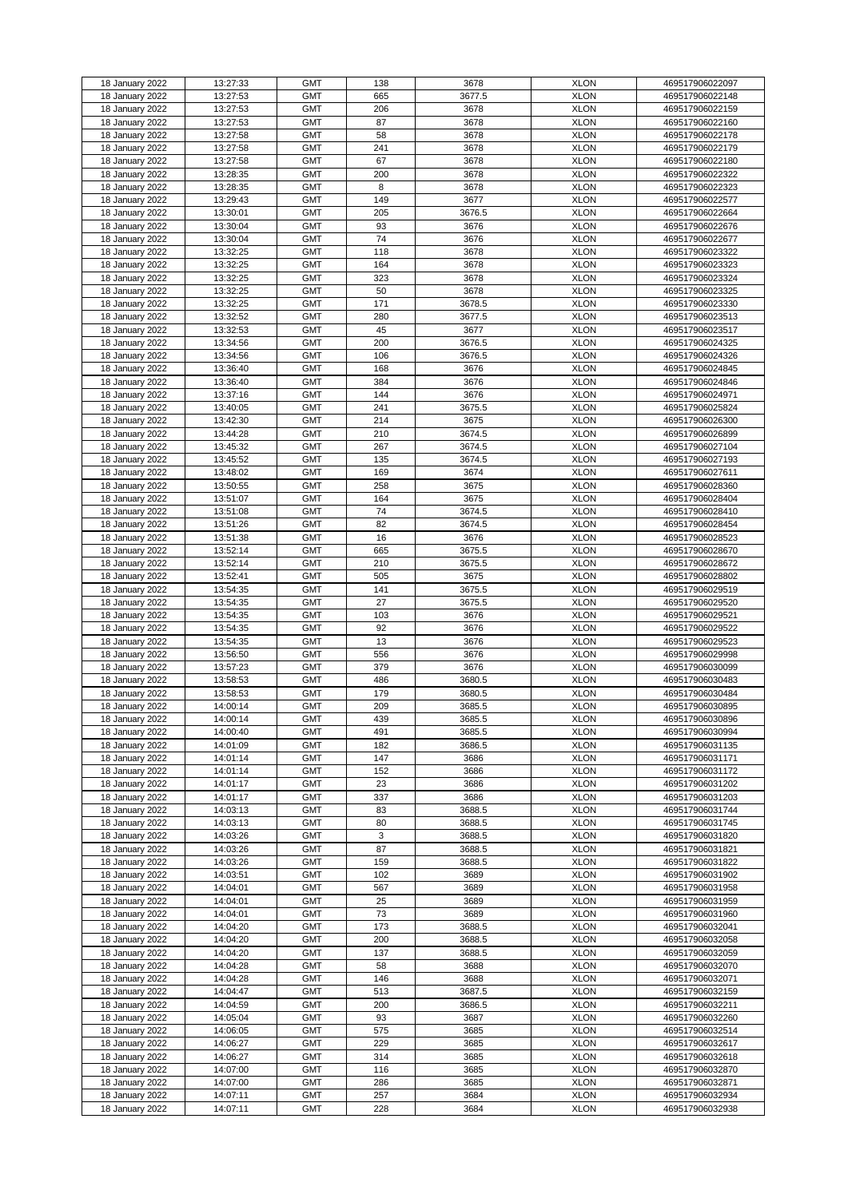| 18 January 2022 | 13:27:33 | <b>GMT</b> | 138 | 3678   | <b>XLON</b> | 469517906022097 |
|-----------------|----------|------------|-----|--------|-------------|-----------------|
| 18 January 2022 | 13:27:53 | <b>GMT</b> | 665 | 3677.5 | <b>XLON</b> | 469517906022148 |
|                 |          |            |     |        |             |                 |
| 18 January 2022 | 13:27:53 | <b>GMT</b> | 206 | 3678   | <b>XLON</b> | 469517906022159 |
| 18 January 2022 | 13:27:53 | <b>GMT</b> | 87  | 3678   | <b>XLON</b> | 469517906022160 |
| 18 January 2022 | 13:27:58 | <b>GMT</b> | 58  | 3678   | <b>XLON</b> | 469517906022178 |
|                 |          |            |     |        |             |                 |
| 18 January 2022 | 13:27:58 | <b>GMT</b> | 241 | 3678   | <b>XLON</b> | 469517906022179 |
| 18 January 2022 | 13:27:58 | <b>GMT</b> | 67  | 3678   | <b>XLON</b> | 469517906022180 |
| 18 January 2022 | 13:28:35 | <b>GMT</b> | 200 | 3678   | <b>XLON</b> | 469517906022322 |
|                 |          |            |     |        |             |                 |
| 18 January 2022 | 13:28:35 | <b>GMT</b> | 8   | 3678   | <b>XLON</b> | 469517906022323 |
| 18 January 2022 | 13:29:43 | <b>GMT</b> | 149 | 3677   | <b>XLON</b> | 469517906022577 |
| 18 January 2022 |          | <b>GMT</b> |     | 3676.5 | <b>XLON</b> |                 |
|                 | 13:30:01 |            | 205 |        |             | 469517906022664 |
| 18 January 2022 | 13:30:04 | <b>GMT</b> | 93  | 3676   | <b>XLON</b> | 469517906022676 |
| 18 January 2022 | 13:30:04 | <b>GMT</b> | 74  | 3676   | <b>XLON</b> | 469517906022677 |
|                 |          |            |     |        |             |                 |
| 18 January 2022 | 13:32:25 | <b>GMT</b> | 118 | 3678   | <b>XLON</b> | 469517906023322 |
| 18 January 2022 | 13:32:25 | <b>GMT</b> | 164 | 3678   | <b>XLON</b> | 469517906023323 |
| 18 January 2022 | 13:32:25 | <b>GMT</b> | 323 | 3678   | <b>XLON</b> | 469517906023324 |
|                 |          |            |     |        |             |                 |
| 18 January 2022 | 13:32:25 | <b>GMT</b> | 50  | 3678   | <b>XLON</b> | 469517906023325 |
| 18 January 2022 | 13:32:25 | <b>GMT</b> | 171 | 3678.5 | <b>XLON</b> | 469517906023330 |
| 18 January 2022 | 13:32:52 | <b>GMT</b> | 280 | 3677.5 | <b>XLON</b> | 469517906023513 |
|                 |          |            |     |        |             |                 |
| 18 January 2022 | 13:32:53 | <b>GMT</b> | 45  | 3677   | <b>XLON</b> | 469517906023517 |
| 18 January 2022 | 13:34:56 | <b>GMT</b> | 200 | 3676.5 | <b>XLON</b> | 469517906024325 |
|                 |          |            |     |        |             |                 |
| 18 January 2022 | 13:34:56 | <b>GMT</b> | 106 | 3676.5 | <b>XLON</b> | 469517906024326 |
| 18 January 2022 | 13:36:40 | <b>GMT</b> | 168 | 3676   | <b>XLON</b> | 469517906024845 |
| 18 January 2022 | 13:36:40 | <b>GMT</b> | 384 | 3676   | <b>XLON</b> | 469517906024846 |
|                 |          |            |     |        |             |                 |
| 18 January 2022 | 13:37:16 | <b>GMT</b> | 144 | 3676   | <b>XLON</b> | 469517906024971 |
| 18 January 2022 | 13:40:05 | <b>GMT</b> | 241 | 3675.5 | <b>XLON</b> | 469517906025824 |
| 18 January 2022 | 13:42:30 | <b>GMT</b> | 214 | 3675   | <b>XLON</b> | 469517906026300 |
|                 |          |            |     |        |             |                 |
| 18 January 2022 | 13:44:28 | <b>GMT</b> | 210 | 3674.5 | <b>XLON</b> | 469517906026899 |
| 18 January 2022 | 13:45:32 | <b>GMT</b> | 267 | 3674.5 | <b>XLON</b> | 469517906027104 |
|                 | 13:45:52 | <b>GMT</b> |     | 3674.5 | <b>XLON</b> |                 |
| 18 January 2022 |          |            | 135 |        |             | 469517906027193 |
| 18 January 2022 | 13:48:02 | <b>GMT</b> | 169 | 3674   | <b>XLON</b> | 469517906027611 |
| 18 January 2022 | 13:50:55 | <b>GMT</b> | 258 | 3675   | <b>XLON</b> | 469517906028360 |
|                 |          |            |     |        |             |                 |
| 18 January 2022 | 13:51:07 | <b>GMT</b> | 164 | 3675   | <b>XLON</b> | 469517906028404 |
| 18 January 2022 | 13:51:08 | <b>GMT</b> | 74  | 3674.5 | <b>XLON</b> | 469517906028410 |
| 18 January 2022 | 13:51:26 | <b>GMT</b> | 82  | 3674.5 | <b>XLON</b> | 469517906028454 |
|                 |          |            |     |        |             |                 |
| 18 January 2022 | 13:51:38 | <b>GMT</b> | 16  | 3676   | <b>XLON</b> | 469517906028523 |
| 18 January 2022 | 13:52:14 | <b>GMT</b> | 665 | 3675.5 | <b>XLON</b> | 469517906028670 |
| 18 January 2022 | 13:52:14 | <b>GMT</b> | 210 | 3675.5 | <b>XLON</b> | 469517906028672 |
|                 |          |            |     |        |             |                 |
| 18 January 2022 | 13:52:41 | <b>GMT</b> | 505 | 3675   | <b>XLON</b> | 469517906028802 |
| 18 January 2022 | 13:54:35 | <b>GMT</b> | 141 | 3675.5 | <b>XLON</b> | 469517906029519 |
| 18 January 2022 | 13:54:35 | <b>GMT</b> | 27  | 3675.5 | <b>XLON</b> | 469517906029520 |
|                 |          |            |     |        |             |                 |
| 18 January 2022 | 13:54:35 | <b>GMT</b> | 103 | 3676   | <b>XLON</b> | 469517906029521 |
| 18 January 2022 | 13:54:35 | <b>GMT</b> | 92  | 3676   | <b>XLON</b> | 469517906029522 |
|                 |          |            |     |        |             |                 |
| 18 January 2022 | 13:54:35 | <b>GMT</b> | 13  | 3676   | <b>XLON</b> | 469517906029523 |
| 18 January 2022 | 13:56:50 | <b>GMT</b> | 556 | 3676   | <b>XLON</b> | 469517906029998 |
| 18 January 2022 | 13:57:23 | <b>GMT</b> | 379 | 3676   | <b>XLON</b> | 469517906030099 |
|                 |          |            |     |        |             |                 |
| 18 January 2022 | 13:58:53 | <b>GMT</b> | 486 | 3680.5 | <b>XLON</b> | 469517906030483 |
| 18 January 2022 | 13:58:53 | <b>GMT</b> | 179 | 3680.5 | <b>XLON</b> | 469517906030484 |
| 18 January 2022 | 14:00:14 | <b>GMT</b> | 209 | 3685.5 | <b>XLON</b> | 469517906030895 |
|                 |          |            |     |        |             |                 |
| 18 January 2022 | 14:00:14 | <b>GMT</b> | 439 | 3685.5 | <b>XLON</b> | 469517906030896 |
| 18 January 2022 | 14:00:40 | <b>GMT</b> | 491 | 3685.5 | <b>XLON</b> | 469517906030994 |
| 18 January 2022 | 14:01:09 | <b>GMT</b> | 182 | 3686.5 | <b>XLON</b> | 469517906031135 |
|                 |          |            |     |        |             |                 |
| 18 January 2022 | 14:01:14 | <b>GMT</b> | 147 | 3686   | <b>XLON</b> | 469517906031171 |
| 18 January 2022 | 14:01:14 | <b>GMT</b> | 152 | 3686   | <b>XLON</b> | 469517906031172 |
| 18 January 2022 | 14:01:17 | <b>GMT</b> | 23  | 3686   | <b>XLON</b> | 469517906031202 |
|                 |          |            |     |        |             |                 |
| 18 January 2022 | 14:01:17 | <b>GMT</b> | 337 | 3686   | <b>XLON</b> | 469517906031203 |
| 18 January 2022 | 14:03:13 | <b>GMT</b> | 83  | 3688.5 | <b>XLON</b> | 469517906031744 |
| 18 January 2022 | 14:03:13 | <b>GMT</b> | 80  | 3688.5 | <b>XLON</b> | 469517906031745 |
|                 |          |            |     |        |             |                 |
| 18 January 2022 | 14:03:26 | <b>GMT</b> | 3   | 3688.5 | <b>XLON</b> | 469517906031820 |
| 18 January 2022 | 14:03:26 | <b>GMT</b> | 87  | 3688.5 | <b>XLON</b> | 469517906031821 |
| 18 January 2022 | 14:03:26 | <b>GMT</b> | 159 | 3688.5 | <b>XLON</b> | 469517906031822 |
|                 |          |            |     |        |             |                 |
| 18 January 2022 | 14:03:51 | <b>GMT</b> | 102 | 3689   | <b>XLON</b> | 469517906031902 |
| 18 January 2022 | 14:04:01 | <b>GMT</b> | 567 | 3689   | <b>XLON</b> | 469517906031958 |
|                 | 14:04:01 | <b>GMT</b> | 25  | 3689   | <b>XLON</b> | 469517906031959 |
| 18 January 2022 |          |            |     |        |             |                 |
| 18 January 2022 | 14:04:01 | <b>GMT</b> | 73  | 3689   | <b>XLON</b> | 469517906031960 |
| 18 January 2022 | 14:04:20 | <b>GMT</b> | 173 | 3688.5 | <b>XLON</b> | 469517906032041 |
| 18 January 2022 |          | <b>GMT</b> |     |        |             |                 |
|                 | 14:04:20 |            | 200 | 3688.5 | <b>XLON</b> | 469517906032058 |
| 18 January 2022 | 14:04:20 | <b>GMT</b> | 137 | 3688.5 | <b>XLON</b> | 469517906032059 |
| 18 January 2022 | 14:04:28 | <b>GMT</b> | 58  | 3688   | <b>XLON</b> | 469517906032070 |
|                 |          |            |     |        |             |                 |
| 18 January 2022 | 14:04:28 | <b>GMT</b> | 146 | 3688   | <b>XLON</b> | 469517906032071 |
| 18 January 2022 | 14:04:47 | <b>GMT</b> | 513 | 3687.5 | <b>XLON</b> | 469517906032159 |
| 18 January 2022 | 14:04:59 | <b>GMT</b> | 200 | 3686.5 | <b>XLON</b> | 469517906032211 |
|                 |          |            |     |        |             |                 |
| 18 January 2022 | 14:05:04 | <b>GMT</b> | 93  | 3687   | <b>XLON</b> | 469517906032260 |
| 18 January 2022 | 14:06:05 | <b>GMT</b> | 575 | 3685   | <b>XLON</b> | 469517906032514 |
| 18 January 2022 | 14:06:27 | <b>GMT</b> | 229 | 3685   | <b>XLON</b> | 469517906032617 |
|                 |          |            |     |        |             |                 |
| 18 January 2022 | 14:06:27 | <b>GMT</b> | 314 | 3685   | <b>XLON</b> | 469517906032618 |
| 18 January 2022 | 14:07:00 | <b>GMT</b> | 116 | 3685   | <b>XLON</b> | 469517906032870 |
| 18 January 2022 | 14:07:00 | <b>GMT</b> | 286 | 3685   | <b>XLON</b> | 469517906032871 |
|                 |          |            |     |        |             |                 |
| 18 January 2022 | 14:07:11 | <b>GMT</b> | 257 | 3684   | <b>XLON</b> | 469517906032934 |
| 18 January 2022 | 14:07:11 | <b>GMT</b> | 228 | 3684   | <b>XLON</b> | 469517906032938 |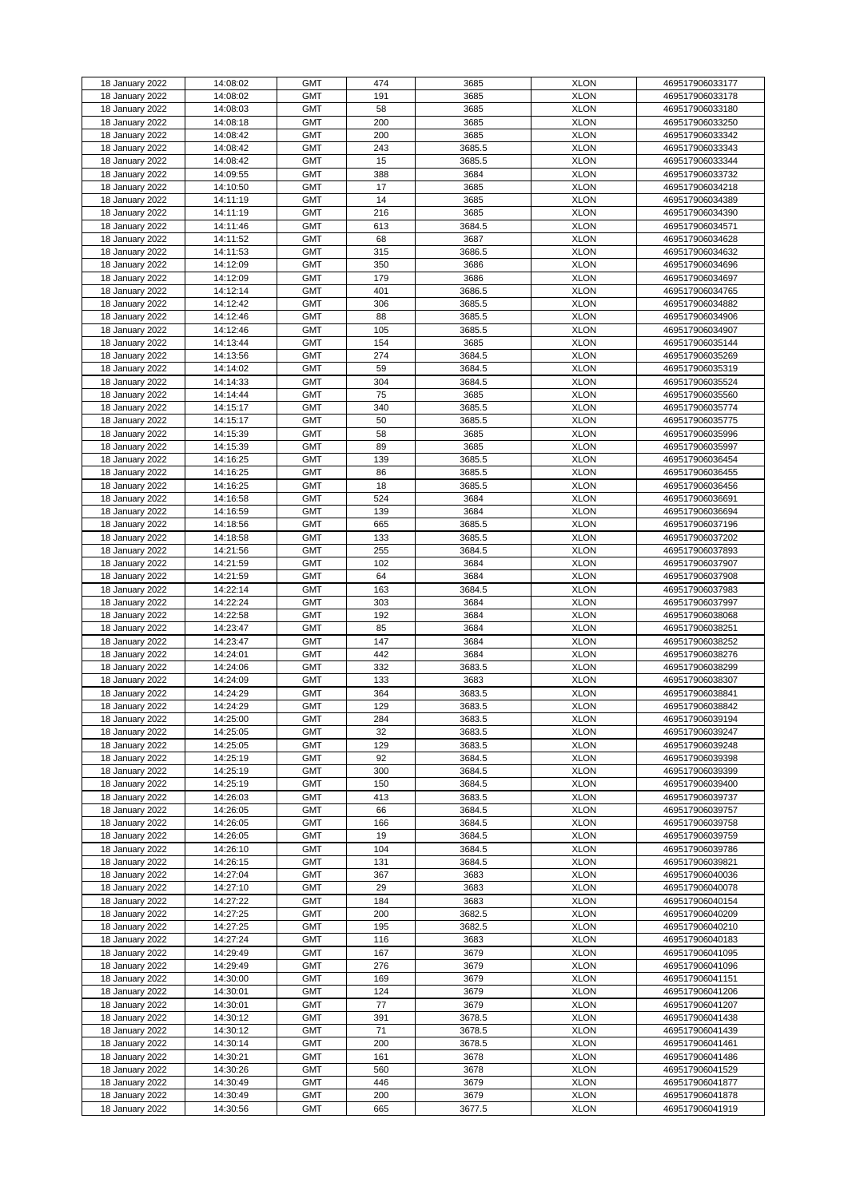|                 |          | <b>GMT</b> | 474 | 3685   | <b>XLON</b> |                 |
|-----------------|----------|------------|-----|--------|-------------|-----------------|
| 18 January 2022 | 14:08:02 |            |     |        |             | 469517906033177 |
| 18 January 2022 | 14:08:02 | <b>GMT</b> | 191 | 3685   | <b>XLON</b> | 469517906033178 |
| 18 January 2022 | 14:08:03 | <b>GMT</b> | 58  | 3685   | <b>XLON</b> | 469517906033180 |
| 18 January 2022 | 14:08:18 | <b>GMT</b> | 200 | 3685   | <b>XLON</b> | 469517906033250 |
| 18 January 2022 | 14:08:42 | <b>GMT</b> | 200 | 3685   | <b>XLON</b> | 469517906033342 |
| 18 January 2022 | 14:08:42 | <b>GMT</b> | 243 | 3685.5 | <b>XLON</b> | 469517906033343 |
|                 |          |            |     |        |             |                 |
| 18 January 2022 | 14:08:42 | <b>GMT</b> | 15  | 3685.5 | <b>XLON</b> | 469517906033344 |
| 18 January 2022 | 14:09:55 | <b>GMT</b> | 388 | 3684   | <b>XLON</b> | 469517906033732 |
| 18 January 2022 | 14:10:50 | <b>GMT</b> | 17  | 3685   | <b>XLON</b> | 469517906034218 |
| 18 January 2022 | 14:11:19 | <b>GMT</b> | 14  | 3685   | <b>XLON</b> | 469517906034389 |
| 18 January 2022 | 14:11:19 | <b>GMT</b> | 216 | 3685   | <b>XLON</b> | 469517906034390 |
|                 |          |            |     |        |             |                 |
| 18 January 2022 | 14:11:46 | <b>GMT</b> | 613 | 3684.5 | <b>XLON</b> | 469517906034571 |
| 18 January 2022 | 14:11:52 | <b>GMT</b> | 68  | 3687   | <b>XLON</b> | 469517906034628 |
| 18 January 2022 | 14:11:53 | <b>GMT</b> | 315 | 3686.5 | <b>XLON</b> | 469517906034632 |
| 18 January 2022 | 14:12:09 | <b>GMT</b> | 350 | 3686   | <b>XLON</b> | 469517906034696 |
| 18 January 2022 | 14:12:09 | <b>GMT</b> | 179 | 3686   | <b>XLON</b> | 469517906034697 |
|                 |          |            |     |        |             |                 |
| 18 January 2022 | 14:12:14 | <b>GMT</b> | 401 | 3686.5 | <b>XLON</b> | 469517906034765 |
| 18 January 2022 | 14:12:42 | <b>GMT</b> | 306 | 3685.5 | <b>XLON</b> | 469517906034882 |
| 18 January 2022 | 14:12:46 | <b>GMT</b> | 88  | 3685.5 | <b>XLON</b> | 469517906034906 |
| 18 January 2022 | 14:12:46 | <b>GMT</b> | 105 | 3685.5 | <b>XLON</b> | 469517906034907 |
| 18 January 2022 | 14:13:44 | <b>GMT</b> | 154 | 3685   | <b>XLON</b> | 469517906035144 |
| 18 January 2022 | 14:13:56 | <b>GMT</b> | 274 | 3684.5 | <b>XLON</b> |                 |
|                 |          |            |     |        |             | 469517906035269 |
| 18 January 2022 | 14:14:02 | <b>GMT</b> | 59  | 3684.5 | <b>XLON</b> | 469517906035319 |
| 18 January 2022 | 14:14:33 | <b>GMT</b> | 304 | 3684.5 | <b>XLON</b> | 469517906035524 |
| 18 January 2022 | 14:14:44 | <b>GMT</b> | 75  | 3685   | <b>XLON</b> | 469517906035560 |
| 18 January 2022 | 14:15:17 | <b>GMT</b> | 340 | 3685.5 | <b>XLON</b> | 469517906035774 |
| 18 January 2022 | 14:15:17 | <b>GMT</b> | 50  | 3685.5 | <b>XLON</b> | 469517906035775 |
|                 |          |            |     |        |             |                 |
| 18 January 2022 | 14:15:39 | <b>GMT</b> | 58  | 3685   | <b>XLON</b> | 469517906035996 |
| 18 January 2022 | 14:15:39 | <b>GMT</b> | 89  | 3685   | <b>XLON</b> | 469517906035997 |
| 18 January 2022 | 14:16:25 | <b>GMT</b> | 139 | 3685.5 | <b>XLON</b> | 469517906036454 |
| 18 January 2022 | 14:16:25 | <b>GMT</b> | 86  | 3685.5 | <b>XLON</b> | 469517906036455 |
| 18 January 2022 | 14:16:25 | <b>GMT</b> | 18  | 3685.5 | <b>XLON</b> | 469517906036456 |
|                 |          | <b>GMT</b> | 524 |        | <b>XLON</b> |                 |
| 18 January 2022 | 14:16:58 |            |     | 3684   |             | 469517906036691 |
| 18 January 2022 | 14:16:59 | <b>GMT</b> | 139 | 3684   | <b>XLON</b> | 469517906036694 |
| 18 January 2022 | 14:18:56 | <b>GMT</b> | 665 | 3685.5 | <b>XLON</b> | 469517906037196 |
| 18 January 2022 | 14:18:58 | <b>GMT</b> | 133 | 3685.5 | <b>XLON</b> | 469517906037202 |
| 18 January 2022 | 14:21:56 | <b>GMT</b> | 255 | 3684.5 | <b>XLON</b> | 469517906037893 |
| 18 January 2022 | 14:21:59 | <b>GMT</b> | 102 | 3684   | <b>XLON</b> | 469517906037907 |
|                 |          |            |     |        |             |                 |
| 18 January 2022 | 14:21:59 | <b>GMT</b> | 64  | 3684   | <b>XLON</b> | 469517906037908 |
| 18 January 2022 | 14:22:14 | <b>GMT</b> | 163 | 3684.5 | <b>XLON</b> | 469517906037983 |
| 18 January 2022 | 14:22:24 | <b>GMT</b> | 303 | 3684   | <b>XLON</b> | 469517906037997 |
| 18 January 2022 | 14:22:58 | <b>GMT</b> | 192 | 3684   | <b>XLON</b> | 469517906038068 |
| 18 January 2022 | 14:23:47 | <b>GMT</b> | 85  | 3684   | <b>XLON</b> | 469517906038251 |
| 18 January 2022 | 14:23:47 | <b>GMT</b> | 147 | 3684   | <b>XLON</b> | 469517906038252 |
|                 |          |            |     |        |             |                 |
| 18 January 2022 | 14:24:01 | <b>GMT</b> | 442 | 3684   | <b>XLON</b> | 469517906038276 |
| 18 January 2022 | 14:24:06 | <b>GMT</b> | 332 | 3683.5 | <b>XLON</b> | 469517906038299 |
| 18 January 2022 | 14:24:09 | <b>GMT</b> | 133 | 3683   | <b>XLON</b> | 469517906038307 |
| 18 January 2022 | 14:24:29 | <b>GMT</b> | 364 | 3683.5 | <b>XLON</b> | 469517906038841 |
| 18 January 2022 | 14:24:29 | <b>GMT</b> | 129 | 3683.5 | <b>XLON</b> | 469517906038842 |
| 18 January 2022 | 14:25:00 | <b>GMT</b> | 284 | 3683.5 | <b>XLON</b> | 469517906039194 |
|                 |          |            |     |        |             |                 |
| 18 January 2022 | 14:25:05 | <b>GMT</b> | 32  | 3683.5 | <b>XLON</b> | 469517906039247 |
| 18 January 2022 | 14:25:05 | <b>GMT</b> | 129 | 3683.5 | <b>XLON</b> | 469517906039248 |
| 18 January 2022 | 14:25:19 | <b>GMT</b> | 92  | 3684.5 | <b>XLON</b> | 469517906039398 |
| 18 January 2022 | 14:25:19 | <b>GMT</b> | 300 | 3684.5 | <b>XLON</b> | 469517906039399 |
| 18 January 2022 | 14:25:19 | <b>GMT</b> | 150 | 3684.5 | <b>XLON</b> | 469517906039400 |
| 18 January 2022 | 14:26:03 | <b>GMT</b> | 413 | 3683.5 | <b>XLON</b> | 469517906039737 |
| 18 January 2022 | 14:26:05 | <b>GMT</b> | 66  | 3684.5 | <b>XLON</b> | 469517906039757 |
|                 |          |            |     |        |             |                 |
| 18 January 2022 | 14:26:05 | <b>GMT</b> | 166 | 3684.5 | <b>XLON</b> | 469517906039758 |
| 18 January 2022 | 14:26:05 | <b>GMT</b> | 19  | 3684.5 | <b>XLON</b> | 469517906039759 |
| 18 January 2022 | 14:26:10 | <b>GMT</b> | 104 | 3684.5 | <b>XLON</b> | 469517906039786 |
| 18 January 2022 | 14:26:15 | <b>GMT</b> | 131 | 3684.5 | <b>XLON</b> | 469517906039821 |
| 18 January 2022 | 14:27:04 | <b>GMT</b> | 367 | 3683   | <b>XLON</b> | 469517906040036 |
|                 | 14:27:10 | <b>GMT</b> | 29  | 3683   | <b>XLON</b> | 469517906040078 |
| 18 January 2022 |          |            |     |        |             |                 |
| 18 January 2022 | 14:27:22 | <b>GMT</b> | 184 | 3683   | <b>XLON</b> | 469517906040154 |
| 18 January 2022 | 14:27:25 | <b>GMT</b> | 200 | 3682.5 | <b>XLON</b> | 469517906040209 |
| 18 January 2022 | 14:27:25 | <b>GMT</b> | 195 | 3682.5 | <b>XLON</b> | 469517906040210 |
| 18 January 2022 | 14:27:24 | <b>GMT</b> | 116 | 3683   | <b>XLON</b> | 469517906040183 |
| 18 January 2022 | 14:29:49 | <b>GMT</b> | 167 | 3679   | <b>XLON</b> | 469517906041095 |
| 18 January 2022 | 14:29:49 | <b>GMT</b> | 276 | 3679   | <b>XLON</b> | 469517906041096 |
|                 |          |            |     |        |             |                 |
| 18 January 2022 | 14:30:00 | <b>GMT</b> | 169 | 3679   | <b>XLON</b> | 469517906041151 |
| 18 January 2022 | 14:30:01 | <b>GMT</b> | 124 | 3679   | <b>XLON</b> | 469517906041206 |
| 18 January 2022 | 14:30:01 | <b>GMT</b> | 77  | 3679   | <b>XLON</b> | 469517906041207 |
| 18 January 2022 | 14:30:12 | <b>GMT</b> | 391 | 3678.5 | <b>XLON</b> | 469517906041438 |
| 18 January 2022 | 14:30:12 | <b>GMT</b> | 71  | 3678.5 | <b>XLON</b> | 469517906041439 |
| 18 January 2022 | 14:30:14 | <b>GMT</b> | 200 | 3678.5 | <b>XLON</b> | 469517906041461 |
|                 |          |            |     |        |             |                 |
| 18 January 2022 | 14:30:21 | <b>GMT</b> | 161 | 3678   | <b>XLON</b> | 469517906041486 |
| 18 January 2022 | 14:30:26 | <b>GMT</b> | 560 | 3678   | <b>XLON</b> | 469517906041529 |
| 18 January 2022 | 14:30:49 | <b>GMT</b> | 446 | 3679   | <b>XLON</b> | 469517906041877 |
| 18 January 2022 | 14:30:49 | <b>GMT</b> | 200 | 3679   | <b>XLON</b> | 469517906041878 |
| 18 January 2022 | 14:30:56 | <b>GMT</b> | 665 | 3677.5 | <b>XLON</b> | 469517906041919 |
|                 |          |            |     |        |             |                 |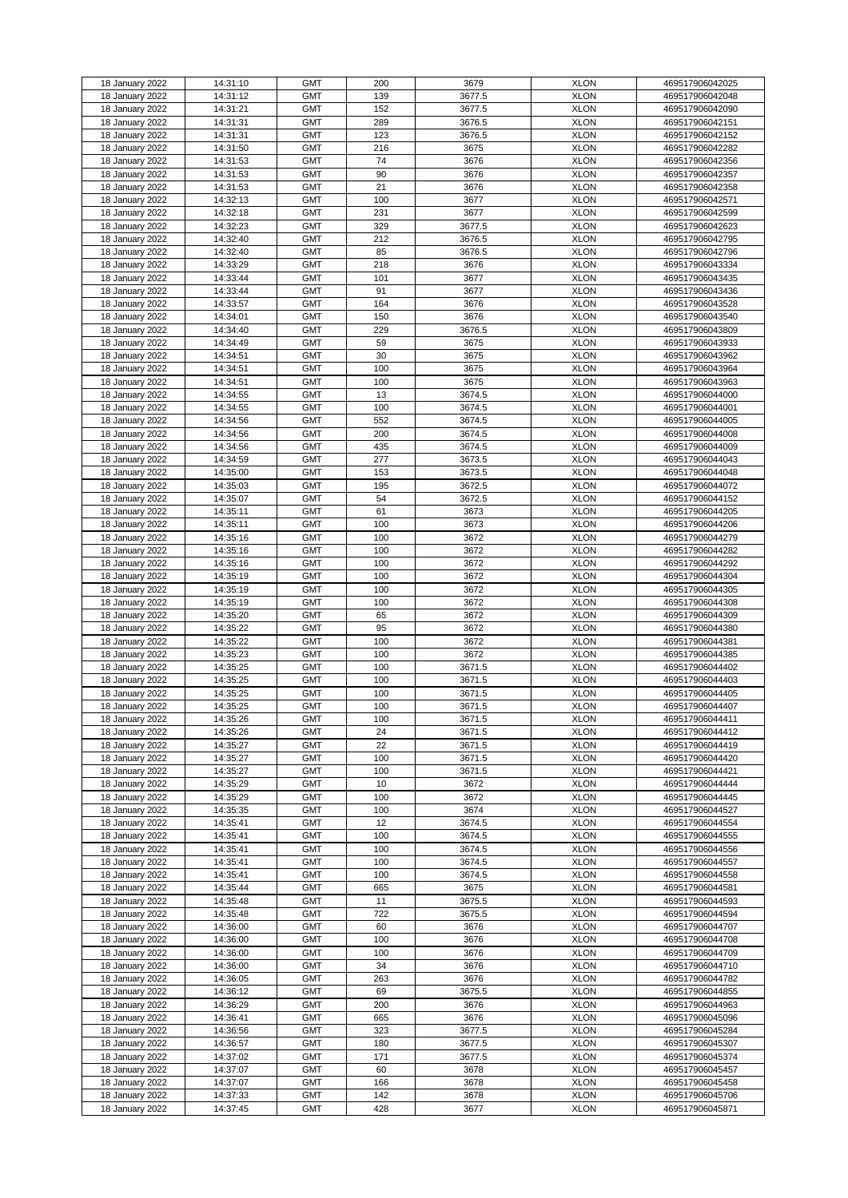| 18 January 2022                    | 14:31:10             | <b>GMT</b>               | 200        | 3679         | <b>XLON</b>                | 469517906042025                    |
|------------------------------------|----------------------|--------------------------|------------|--------------|----------------------------|------------------------------------|
| 18 January 2022                    | 14:31:12             | <b>GMT</b>               | 139        | 3677.5       | <b>XLON</b>                | 469517906042048                    |
|                                    |                      |                          |            |              |                            |                                    |
| 18 January 2022                    | 14:31:21             | <b>GMT</b>               | 152        | 3677.5       | <b>XLON</b>                | 469517906042090                    |
| 18 January 2022                    | 14:31:31             | <b>GMT</b>               | 289        | 3676.5       | <b>XLON</b>                | 469517906042151                    |
| 18 January 2022                    | 14:31:31             | <b>GMT</b>               | 123        | 3676.5       | <b>XLON</b>                | 469517906042152                    |
|                                    |                      |                          |            |              |                            |                                    |
| 18 January 2022                    | 14:31:50             | <b>GMT</b>               | 216        | 3675         | <b>XLON</b>                | 469517906042282                    |
| 18 January 2022                    | 14:31:53             | <b>GMT</b>               | 74         | 3676         | <b>XLON</b>                | 469517906042356                    |
| 18 January 2022                    | 14:31:53             | <b>GMT</b>               | 90         | 3676         | <b>XLON</b>                | 469517906042357                    |
|                                    |                      |                          |            |              |                            |                                    |
| 18 January 2022                    | 14:31:53             | <b>GMT</b>               | 21         | 3676         | <b>XLON</b>                | 469517906042358                    |
| 18 January 2022                    | 14:32:13             | <b>GMT</b>               | 100        | 3677         | <b>XLON</b>                | 469517906042571                    |
|                                    |                      |                          |            |              |                            |                                    |
| 18 January 2022                    | 14:32:18             | <b>GMT</b>               | 231        | 3677         | <b>XLON</b>                | 469517906042599                    |
| 18 January 2022                    | 14:32:23             | <b>GMT</b>               | 329        | 3677.5       | <b>XLON</b>                | 469517906042623                    |
| 18 January 2022                    | 14:32:40             | <b>GMT</b>               | 212        | 3676.5       | <b>XLON</b>                | 469517906042795                    |
|                                    |                      |                          |            |              |                            |                                    |
| 18 January 2022                    | 14:32:40             | <b>GMT</b>               | 85         | 3676.5       | <b>XLON</b>                | 469517906042796                    |
| 18 January 2022                    | 14:33:29             | <b>GMT</b>               | 218        | 3676         | <b>XLON</b>                | 469517906043334                    |
| 18 January 2022                    | 14:33:44             | <b>GMT</b>               | 101        | 3677         | <b>XLON</b>                | 469517906043435                    |
|                                    |                      |                          |            |              |                            |                                    |
| 18 January 2022                    | 14:33:44             | <b>GMT</b>               | 91         | 3677         | <b>XLON</b>                | 469517906043436                    |
| 18 January 2022                    | 14:33:57             | <b>GMT</b>               | 164        | 3676         | <b>XLON</b>                | 469517906043528                    |
| 18 January 2022                    | 14:34:01             | <b>GMT</b>               | 150        | 3676         | <b>XLON</b>                | 469517906043540                    |
|                                    |                      |                          |            |              |                            |                                    |
| 18 January 2022                    | 14:34:40             | <b>GMT</b>               | 229        | 3676.5       | <b>XLON</b>                | 469517906043809                    |
| 18 January 2022                    | 14:34:49             | <b>GMT</b>               | 59         | 3675         | <b>XLON</b>                | 469517906043933                    |
|                                    |                      |                          |            |              |                            |                                    |
| 18 January 2022                    | 14:34:51             | <b>GMT</b>               | 30         | 3675         | <b>XLON</b>                | 469517906043962                    |
| 18 January 2022                    | 14:34:51             | <b>GMT</b>               | 100        | 3675         | <b>XLON</b>                | 469517906043964                    |
| 18 January 2022                    | 14:34:51             | <b>GMT</b>               | 100        | 3675         | <b>XLON</b>                | 469517906043963                    |
|                                    |                      |                          |            |              |                            |                                    |
| 18 January 2022                    | 14:34:55             | <b>GMT</b>               | 13         | 3674.5       | <b>XLON</b>                | 469517906044000                    |
| 18 January 2022                    | 14:34:55             | <b>GMT</b>               | 100        | 3674.5       | <b>XLON</b>                | 469517906044001                    |
| 18 January 2022                    | 14:34:56             | <b>GMT</b>               | 552        | 3674.5       | <b>XLON</b>                | 469517906044005                    |
|                                    |                      |                          |            |              |                            |                                    |
| 18 January 2022                    | 14:34:56             | <b>GMT</b>               | 200        | 3674.5       | <b>XLON</b>                | 469517906044008                    |
| 18 January 2022                    | 14:34:56             | <b>GMT</b>               | 435        | 3674.5       | <b>XLON</b>                | 469517906044009                    |
|                                    | 14:34:59             | <b>GMT</b>               | 277        | 3673.5       | <b>XLON</b>                |                                    |
| 18 January 2022                    |                      |                          |            |              |                            | 469517906044043                    |
| 18 January 2022                    | 14:35:00             | <b>GMT</b>               | 153        | 3673.5       | <b>XLON</b>                | 469517906044048                    |
| 18 January 2022                    | 14:35:03             | <b>GMT</b>               | 195        | 3672.5       | <b>XLON</b>                | 469517906044072                    |
|                                    |                      |                          |            |              |                            |                                    |
| 18 January 2022                    | 14:35:07             | <b>GMT</b>               | 54         | 3672.5       | <b>XLON</b>                | 469517906044152                    |
| 18 January 2022                    | 14:35:11             | <b>GMT</b>               | 61         | 3673         | <b>XLON</b>                | 469517906044205                    |
| 18 January 2022                    | 14:35:11             | <b>GMT</b>               | 100        | 3673         | <b>XLON</b>                | 469517906044206                    |
|                                    |                      |                          |            |              |                            |                                    |
| 18 January 2022                    | 14:35:16             | <b>GMT</b>               | 100        | 3672         | <b>XLON</b>                | 469517906044279                    |
| 18 January 2022                    | 14:35:16             | <b>GMT</b>               | 100        | 3672         | <b>XLON</b>                | 469517906044282                    |
| 18 January 2022                    | 14:35:16             | <b>GMT</b>               | 100        | 3672         | <b>XLON</b>                | 469517906044292                    |
|                                    |                      |                          |            |              |                            |                                    |
| 18 January 2022                    | 14:35:19             | <b>GMT</b>               | 100        | 3672         | <b>XLON</b>                | 469517906044304                    |
| 18 January 2022                    | 14:35:19             | <b>GMT</b>               | 100        | 3672         | <b>XLON</b>                | 469517906044305                    |
| 18 January 2022                    | 14:35:19             | <b>GMT</b>               | 100        | 3672         | <b>XLON</b>                | 469517906044308                    |
|                                    |                      |                          |            |              |                            |                                    |
| 18 January 2022                    | 14:35:20             | <b>GMT</b>               | 65         | 3672         | <b>XLON</b>                | 469517906044309                    |
| 18 January 2022                    | 14:35:22             | <b>GMT</b>               | 95         | 3672         | <b>XLON</b>                | 469517906044380                    |
| 18 January 2022                    | 14:35:22             | <b>GMT</b>               | 100        | 3672         | <b>XLON</b>                | 469517906044381                    |
|                                    |                      |                          |            |              |                            |                                    |
| 18 January 2022                    | 14:35:23             | <b>GMT</b>               | 100        | 3672         | <b>XLON</b>                | 469517906044385                    |
| 18 January 2022                    | 14:35:25             | <b>GMT</b>               | 100        | 3671.5       | <b>XLON</b>                | 469517906044402                    |
|                                    |                      |                          |            |              |                            |                                    |
| 18 January 2022                    | 14:35:25             | <b>GMT</b>               | 100        | 3671.5       | <b>XLON</b>                | 469517906044403                    |
| 18 January 2022                    | 14:35:25             | <b>GMT</b>               | 100        | 3671.5       | <b>XLON</b>                | 469517906044405                    |
| 18 January 2022                    | 14:35:25             | <b>GMT</b>               | 100        | 3671.5       | <b>XLON</b>                | 469517906044407                    |
|                                    |                      |                          |            |              |                            |                                    |
| 18 January 2022                    | 14:35:26             | <b>GMT</b>               | 100        | 3671.5       | <b>XLON</b>                | 469517906044411                    |
| 18 January 2022                    | 14:35:26             | <b>GMT</b>               | 24         | 3671.5       | <b>XLON</b>                | 469517906044412                    |
| 18 January 2022                    | 14:35:27             | <b>GMT</b>               | 22         | 3671.5       | <b>XLON</b>                | 469517906044419                    |
|                                    |                      |                          |            |              |                            |                                    |
| 18 January 2022                    | 14:35:27             | <b>GMT</b>               | 100        | 3671.5       | <b>XLON</b>                | 469517906044420                    |
| 18 January 2022                    | 14:35:27             | <b>GMT</b>               | 100        | 3671.5       | <b>XLON</b>                | 469517906044421                    |
| 18 January 2022                    | 14:35:29             | <b>GMT</b>               | 10         | 3672         | <b>XLON</b>                | 469517906044444                    |
|                                    |                      | <b>GMT</b>               | 100        | 3672         | <b>XLON</b>                |                                    |
| 18 January 2022                    | 14:35:29             |                          |            |              |                            | 469517906044445                    |
| 18 January 2022                    | 14:35:35             | <b>GMT</b>               | 100        | 3674         | <b>XLON</b>                | 469517906044527                    |
| 18 January 2022                    | 14:35:41             | <b>GMT</b>               | 12         | 3674.5       | <b>XLON</b>                | 469517906044554                    |
| 18 January 2022                    | 14:35:41             | <b>GMT</b>               | 100        | 3674.5       | <b>XLON</b>                | 469517906044555                    |
|                                    |                      |                          |            |              |                            |                                    |
| 18 January 2022                    | 14:35:41             | <b>GMT</b>               | 100        | 3674.5       | <b>XLON</b>                | 469517906044556                    |
| 18 January 2022                    | 14:35:41             | <b>GMT</b>               | 100        | 3674.5       | <b>XLON</b>                | 469517906044557                    |
| 18 January 2022                    | 14:35:41             | <b>GMT</b>               | 100        | 3674.5       | <b>XLON</b>                | 469517906044558                    |
|                                    |                      |                          |            |              |                            |                                    |
| 18 January 2022                    | 14:35:44             | <b>GMT</b>               | 665        | 3675         | <b>XLON</b>                | 469517906044581                    |
| 18 January 2022                    | 14:35:48             | <b>GMT</b>               | 11         | 3675.5       | <b>XLON</b>                | 469517906044593                    |
| 18 January 2022                    | 14:35:48             | <b>GMT</b>               | 722        | 3675.5       | <b>XLON</b>                | 469517906044594                    |
|                                    |                      |                          |            |              |                            |                                    |
| 18 January 2022                    | 14:36:00             | <b>GMT</b>               | 60         | 3676         | <b>XLON</b>                | 469517906044707                    |
| 18 January 2022                    | 14:36:00             | <b>GMT</b>               | 100        | 3676         | <b>XLON</b>                | 469517906044708                    |
| 18 January 2022                    | 14:36:00             | <b>GMT</b>               | 100        | 3676         | <b>XLON</b>                | 469517906044709                    |
|                                    |                      |                          |            |              |                            |                                    |
| 18 January 2022                    | 14:36:00             | <b>GMT</b>               | 34         | 3676         | <b>XLON</b>                | 469517906044710                    |
| 18 January 2022                    | 14:36:05             | <b>GMT</b>               | 263        | 3676         | <b>XLON</b>                | 469517906044782                    |
|                                    |                      |                          |            |              |                            |                                    |
| 18 January 2022                    | 14:36:12             | <b>GMT</b>               | 69         | 3675.5       | <b>XLON</b>                | 469517906044855                    |
| 18 January 2022                    | 14:36:29             | <b>GMT</b>               | 200        | 3676         | <b>XLON</b>                | 469517906044963                    |
| 18 January 2022                    | 14:36:41             | <b>GMT</b>               | 665        | 3676         | <b>XLON</b>                | 469517906045096                    |
|                                    |                      |                          |            |              |                            |                                    |
| 18 January 2022                    | 14:36:56             | <b>GMT</b>               | 323        | 3677.5       | <b>XLON</b>                | 469517906045284                    |
| 18 January 2022                    | 14:36:57             | <b>GMT</b>               | 180        | 3677.5       | <b>XLON</b>                | 469517906045307                    |
| 18 January 2022                    | 14:37:02             | <b>GMT</b>               | 171        | 3677.5       | <b>XLON</b>                | 469517906045374                    |
|                                    |                      |                          |            |              |                            |                                    |
| 18 January 2022                    | 14:37:07             | <b>GMT</b>               | 60         | 3678         | <b>XLON</b>                | 469517906045457                    |
| 18 January 2022                    | 14:37:07             | <b>GMT</b>               | 166        | 3678         | <b>XLON</b>                | 469517906045458                    |
|                                    |                      |                          |            |              |                            |                                    |
|                                    |                      |                          |            |              |                            |                                    |
| 18 January 2022<br>18 January 2022 | 14:37:33<br>14:37:45 | <b>GMT</b><br><b>GMT</b> | 142<br>428 | 3678<br>3677 | <b>XLON</b><br><b>XLON</b> | 469517906045706<br>469517906045871 |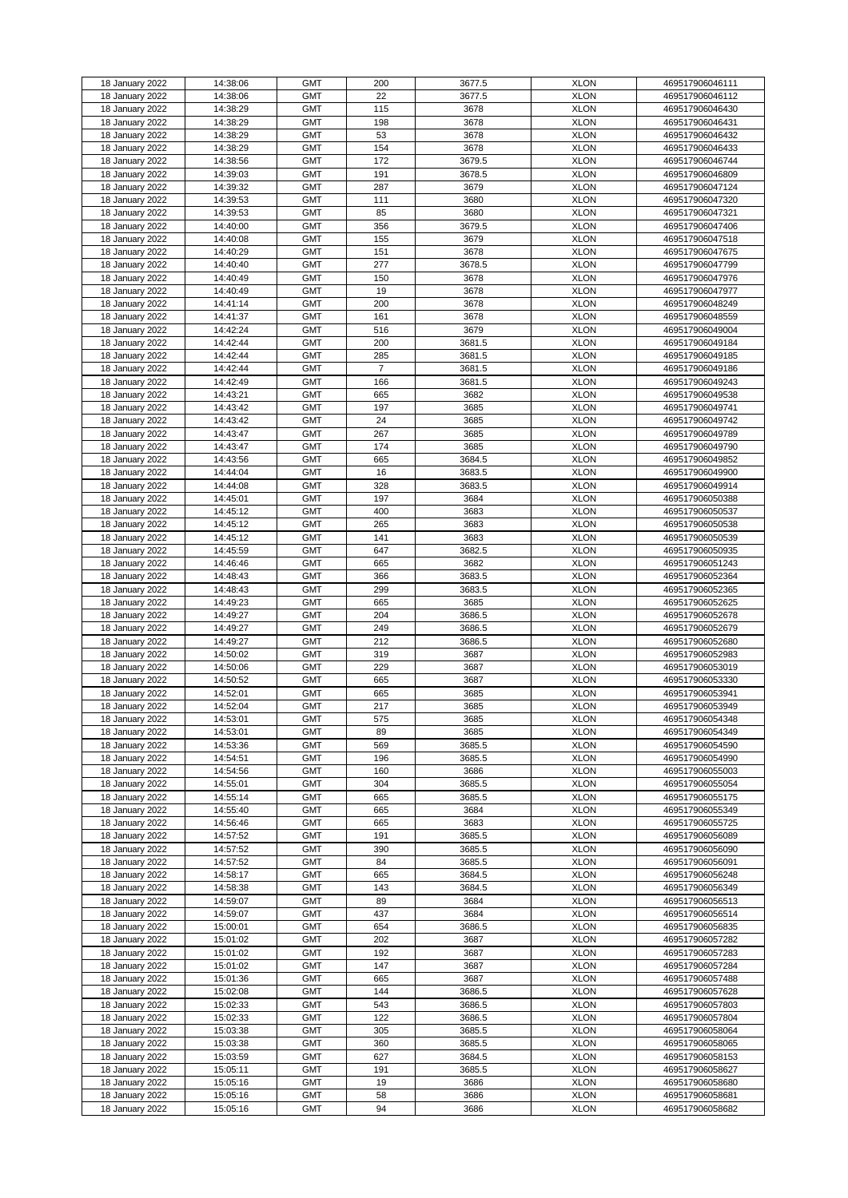|                 |          | <b>GMT</b> | 200            |        | <b>XLON</b> | 469517906046111 |
|-----------------|----------|------------|----------------|--------|-------------|-----------------|
| 18 January 2022 | 14:38:06 |            |                | 3677.5 |             |                 |
| 18 January 2022 | 14:38:06 | <b>GMT</b> | 22             | 3677.5 | <b>XLON</b> | 469517906046112 |
| 18 January 2022 | 14:38:29 | <b>GMT</b> | 115            | 3678   | <b>XLON</b> | 469517906046430 |
| 18 January 2022 | 14:38:29 | <b>GMT</b> | 198            | 3678   | <b>XLON</b> | 469517906046431 |
| 18 January 2022 | 14:38:29 | <b>GMT</b> | 53             | 3678   | <b>XLON</b> | 469517906046432 |
| 18 January 2022 |          | <b>GMT</b> | 154            | 3678   | <b>XLON</b> | 469517906046433 |
|                 | 14:38:29 |            |                |        |             |                 |
| 18 January 2022 | 14:38:56 | <b>GMT</b> | 172            | 3679.5 | <b>XLON</b> | 469517906046744 |
| 18 January 2022 | 14:39:03 | <b>GMT</b> | 191            | 3678.5 | <b>XLON</b> | 469517906046809 |
| 18 January 2022 | 14:39:32 | <b>GMT</b> | 287            | 3679   | <b>XLON</b> | 469517906047124 |
| 18 January 2022 | 14:39:53 | <b>GMT</b> | 111            | 3680   | <b>XLON</b> | 469517906047320 |
|                 |          | <b>GMT</b> |                | 3680   | <b>XLON</b> |                 |
| 18 January 2022 | 14:39:53 |            | 85             |        |             | 469517906047321 |
| 18 January 2022 | 14:40:00 | <b>GMT</b> | 356            | 3679.5 | <b>XLON</b> | 469517906047406 |
| 18 January 2022 | 14:40:08 | <b>GMT</b> | 155            | 3679   | <b>XLON</b> | 469517906047518 |
| 18 January 2022 | 14:40:29 | <b>GMT</b> | 151            | 3678   | <b>XLON</b> | 469517906047675 |
| 18 January 2022 | 14:40:40 | <b>GMT</b> | 277            | 3678.5 | <b>XLON</b> | 469517906047799 |
| 18 January 2022 | 14:40:49 | <b>GMT</b> | 150            | 3678   | <b>XLON</b> | 469517906047976 |
|                 |          |            |                |        |             |                 |
| 18 January 2022 | 14:40:49 | <b>GMT</b> | 19             | 3678   | <b>XLON</b> | 469517906047977 |
| 18 January 2022 | 14:41:14 | <b>GMT</b> | 200            | 3678   | <b>XLON</b> | 469517906048249 |
| 18 January 2022 | 14:41:37 | <b>GMT</b> | 161            | 3678   | <b>XLON</b> | 469517906048559 |
| 18 January 2022 | 14:42:24 | <b>GMT</b> | 516            | 3679   | <b>XLON</b> | 469517906049004 |
| 18 January 2022 | 14:42:44 | <b>GMT</b> | 200            | 3681.5 | <b>XLON</b> | 469517906049184 |
|                 |          | <b>GMT</b> | 285            | 3681.5 | <b>XLON</b> |                 |
| 18 January 2022 | 14:42:44 |            |                |        |             | 469517906049185 |
| 18 January 2022 | 14:42:44 | <b>GMT</b> | $\overline{7}$ | 3681.5 | <b>XLON</b> | 469517906049186 |
| 18 January 2022 | 14:42:49 | <b>GMT</b> | 166            | 3681.5 | <b>XLON</b> | 469517906049243 |
| 18 January 2022 | 14:43:21 | <b>GMT</b> | 665            | 3682   | <b>XLON</b> | 469517906049538 |
| 18 January 2022 | 14:43:42 | <b>GMT</b> | 197            | 3685   | <b>XLON</b> | 469517906049741 |
| 18 January 2022 | 14:43:42 | <b>GMT</b> | 24             | 3685   | <b>XLON</b> | 469517906049742 |
|                 |          |            |                |        |             |                 |
| 18 January 2022 | 14:43:47 | <b>GMT</b> | 267            | 3685   | <b>XLON</b> | 469517906049789 |
| 18 January 2022 | 14:43:47 | <b>GMT</b> | 174            | 3685   | <b>XLON</b> | 469517906049790 |
| 18 January 2022 | 14:43:56 | <b>GMT</b> | 665            | 3684.5 | <b>XLON</b> | 469517906049852 |
| 18 January 2022 | 14:44:04 | <b>GMT</b> | 16             | 3683.5 | <b>XLON</b> | 469517906049900 |
| 18 January 2022 | 14:44:08 | <b>GMT</b> | 328            | 3683.5 | <b>XLON</b> | 469517906049914 |
|                 |          |            |                |        |             |                 |
| 18 January 2022 | 14:45:01 | <b>GMT</b> | 197            | 3684   | <b>XLON</b> | 469517906050388 |
| 18 January 2022 | 14:45:12 | <b>GMT</b> | 400            | 3683   | <b>XLON</b> | 469517906050537 |
| 18 January 2022 | 14:45:12 | <b>GMT</b> | 265            | 3683   | <b>XLON</b> | 469517906050538 |
| 18 January 2022 | 14:45:12 | <b>GMT</b> | 141            | 3683   | <b>XLON</b> | 469517906050539 |
|                 | 14:45:59 | <b>GMT</b> | 647            | 3682.5 | <b>XLON</b> | 469517906050935 |
| 18 January 2022 |          |            |                |        |             |                 |
| 18 January 2022 | 14:46:46 | <b>GMT</b> | 665            | 3682   | <b>XLON</b> | 469517906051243 |
| 18 January 2022 | 14:48:43 | <b>GMT</b> | 366            | 3683.5 | <b>XLON</b> | 469517906052364 |
| 18 January 2022 | 14:48:43 | <b>GMT</b> | 299            | 3683.5 | <b>XLON</b> | 469517906052365 |
| 18 January 2022 | 14:49:23 | <b>GMT</b> | 665            | 3685   | <b>XLON</b> | 469517906052625 |
| 18 January 2022 | 14:49:27 | <b>GMT</b> | 204            | 3686.5 | <b>XLON</b> | 469517906052678 |
|                 |          |            |                |        |             |                 |
| 18 January 2022 | 14:49:27 | <b>GMT</b> | 249            | 3686.5 | <b>XLON</b> | 469517906052679 |
| 18 January 2022 | 14:49:27 | <b>GMT</b> | 212            | 3686.5 | <b>XLON</b> | 469517906052680 |
| 18 January 2022 | 14:50:02 | <b>GMT</b> | 319            | 3687   | <b>XLON</b> | 469517906052983 |
| 18 January 2022 | 14:50:06 | <b>GMT</b> | 229            | 3687   | <b>XLON</b> | 469517906053019 |
| 18 January 2022 | 14:50:52 | <b>GMT</b> | 665            | 3687   | <b>XLON</b> | 469517906053330 |
|                 |          | <b>GMT</b> |                |        |             |                 |
| 18 January 2022 | 14:52:01 |            | 665            | 3685   | <b>XLON</b> | 469517906053941 |
| 18 January 2022 | 14:52:04 | <b>GMT</b> | 217            | 3685   | <b>XLON</b> | 469517906053949 |
| 18 January 2022 | 14:53:01 | <b>GMT</b> | 575            | 3685   | <b>XLON</b> | 469517906054348 |
| 18 January 2022 | 14:53:01 | <b>GMT</b> | 89             | 3685   | <b>XLON</b> | 469517906054349 |
| 18 January 2022 | 14:53:36 | <b>GMT</b> | 569            | 3685.5 | <b>XLON</b> | 469517906054590 |
| 18 January 2022 | 14:54:51 | <b>GMT</b> | 196            | 3685.5 | <b>XLON</b> | 469517906054990 |
|                 |          | <b>GMT</b> |                |        |             |                 |
| 18 January 2022 | 14:54:56 |            | 160            | 3686   | <b>XLON</b> | 469517906055003 |
| 18 January 2022 | 14:55:01 | <b>GMT</b> | 304            | 3685.5 | <b>XLON</b> | 469517906055054 |
| 18 January 2022 | 14:55:14 | <b>GMT</b> | 665            | 3685.5 | <b>XLON</b> | 469517906055175 |
| 18 January 2022 | 14:55:40 | <b>GMT</b> | 665            | 3684   | <b>XLON</b> | 469517906055349 |
| 18 January 2022 | 14:56:46 | <b>GMT</b> | 665            | 3683   | <b>XLON</b> | 469517906055725 |
| 18 January 2022 | 14:57:52 | <b>GMT</b> | 191            | 3685.5 | <b>XLON</b> | 469517906056089 |
| 18 January 2022 | 14:57:52 | <b>GMT</b> | 390            | 3685.5 | <b>XLON</b> | 469517906056090 |
|                 |          |            |                |        |             |                 |
| 18 January 2022 | 14:57:52 | <b>GMT</b> | 84             | 3685.5 | <b>XLON</b> | 469517906056091 |
| 18 January 2022 | 14:58:17 | <b>GMT</b> | 665            | 3684.5 | <b>XLON</b> | 469517906056248 |
| 18 January 2022 | 14:58:38 | <b>GMT</b> | 143            | 3684.5 | <b>XLON</b> | 469517906056349 |
| 18 January 2022 | 14:59:07 | <b>GMT</b> | 89             | 3684   | <b>XLON</b> | 469517906056513 |
| 18 January 2022 | 14:59:07 | <b>GMT</b> | 437            | 3684   | <b>XLON</b> | 469517906056514 |
| 18 January 2022 | 15:00:01 |            | 654            |        |             |                 |
|                 |          | <b>GMT</b> |                | 3686.5 | <b>XLON</b> | 469517906056835 |
| 18 January 2022 | 15:01:02 | <b>GMT</b> | 202            | 3687   | <b>XLON</b> | 469517906057282 |
| 18 January 2022 | 15:01:02 | <b>GMT</b> | 192            | 3687   | <b>XLON</b> | 469517906057283 |
| 18 January 2022 | 15:01:02 | <b>GMT</b> | 147            | 3687   | <b>XLON</b> | 469517906057284 |
| 18 January 2022 | 15:01:36 | <b>GMT</b> | 665            | 3687   | <b>XLON</b> | 469517906057488 |
| 18 January 2022 | 15:02:08 | <b>GMT</b> | 144            | 3686.5 | <b>XLON</b> | 469517906057628 |
|                 |          |            |                |        |             |                 |
| 18 January 2022 | 15:02:33 | <b>GMT</b> | 543            | 3686.5 | <b>XLON</b> | 469517906057803 |
| 18 January 2022 | 15:02:33 | <b>GMT</b> | 122            | 3686.5 | <b>XLON</b> | 469517906057804 |
| 18 January 2022 | 15:03:38 | <b>GMT</b> | 305            | 3685.5 | <b>XLON</b> | 469517906058064 |
| 18 January 2022 | 15:03:38 | <b>GMT</b> | 360            | 3685.5 | <b>XLON</b> | 469517906058065 |
| 18 January 2022 | 15:03:59 | <b>GMT</b> | 627            | 3684.5 | <b>XLON</b> | 469517906058153 |
| 18 January 2022 | 15:05:11 | <b>GMT</b> | 191            | 3685.5 | <b>XLON</b> | 469517906058627 |
|                 |          |            |                |        |             |                 |
| 18 January 2022 | 15:05:16 | <b>GMT</b> | 19             | 3686   | <b>XLON</b> | 469517906058680 |
| 18 January 2022 | 15:05:16 | <b>GMT</b> | 58             | 3686   | <b>XLON</b> | 469517906058681 |
| 18 January 2022 | 15:05:16 | <b>GMT</b> | 94             | 3686   | <b>XLON</b> | 469517906058682 |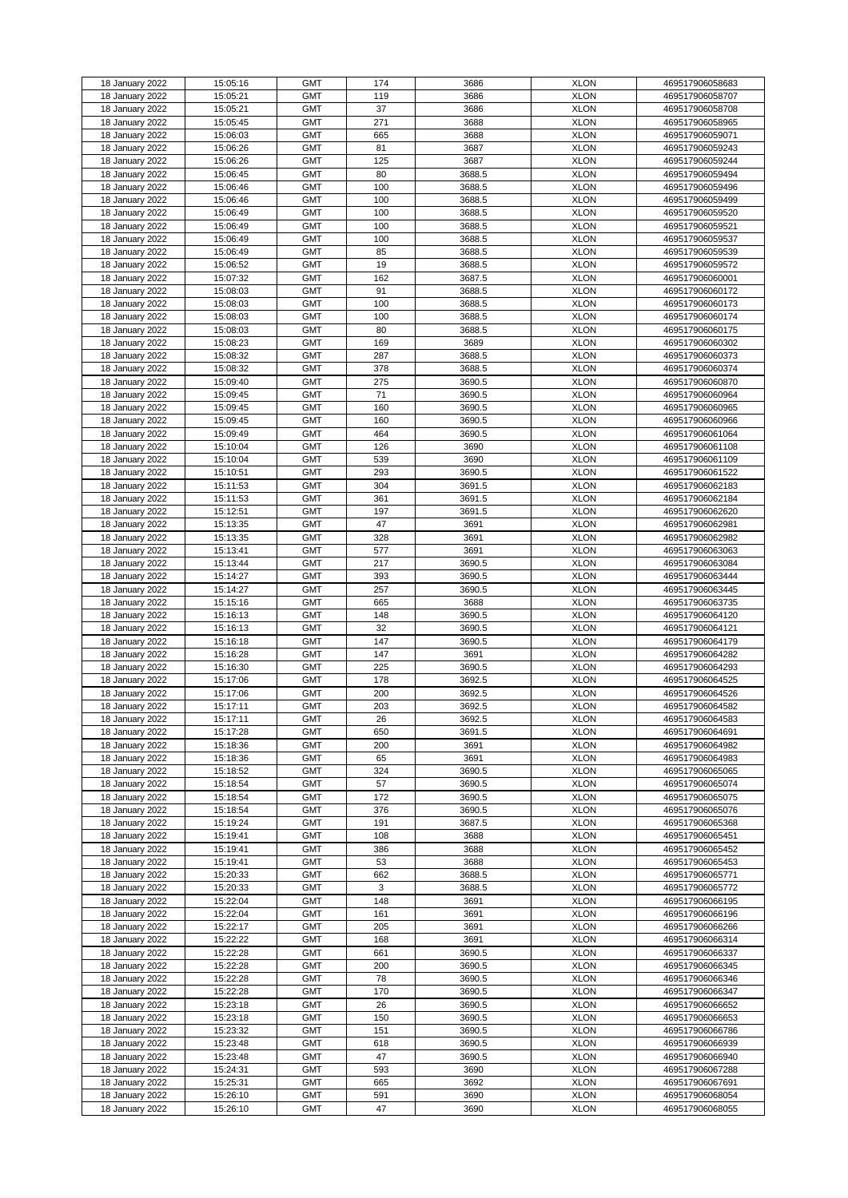| 18 January 2022 | 15:05:16 | <b>GMT</b> | 174 | 3686   | <b>XLON</b> | 469517906058683 |
|-----------------|----------|------------|-----|--------|-------------|-----------------|
|                 |          |            |     |        |             |                 |
| 18 January 2022 | 15:05:21 | <b>GMT</b> | 119 | 3686   | <b>XLON</b> | 469517906058707 |
| 18 January 2022 | 15:05:21 | <b>GMT</b> | 37  | 3686   | <b>XLON</b> | 469517906058708 |
| 18 January 2022 | 15:05:45 | <b>GMT</b> | 271 | 3688   | <b>XLON</b> | 469517906058965 |
| 18 January 2022 | 15:06:03 | <b>GMT</b> | 665 | 3688   | <b>XLON</b> | 469517906059071 |
| 18 January 2022 | 15:06:26 | <b>GMT</b> | 81  | 3687   | <b>XLON</b> | 469517906059243 |
|                 |          |            |     |        |             |                 |
| 18 January 2022 | 15:06:26 | <b>GMT</b> | 125 | 3687   | <b>XLON</b> | 469517906059244 |
| 18 January 2022 | 15:06:45 | <b>GMT</b> | 80  | 3688.5 | <b>XLON</b> | 469517906059494 |
| 18 January 2022 | 15:06:46 | <b>GMT</b> | 100 | 3688.5 | <b>XLON</b> | 469517906059496 |
| 18 January 2022 | 15:06:46 | <b>GMT</b> | 100 | 3688.5 | <b>XLON</b> | 469517906059499 |
| 18 January 2022 | 15:06:49 | <b>GMT</b> | 100 | 3688.5 | <b>XLON</b> | 469517906059520 |
|                 |          |            |     |        |             |                 |
| 18 January 2022 | 15:06:49 | <b>GMT</b> | 100 | 3688.5 | <b>XLON</b> | 469517906059521 |
| 18 January 2022 | 15:06:49 | <b>GMT</b> | 100 | 3688.5 | <b>XLON</b> | 469517906059537 |
| 18 January 2022 | 15:06:49 | <b>GMT</b> | 85  | 3688.5 | <b>XLON</b> | 469517906059539 |
| 18 January 2022 | 15:06:52 | <b>GMT</b> | 19  | 3688.5 | <b>XLON</b> | 469517906059572 |
| 18 January 2022 | 15:07:32 | <b>GMT</b> | 162 | 3687.5 | <b>XLON</b> | 469517906060001 |
|                 |          |            |     |        |             |                 |
| 18 January 2022 | 15:08:03 | <b>GMT</b> | 91  | 3688.5 | <b>XLON</b> | 469517906060172 |
| 18 January 2022 | 15:08:03 | <b>GMT</b> | 100 | 3688.5 | <b>XLON</b> | 469517906060173 |
| 18 January 2022 | 15:08:03 | <b>GMT</b> | 100 | 3688.5 | <b>XLON</b> | 469517906060174 |
| 18 January 2022 | 15:08:03 | <b>GMT</b> | 80  | 3688.5 | <b>XLON</b> | 469517906060175 |
| 18 January 2022 | 15:08:23 | <b>GMT</b> | 169 | 3689   | <b>XLON</b> | 469517906060302 |
|                 | 15:08:32 | <b>GMT</b> | 287 | 3688.5 | <b>XLON</b> |                 |
| 18 January 2022 |          |            |     |        |             | 469517906060373 |
| 18 January 2022 | 15:08:32 | <b>GMT</b> | 378 | 3688.5 | <b>XLON</b> | 469517906060374 |
| 18 January 2022 | 15:09:40 | <b>GMT</b> | 275 | 3690.5 | <b>XLON</b> | 469517906060870 |
| 18 January 2022 | 15:09:45 | <b>GMT</b> | 71  | 3690.5 | <b>XLON</b> | 469517906060964 |
| 18 January 2022 | 15:09:45 | <b>GMT</b> | 160 | 3690.5 | <b>XLON</b> | 469517906060965 |
| 18 January 2022 | 15:09:45 | <b>GMT</b> | 160 | 3690.5 | <b>XLON</b> | 469517906060966 |
|                 |          |            |     |        |             |                 |
| 18 January 2022 | 15:09:49 | <b>GMT</b> | 464 | 3690.5 | <b>XLON</b> | 469517906061064 |
| 18 January 2022 | 15:10:04 | <b>GMT</b> | 126 | 3690   | <b>XLON</b> | 469517906061108 |
| 18 January 2022 | 15:10:04 | <b>GMT</b> | 539 | 3690   | <b>XLON</b> | 469517906061109 |
| 18 January 2022 | 15:10:51 | <b>GMT</b> | 293 | 3690.5 | <b>XLON</b> | 469517906061522 |
| 18 January 2022 | 15:11:53 | <b>GMT</b> | 304 | 3691.5 | <b>XLON</b> | 469517906062183 |
|                 |          |            |     |        |             |                 |
| 18 January 2022 | 15:11:53 | <b>GMT</b> | 361 | 3691.5 | <b>XLON</b> | 469517906062184 |
| 18 January 2022 | 15:12:51 | <b>GMT</b> | 197 | 3691.5 | <b>XLON</b> | 469517906062620 |
| 18 January 2022 | 15:13:35 | <b>GMT</b> | 47  | 3691   | <b>XLON</b> | 469517906062981 |
| 18 January 2022 | 15:13:35 | <b>GMT</b> | 328 | 3691   | <b>XLON</b> | 469517906062982 |
| 18 January 2022 | 15:13:41 | <b>GMT</b> | 577 | 3691   | <b>XLON</b> | 469517906063063 |
|                 |          | <b>GMT</b> |     |        |             |                 |
| 18 January 2022 | 15:13:44 |            | 217 | 3690.5 | <b>XLON</b> | 469517906063084 |
| 18 January 2022 | 15:14:27 | <b>GMT</b> | 393 | 3690.5 | <b>XLON</b> | 469517906063444 |
| 18 January 2022 | 15:14:27 | <b>GMT</b> | 257 | 3690.5 | <b>XLON</b> | 469517906063445 |
| 18 January 2022 | 15:15:16 | <b>GMT</b> | 665 | 3688   | <b>XLON</b> | 469517906063735 |
| 18 January 2022 | 15:16:13 | <b>GMT</b> | 148 | 3690.5 | <b>XLON</b> | 469517906064120 |
|                 | 15:16:13 | <b>GMT</b> | 32  | 3690.5 | <b>XLON</b> | 469517906064121 |
| 18 January 2022 |          |            |     |        |             |                 |
| 18 January 2022 | 15:16:18 | <b>GMT</b> | 147 | 3690.5 | <b>XLON</b> | 469517906064179 |
| 18 January 2022 | 15:16:28 | <b>GMT</b> | 147 | 3691   | <b>XLON</b> | 469517906064282 |
| 18 January 2022 | 15:16:30 | <b>GMT</b> | 225 | 3690.5 | <b>XLON</b> | 469517906064293 |
| 18 January 2022 | 15:17:06 | <b>GMT</b> | 178 | 3692.5 | <b>XLON</b> | 469517906064525 |
| 18 January 2022 | 15:17:06 | <b>GMT</b> | 200 | 3692.5 | <b>XLON</b> | 469517906064526 |
|                 |          |            |     |        |             |                 |
| 18 January 2022 | 15:17:11 | <b>GMT</b> | 203 | 3692.5 | <b>XLON</b> | 469517906064582 |
| 18 January 2022 | 15:17:11 | <b>GMT</b> | 26  | 3692.5 | <b>XLON</b> | 469517906064583 |
| 18 January 2022 | 15:17:28 | <b>GMT</b> | 650 | 3691.5 | <b>XLON</b> | 469517906064691 |
| 18 January 2022 | 15:18:36 | <b>GMT</b> | 200 | 3691   | <b>XLON</b> | 469517906064982 |
| 18 January 2022 | 15:18:36 | <b>GMT</b> | 65  | 3691   | <b>XLON</b> | 469517906064983 |
| 18 January 2022 | 15:18:52 | <b>GMT</b> | 324 | 3690.5 | <b>XLON</b> | 469517906065065 |
|                 |          |            |     |        |             |                 |
| 18 January 2022 | 15:18:54 | <b>GMT</b> | 57  | 3690.5 | <b>XLON</b> | 469517906065074 |
| 18 January 2022 | 15:18:54 | <b>GMT</b> | 172 | 3690.5 | <b>XLON</b> | 469517906065075 |
| 18 January 2022 | 15:18:54 | <b>GMT</b> | 376 | 3690.5 | <b>XLON</b> | 469517906065076 |
| 18 January 2022 | 15:19:24 | <b>GMT</b> | 191 | 3687.5 | <b>XLON</b> | 469517906065368 |
| 18 January 2022 | 15:19:41 | <b>GMT</b> | 108 | 3688   | <b>XLON</b> | 469517906065451 |
| 18 January 2022 | 15:19:41 | <b>GMT</b> | 386 | 3688   | <b>XLON</b> | 469517906065452 |
| 18 January 2022 | 15:19:41 | <b>GMT</b> | 53  | 3688   | <b>XLON</b> | 469517906065453 |
|                 |          |            |     |        |             |                 |
| 18 January 2022 | 15:20:33 | <b>GMT</b> | 662 | 3688.5 | <b>XLON</b> | 469517906065771 |
| 18 January 2022 | 15:20:33 | <b>GMT</b> | 3   | 3688.5 | <b>XLON</b> | 469517906065772 |
| 18 January 2022 | 15:22:04 | <b>GMT</b> | 148 | 3691   | <b>XLON</b> | 469517906066195 |
| 18 January 2022 | 15:22:04 | <b>GMT</b> | 161 | 3691   | <b>XLON</b> | 469517906066196 |
| 18 January 2022 | 15:22:17 | <b>GMT</b> | 205 | 3691   | <b>XLON</b> | 469517906066266 |
|                 |          |            |     |        |             |                 |
| 18 January 2022 | 15:22:22 | <b>GMT</b> | 168 | 3691   | <b>XLON</b> | 469517906066314 |
| 18 January 2022 | 15:22:28 | <b>GMT</b> | 661 | 3690.5 | <b>XLON</b> | 469517906066337 |
| 18 January 2022 | 15:22:28 | <b>GMT</b> | 200 | 3690.5 | <b>XLON</b> | 469517906066345 |
| 18 January 2022 | 15:22:28 | <b>GMT</b> | 78  | 3690.5 | <b>XLON</b> | 469517906066346 |
| 18 January 2022 | 15:22:28 | <b>GMT</b> | 170 | 3690.5 | <b>XLON</b> | 469517906066347 |
| 18 January 2022 |          | <b>GMT</b> | 26  | 3690.5 | <b>XLON</b> |                 |
|                 | 15:23:18 |            |     |        |             | 469517906066652 |
| 18 January 2022 | 15:23:18 | <b>GMT</b> | 150 | 3690.5 | <b>XLON</b> | 469517906066653 |
| 18 January 2022 | 15:23:32 | <b>GMT</b> | 151 | 3690.5 | <b>XLON</b> | 469517906066786 |
| 18 January 2022 | 15:23:48 | <b>GMT</b> | 618 | 3690.5 | <b>XLON</b> | 469517906066939 |
| 18 January 2022 | 15:23:48 | <b>GMT</b> | 47  | 3690.5 | <b>XLON</b> | 469517906066940 |
| 18 January 2022 | 15:24:31 | <b>GMT</b> | 593 | 3690   | <b>XLON</b> | 469517906067288 |
|                 |          |            |     |        |             |                 |
| 18 January 2022 | 15:25:31 | <b>GMT</b> | 665 | 3692   | <b>XLON</b> | 469517906067691 |
| 18 January 2022 | 15:26:10 | <b>GMT</b> | 591 | 3690   | <b>XLON</b> | 469517906068054 |
| 18 January 2022 | 15:26:10 | <b>GMT</b> | 47  | 3690   | <b>XLON</b> | 469517906068055 |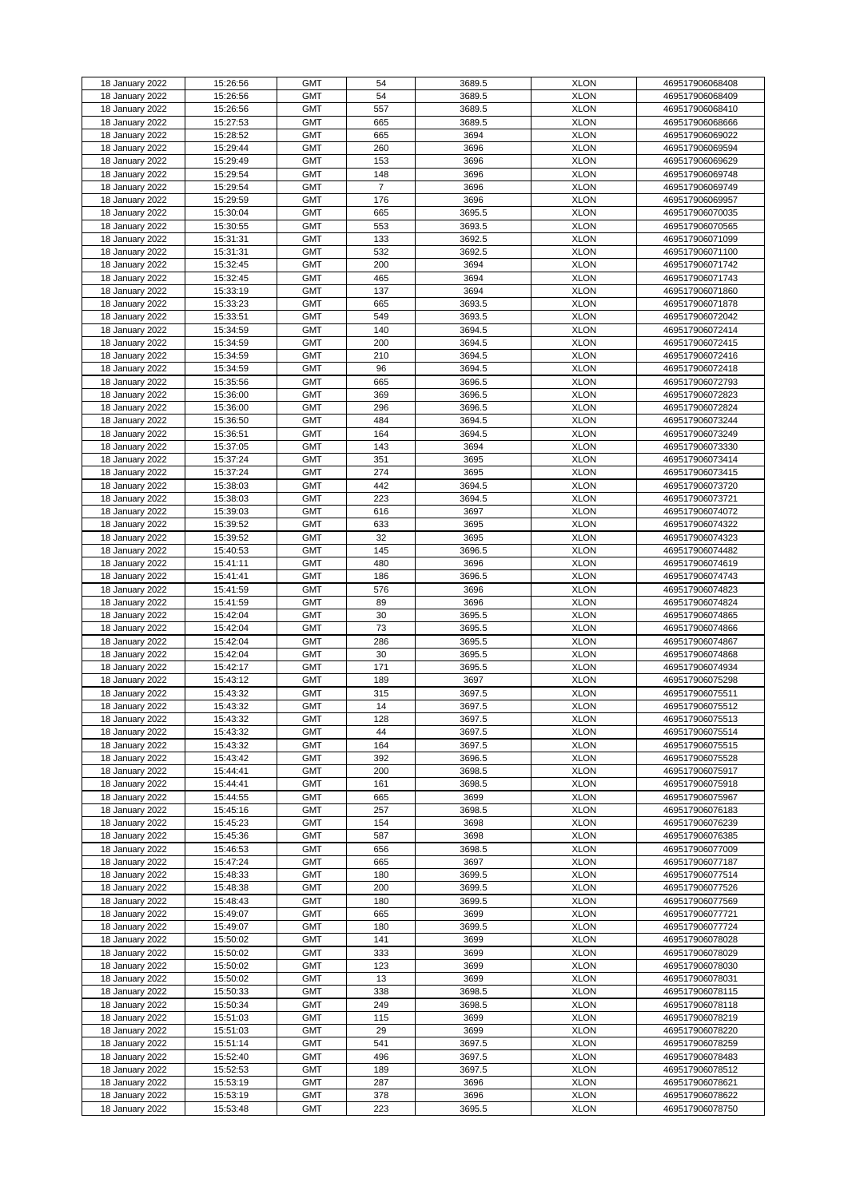| 18 January 2022 | 15:26:56 | <b>GMT</b> | 54             | 3689.5 | <b>XLON</b> | 469517906068408 |
|-----------------|----------|------------|----------------|--------|-------------|-----------------|
| 18 January 2022 | 15:26:56 | <b>GMT</b> | 54             | 3689.5 | <b>XLON</b> | 469517906068409 |
| 18 January 2022 | 15:26:56 | <b>GMT</b> | 557            | 3689.5 | <b>XLON</b> | 469517906068410 |
|                 |          | <b>GMT</b> |                |        | <b>XLON</b> |                 |
| 18 January 2022 | 15:27:53 |            | 665            | 3689.5 |             | 469517906068666 |
| 18 January 2022 | 15:28:52 | <b>GMT</b> | 665            | 3694   | <b>XLON</b> | 469517906069022 |
| 18 January 2022 | 15:29:44 | <b>GMT</b> | 260            | 3696   | <b>XLON</b> | 469517906069594 |
| 18 January 2022 | 15:29:49 | <b>GMT</b> | 153            | 3696   | <b>XLON</b> | 469517906069629 |
|                 |          |            |                |        |             |                 |
| 18 January 2022 | 15:29:54 | <b>GMT</b> | 148            | 3696   | <b>XLON</b> | 469517906069748 |
| 18 January 2022 | 15:29:54 | <b>GMT</b> | $\overline{7}$ | 3696   | <b>XLON</b> | 469517906069749 |
| 18 January 2022 | 15:29:59 | <b>GMT</b> | 176            | 3696   | <b>XLON</b> | 469517906069957 |
| 18 January 2022 | 15:30:04 | <b>GMT</b> | 665            | 3695.5 | <b>XLON</b> | 469517906070035 |
|                 |          |            |                |        |             |                 |
| 18 January 2022 | 15:30:55 | <b>GMT</b> | 553            | 3693.5 | <b>XLON</b> | 469517906070565 |
| 18 January 2022 | 15:31:31 | <b>GMT</b> | 133            | 3692.5 | <b>XLON</b> | 469517906071099 |
| 18 January 2022 | 15:31:31 | <b>GMT</b> | 532            | 3692.5 | <b>XLON</b> | 469517906071100 |
| 18 January 2022 | 15:32:45 | <b>GMT</b> | 200            | 3694   | <b>XLON</b> | 469517906071742 |
|                 |          |            |                |        |             |                 |
| 18 January 2022 | 15:32:45 | <b>GMT</b> | 465            | 3694   | <b>XLON</b> | 469517906071743 |
| 18 January 2022 | 15:33:19 | <b>GMT</b> | 137            | 3694   | <b>XLON</b> | 469517906071860 |
| 18 January 2022 | 15:33:23 | <b>GMT</b> | 665            | 3693.5 | <b>XLON</b> | 469517906071878 |
| 18 January 2022 | 15:33:51 | <b>GMT</b> | 549            | 3693.5 | <b>XLON</b> | 469517906072042 |
| 18 January 2022 | 15:34:59 | <b>GMT</b> | 140            | 3694.5 | <b>XLON</b> | 469517906072414 |
|                 |          |            |                |        |             |                 |
| 18 January 2022 | 15:34:59 | <b>GMT</b> | 200            | 3694.5 | <b>XLON</b> | 469517906072415 |
| 18 January 2022 | 15:34:59 | <b>GMT</b> | 210            | 3694.5 | <b>XLON</b> | 469517906072416 |
| 18 January 2022 | 15:34:59 | <b>GMT</b> | 96             | 3694.5 | <b>XLON</b> | 469517906072418 |
| 18 January 2022 | 15:35:56 | <b>GMT</b> | 665            | 3696.5 | <b>XLON</b> | 469517906072793 |
|                 |          |            |                |        |             |                 |
| 18 January 2022 | 15:36:00 | <b>GMT</b> | 369            | 3696.5 | <b>XLON</b> | 469517906072823 |
| 18 January 2022 | 15:36:00 | <b>GMT</b> | 296            | 3696.5 | <b>XLON</b> | 469517906072824 |
| 18 January 2022 | 15:36:50 | <b>GMT</b> | 484            | 3694.5 | <b>XLON</b> | 469517906073244 |
| 18 January 2022 | 15:36:51 | <b>GMT</b> | 164            | 3694.5 | <b>XLON</b> | 469517906073249 |
|                 |          |            |                |        |             |                 |
| 18 January 2022 | 15:37:05 | <b>GMT</b> | 143            | 3694   | <b>XLON</b> | 469517906073330 |
| 18 January 2022 | 15:37:24 | <b>GMT</b> | 351            | 3695   | <b>XLON</b> | 469517906073414 |
| 18 January 2022 | 15:37:24 | <b>GMT</b> | 274            | 3695   | <b>XLON</b> | 469517906073415 |
| 18 January 2022 | 15:38:03 | <b>GMT</b> | 442            | 3694.5 | <b>XLON</b> | 469517906073720 |
|                 | 15:38:03 | <b>GMT</b> |                |        |             |                 |
| 18 January 2022 |          |            | 223            | 3694.5 | <b>XLON</b> | 469517906073721 |
| 18 January 2022 | 15:39:03 | <b>GMT</b> | 616            | 3697   | <b>XLON</b> | 469517906074072 |
| 18 January 2022 | 15:39:52 | <b>GMT</b> | 633            | 3695   | <b>XLON</b> | 469517906074322 |
| 18 January 2022 | 15:39:52 | <b>GMT</b> | 32             | 3695   | <b>XLON</b> | 469517906074323 |
|                 |          |            |                |        |             |                 |
| 18 January 2022 | 15:40:53 | <b>GMT</b> | 145            | 3696.5 | <b>XLON</b> | 469517906074482 |
| 18 January 2022 | 15:41:11 | <b>GMT</b> | 480            | 3696   | <b>XLON</b> | 469517906074619 |
| 18 January 2022 | 15:41:41 | <b>GMT</b> | 186            | 3696.5 | <b>XLON</b> | 469517906074743 |
| 18 January 2022 | 15:41:59 | <b>GMT</b> | 576            | 3696   | <b>XLON</b> | 469517906074823 |
| 18 January 2022 | 15:41:59 | <b>GMT</b> | 89             | 3696   | <b>XLON</b> | 469517906074824 |
|                 |          |            |                |        |             |                 |
| 18 January 2022 | 15:42:04 | <b>GMT</b> | 30             | 3695.5 | <b>XLON</b> | 469517906074865 |
| 18 January 2022 | 15:42:04 | <b>GMT</b> | 73             | 3695.5 | <b>XLON</b> | 469517906074866 |
| 18 January 2022 | 15:42:04 | <b>GMT</b> | 286            | 3695.5 | <b>XLON</b> | 469517906074867 |
| 18 January 2022 | 15:42:04 | <b>GMT</b> | 30             | 3695.5 | <b>XLON</b> | 469517906074868 |
|                 |          |            |                |        |             |                 |
| 18 January 2022 | 15:42:17 | <b>GMT</b> | 171            | 3695.5 | <b>XLON</b> | 469517906074934 |
| 18 January 2022 | 15:43:12 | <b>GMT</b> | 189            | 3697   | <b>XLON</b> | 469517906075298 |
| 18 January 2022 | 15:43:32 | <b>GMT</b> | 315            | 3697.5 | <b>XLON</b> | 469517906075511 |
| 18 January 2022 | 15:43:32 | <b>GMT</b> | 14             | 3697.5 | <b>XLON</b> | 469517906075512 |
|                 |          | <b>GMT</b> | 128            |        |             |                 |
| 18 January 2022 | 15:43:32 |            |                | 3697.5 | <b>XLON</b> | 469517906075513 |
| 18 January 2022 | 15:43:32 | <b>GMT</b> | 44             | 3697.5 | <b>XLON</b> | 469517906075514 |
| 18 January 2022 | 15:43:32 | <b>GMT</b> | 164            | 3697.5 | <b>XLON</b> | 469517906075515 |
| 18 January 2022 | 15:43:42 | <b>GMT</b> | 392            | 3696.5 | <b>XLON</b> | 469517906075528 |
| 18 January 2022 | 15:44:41 | <b>GMT</b> | 200            | 3698.5 | <b>XLON</b> | 469517906075917 |
|                 |          |            |                |        |             |                 |
| 18 January 2022 | 15:44:41 | <b>GMT</b> | 161            | 3698.5 | <b>XLON</b> | 469517906075918 |
| 18 January 2022 | 15:44:55 | <b>GMT</b> | 665            | 3699   | <b>XLON</b> | 469517906075967 |
| 18 January 2022 | 15:45:16 | <b>GMT</b> | 257            | 3698.5 | <b>XLON</b> | 469517906076183 |
| 18 January 2022 | 15:45:23 | <b>GMT</b> | 154            | 3698   | <b>XLON</b> | 469517906076239 |
| 18 January 2022 | 15:45:36 | <b>GMT</b> | 587            | 3698   | <b>XLON</b> | 469517906076385 |
|                 |          |            |                |        |             |                 |
| 18 January 2022 | 15:46:53 | <b>GMT</b> | 656            | 3698.5 | <b>XLON</b> | 469517906077009 |
| 18 January 2022 | 15:47:24 | <b>GMT</b> | 665            | 3697   | <b>XLON</b> | 469517906077187 |
| 18 January 2022 | 15:48:33 | <b>GMT</b> | 180            | 3699.5 | <b>XLON</b> | 469517906077514 |
| 18 January 2022 | 15:48:38 | <b>GMT</b> | 200            | 3699.5 | <b>XLON</b> | 469517906077526 |
|                 |          | <b>GMT</b> |                | 3699.5 | <b>XLON</b> |                 |
| 18 January 2022 | 15:48:43 |            | 180            |        |             | 469517906077569 |
| 18 January 2022 | 15:49:07 | <b>GMT</b> | 665            | 3699   | <b>XLON</b> | 469517906077721 |
| 18 January 2022 | 15:49:07 | <b>GMT</b> | 180            | 3699.5 | <b>XLON</b> | 469517906077724 |
| 18 January 2022 | 15:50:02 | <b>GMT</b> | 141            | 3699   | <b>XLON</b> | 469517906078028 |
| 18 January 2022 | 15:50:02 | <b>GMT</b> | 333            | 3699   | <b>XLON</b> | 469517906078029 |
|                 |          |            |                |        |             |                 |
| 18 January 2022 | 15:50:02 | <b>GMT</b> | 123            | 3699   | <b>XLON</b> | 469517906078030 |
| 18 January 2022 | 15:50:02 | <b>GMT</b> | 13             | 3699   | <b>XLON</b> | 469517906078031 |
| 18 January 2022 | 15:50:33 | <b>GMT</b> | 338            | 3698.5 | <b>XLON</b> | 469517906078115 |
| 18 January 2022 | 15:50:34 | <b>GMT</b> | 249            | 3698.5 | <b>XLON</b> | 469517906078118 |
| 18 January 2022 |          | <b>GMT</b> |                |        | <b>XLON</b> |                 |
|                 | 15:51:03 |            | 115            | 3699   |             | 469517906078219 |
| 18 January 2022 | 15:51:03 | <b>GMT</b> | 29             | 3699   | <b>XLON</b> | 469517906078220 |
| 18 January 2022 | 15:51:14 | <b>GMT</b> | 541            | 3697.5 | <b>XLON</b> | 469517906078259 |
| 18 January 2022 | 15:52:40 | <b>GMT</b> | 496            | 3697.5 | <b>XLON</b> | 469517906078483 |
| 18 January 2022 | 15:52:53 | <b>GMT</b> | 189            | 3697.5 | <b>XLON</b> | 469517906078512 |
|                 |          |            |                |        |             |                 |
| 18 January 2022 | 15:53:19 | <b>GMT</b> | 287            | 3696   | <b>XLON</b> | 469517906078621 |
| 18 January 2022 | 15:53:19 | <b>GMT</b> | 378            | 3696   | <b>XLON</b> | 469517906078622 |
| 18 January 2022 |          | <b>GMT</b> |                |        | <b>XLON</b> |                 |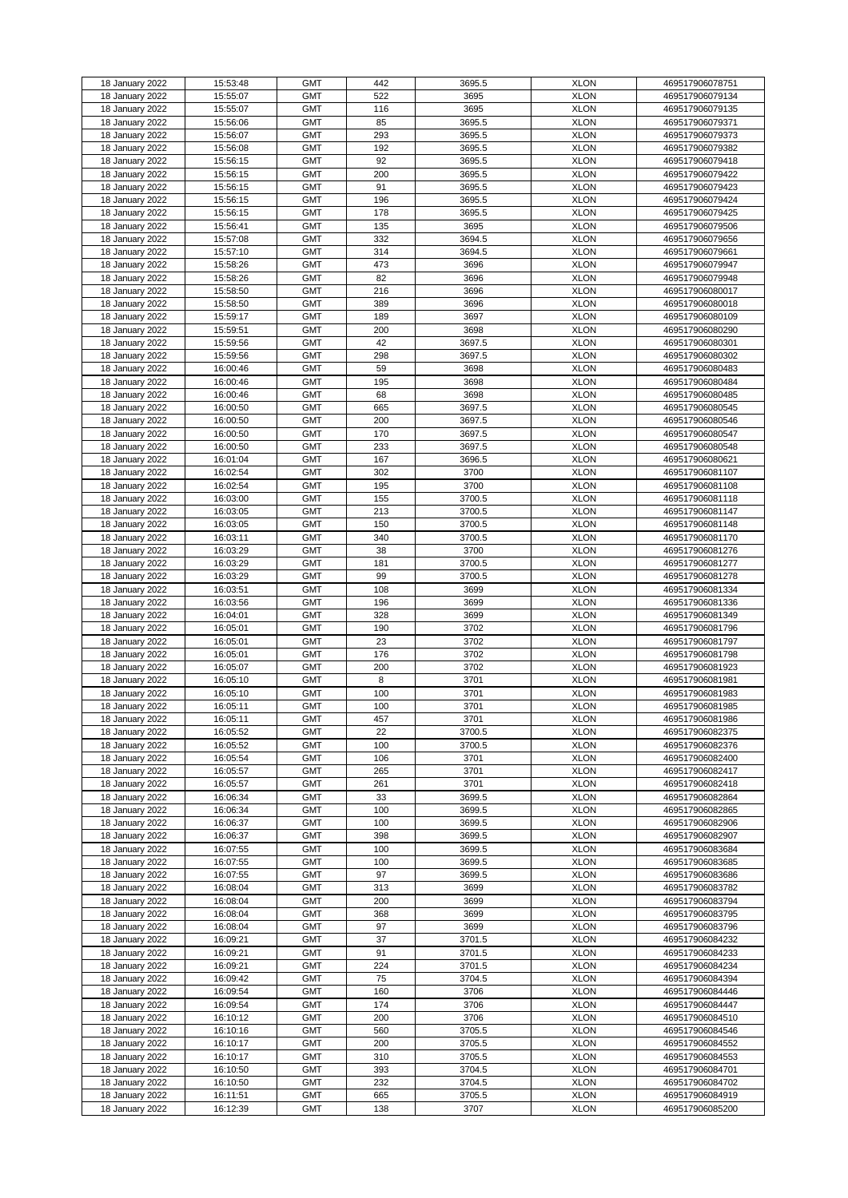|                 |          | <b>GMT</b> | 442 |        | <b>XLON</b> |                 |
|-----------------|----------|------------|-----|--------|-------------|-----------------|
| 18 January 2022 | 15:53:48 |            |     | 3695.5 |             | 469517906078751 |
| 18 January 2022 | 15:55:07 | <b>GMT</b> | 522 | 3695   | <b>XLON</b> | 469517906079134 |
| 18 January 2022 | 15:55:07 | <b>GMT</b> | 116 | 3695   | <b>XLON</b> | 469517906079135 |
| 18 January 2022 | 15:56:06 | <b>GMT</b> | 85  | 3695.5 | <b>XLON</b> | 469517906079371 |
| 18 January 2022 | 15:56:07 | <b>GMT</b> | 293 | 3695.5 | <b>XLON</b> | 469517906079373 |
|                 |          | <b>GMT</b> | 192 | 3695.5 | <b>XLON</b> | 469517906079382 |
| 18 January 2022 | 15:56:08 |            |     |        |             |                 |
| 18 January 2022 | 15:56:15 | <b>GMT</b> | 92  | 3695.5 | <b>XLON</b> | 469517906079418 |
| 18 January 2022 | 15:56:15 | <b>GMT</b> | 200 | 3695.5 | <b>XLON</b> | 469517906079422 |
| 18 January 2022 | 15:56:15 | <b>GMT</b> | 91  | 3695.5 | <b>XLON</b> | 469517906079423 |
| 18 January 2022 | 15:56:15 | <b>GMT</b> | 196 | 3695.5 | <b>XLON</b> | 469517906079424 |
| 18 January 2022 | 15:56:15 | <b>GMT</b> | 178 | 3695.5 | <b>XLON</b> | 469517906079425 |
|                 |          |            |     |        |             |                 |
| 18 January 2022 | 15:56:41 | <b>GMT</b> | 135 | 3695   | <b>XLON</b> | 469517906079506 |
| 18 January 2022 | 15:57:08 | <b>GMT</b> | 332 | 3694.5 | <b>XLON</b> | 469517906079656 |
| 18 January 2022 | 15:57:10 | <b>GMT</b> | 314 | 3694.5 | <b>XLON</b> | 469517906079661 |
| 18 January 2022 | 15:58:26 | <b>GMT</b> | 473 | 3696   | <b>XLON</b> | 469517906079947 |
| 18 January 2022 | 15:58:26 | <b>GMT</b> | 82  | 3696   | <b>XLON</b> | 469517906079948 |
|                 |          |            |     |        |             |                 |
| 18 January 2022 | 15:58:50 | <b>GMT</b> | 216 | 3696   | <b>XLON</b> | 469517906080017 |
| 18 January 2022 | 15:58:50 | <b>GMT</b> | 389 | 3696   | <b>XLON</b> | 469517906080018 |
| 18 January 2022 | 15:59:17 | <b>GMT</b> | 189 | 3697   | <b>XLON</b> | 469517906080109 |
| 18 January 2022 | 15:59:51 | <b>GMT</b> | 200 | 3698   | <b>XLON</b> | 469517906080290 |
| 18 January 2022 | 15:59:56 | <b>GMT</b> | 42  | 3697.5 | <b>XLON</b> | 469517906080301 |
| 18 January 2022 | 15:59:56 | <b>GMT</b> | 298 | 3697.5 | <b>XLON</b> |                 |
|                 |          |            |     |        |             | 469517906080302 |
| 18 January 2022 | 16:00:46 | <b>GMT</b> | 59  | 3698   | <b>XLON</b> | 469517906080483 |
| 18 January 2022 | 16:00:46 | <b>GMT</b> | 195 | 3698   | <b>XLON</b> | 469517906080484 |
| 18 January 2022 | 16:00:46 | <b>GMT</b> | 68  | 3698   | <b>XLON</b> | 469517906080485 |
| 18 January 2022 | 16:00:50 | <b>GMT</b> | 665 | 3697.5 | <b>XLON</b> | 469517906080545 |
| 18 January 2022 | 16:00:50 | <b>GMT</b> | 200 | 3697.5 | <b>XLON</b> | 469517906080546 |
|                 |          |            |     |        |             |                 |
| 18 January 2022 | 16:00:50 | <b>GMT</b> | 170 | 3697.5 | <b>XLON</b> | 469517906080547 |
| 18 January 2022 | 16:00:50 | <b>GMT</b> | 233 | 3697.5 | <b>XLON</b> | 469517906080548 |
| 18 January 2022 | 16:01:04 | <b>GMT</b> | 167 | 3696.5 | <b>XLON</b> | 469517906080621 |
| 18 January 2022 | 16:02:54 | <b>GMT</b> | 302 | 3700   | <b>XLON</b> | 469517906081107 |
| 18 January 2022 | 16:02:54 | <b>GMT</b> | 195 | 3700   | <b>XLON</b> | 469517906081108 |
|                 |          |            |     |        |             |                 |
| 18 January 2022 | 16:03:00 | <b>GMT</b> | 155 | 3700.5 | <b>XLON</b> | 469517906081118 |
| 18 January 2022 | 16:03:05 | <b>GMT</b> | 213 | 3700.5 | <b>XLON</b> | 469517906081147 |
| 18 January 2022 | 16:03:05 | <b>GMT</b> | 150 | 3700.5 | <b>XLON</b> | 469517906081148 |
| 18 January 2022 | 16:03:11 | <b>GMT</b> | 340 | 3700.5 | <b>XLON</b> | 469517906081170 |
| 18 January 2022 | 16:03:29 | <b>GMT</b> | 38  | 3700   | <b>XLON</b> | 469517906081276 |
| 18 January 2022 | 16:03:29 | <b>GMT</b> | 181 | 3700.5 | <b>XLON</b> | 469517906081277 |
|                 |          |            |     |        |             |                 |
| 18 January 2022 | 16:03:29 | <b>GMT</b> | 99  | 3700.5 | <b>XLON</b> | 469517906081278 |
| 18 January 2022 | 16:03:51 | <b>GMT</b> | 108 | 3699   | <b>XLON</b> | 469517906081334 |
| 18 January 2022 | 16:03:56 | <b>GMT</b> | 196 | 3699   | <b>XLON</b> | 469517906081336 |
| 18 January 2022 | 16:04:01 | <b>GMT</b> | 328 | 3699   | <b>XLON</b> | 469517906081349 |
| 18 January 2022 | 16:05:01 | <b>GMT</b> | 190 | 3702   | <b>XLON</b> | 469517906081796 |
| 18 January 2022 | 16:05:01 | <b>GMT</b> | 23  | 3702   | <b>XLON</b> | 469517906081797 |
|                 |          |            |     |        |             |                 |
| 18 January 2022 | 16:05:01 | <b>GMT</b> | 176 | 3702   | <b>XLON</b> | 469517906081798 |
| 18 January 2022 | 16:05:07 | <b>GMT</b> | 200 | 3702   | <b>XLON</b> | 469517906081923 |
| 18 January 2022 | 16:05:10 | <b>GMT</b> | 8   | 3701   | <b>XLON</b> | 469517906081981 |
| 18 January 2022 | 16:05:10 | <b>GMT</b> | 100 | 3701   | <b>XLON</b> | 469517906081983 |
| 18 January 2022 | 16:05:11 | <b>GMT</b> | 100 | 3701   | <b>XLON</b> | 469517906081985 |
| 18 January 2022 | 16:05:11 | <b>GMT</b> | 457 | 3701   | <b>XLON</b> | 469517906081986 |
|                 |          |            |     |        |             |                 |
| 18 January 2022 | 16:05:52 | <b>GMT</b> | 22  | 3700.5 | <b>XLON</b> | 469517906082375 |
| 18 January 2022 | 16:05:52 | <b>GMT</b> | 100 | 3700.5 | <b>XLON</b> | 469517906082376 |
| 18 January 2022 | 16:05:54 | <b>GMT</b> | 106 | 3701   | <b>XLON</b> | 469517906082400 |
| 18 January 2022 | 16:05:57 | <b>GMT</b> | 265 | 3701   | <b>XLON</b> | 469517906082417 |
| 18 January 2022 | 16:05:57 | <b>GMT</b> | 261 | 3701   | <b>XLON</b> | 469517906082418 |
| 18 January 2022 | 16:06:34 | <b>GMT</b> | 33  | 3699.5 | <b>XLON</b> | 469517906082864 |
| 18 January 2022 | 16:06:34 | <b>GMT</b> | 100 | 3699.5 | <b>XLON</b> | 469517906082865 |
|                 |          |            |     |        |             |                 |
| 18 January 2022 | 16:06:37 | <b>GMT</b> | 100 | 3699.5 | <b>XLON</b> | 469517906082906 |
| 18 January 2022 | 16:06:37 | <b>GMT</b> | 398 | 3699.5 | <b>XLON</b> | 469517906082907 |
| 18 January 2022 | 16:07:55 | <b>GMT</b> | 100 | 3699.5 | <b>XLON</b> | 469517906083684 |
| 18 January 2022 | 16:07:55 | <b>GMT</b> | 100 | 3699.5 | <b>XLON</b> | 469517906083685 |
| 18 January 2022 | 16:07:55 | <b>GMT</b> | 97  | 3699.5 | <b>XLON</b> | 469517906083686 |
|                 | 16:08:04 | <b>GMT</b> | 313 | 3699   | <b>XLON</b> | 469517906083782 |
| 18 January 2022 |          |            |     |        |             |                 |
| 18 January 2022 | 16:08:04 | <b>GMT</b> | 200 | 3699   | <b>XLON</b> | 469517906083794 |
| 18 January 2022 | 16:08:04 | <b>GMT</b> | 368 | 3699   | <b>XLON</b> | 469517906083795 |
| 18 January 2022 | 16:08:04 | <b>GMT</b> | 97  | 3699   | <b>XLON</b> | 469517906083796 |
| 18 January 2022 | 16:09:21 | <b>GMT</b> | 37  | 3701.5 | <b>XLON</b> | 469517906084232 |
| 18 January 2022 | 16:09:21 | <b>GMT</b> | 91  | 3701.5 | <b>XLON</b> | 469517906084233 |
| 18 January 2022 | 16:09:21 | <b>GMT</b> | 224 | 3701.5 | <b>XLON</b> | 469517906084234 |
|                 |          |            |     |        |             |                 |
| 18 January 2022 | 16:09:42 | <b>GMT</b> | 75  | 3704.5 | <b>XLON</b> | 469517906084394 |
| 18 January 2022 | 16:09:54 | <b>GMT</b> | 160 | 3706   | <b>XLON</b> | 469517906084446 |
| 18 January 2022 | 16:09:54 | <b>GMT</b> | 174 | 3706   | <b>XLON</b> | 469517906084447 |
| 18 January 2022 | 16:10:12 | <b>GMT</b> | 200 | 3706   | <b>XLON</b> | 469517906084510 |
| 18 January 2022 | 16:10:16 | <b>GMT</b> | 560 | 3705.5 | <b>XLON</b> | 469517906084546 |
| 18 January 2022 | 16:10:17 | <b>GMT</b> | 200 | 3705.5 | <b>XLON</b> | 469517906084552 |
|                 |          |            |     |        |             |                 |
| 18 January 2022 | 16:10:17 | <b>GMT</b> | 310 | 3705.5 | <b>XLON</b> | 469517906084553 |
| 18 January 2022 | 16:10:50 | <b>GMT</b> | 393 | 3704.5 | <b>XLON</b> | 469517906084701 |
| 18 January 2022 | 16:10:50 | <b>GMT</b> | 232 | 3704.5 | <b>XLON</b> | 469517906084702 |
| 18 January 2022 | 16:11:51 | <b>GMT</b> | 665 | 3705.5 | <b>XLON</b> | 469517906084919 |
| 18 January 2022 | 16:12:39 | <b>GMT</b> | 138 | 3707   | <b>XLON</b> | 469517906085200 |
|                 |          |            |     |        |             |                 |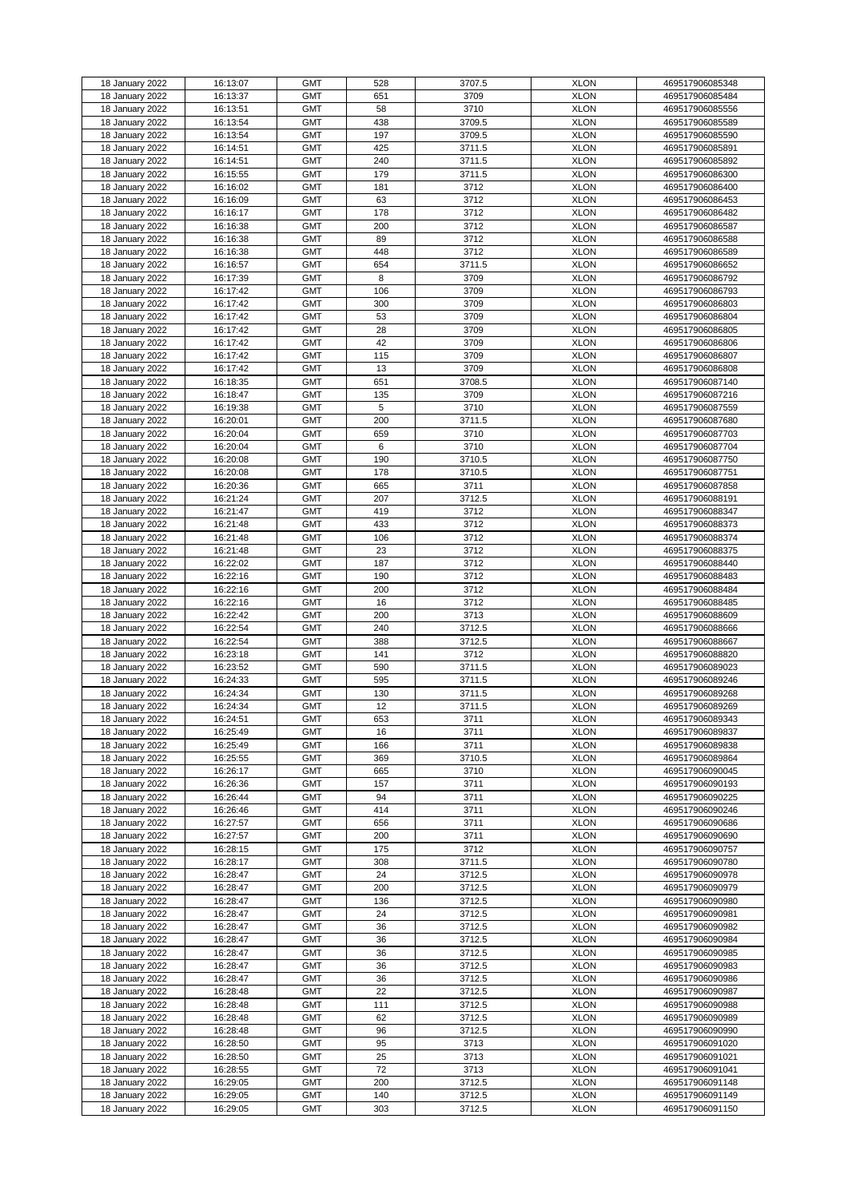| 18 January 2022 | 16:13:07 | <b>GMT</b> | 528 | 3707.5 | <b>XLON</b> | 469517906085348 |
|-----------------|----------|------------|-----|--------|-------------|-----------------|
| 18 January 2022 | 16:13:37 | <b>GMT</b> | 651 | 3709   | <b>XLON</b> | 469517906085484 |
|                 |          |            |     |        |             |                 |
| 18 January 2022 | 16:13:51 | <b>GMT</b> | 58  | 3710   | <b>XLON</b> | 469517906085556 |
| 18 January 2022 | 16:13:54 | <b>GMT</b> | 438 | 3709.5 | <b>XLON</b> | 469517906085589 |
| 18 January 2022 | 16:13:54 | <b>GMT</b> | 197 | 3709.5 | <b>XLON</b> | 469517906085590 |
|                 |          |            |     |        |             |                 |
| 18 January 2022 | 16:14:51 | <b>GMT</b> | 425 | 3711.5 | <b>XLON</b> | 469517906085891 |
| 18 January 2022 | 16:14:51 | <b>GMT</b> | 240 | 3711.5 | <b>XLON</b> | 469517906085892 |
| 18 January 2022 | 16:15:55 | <b>GMT</b> | 179 | 3711.5 | <b>XLON</b> | 469517906086300 |
|                 |          |            |     |        |             |                 |
| 18 January 2022 | 16:16:02 | <b>GMT</b> | 181 | 3712   | <b>XLON</b> | 469517906086400 |
| 18 January 2022 | 16:16:09 | <b>GMT</b> | 63  | 3712   | <b>XLON</b> | 469517906086453 |
|                 |          |            |     |        |             |                 |
| 18 January 2022 | 16:16:17 | <b>GMT</b> | 178 | 3712   | <b>XLON</b> | 469517906086482 |
| 18 January 2022 | 16:16:38 | <b>GMT</b> | 200 | 3712   | <b>XLON</b> | 469517906086587 |
| 18 January 2022 | 16:16:38 | <b>GMT</b> | 89  | 3712   | <b>XLON</b> | 469517906086588 |
|                 |          |            |     |        |             |                 |
| 18 January 2022 | 16:16:38 | <b>GMT</b> | 448 | 3712   | <b>XLON</b> | 469517906086589 |
| 18 January 2022 | 16:16:57 | <b>GMT</b> | 654 | 3711.5 | <b>XLON</b> | 469517906086652 |
| 18 January 2022 | 16:17:39 | <b>GMT</b> | 8   | 3709   | <b>XLON</b> |                 |
|                 |          |            |     |        |             | 469517906086792 |
| 18 January 2022 | 16:17:42 | <b>GMT</b> | 106 | 3709   | <b>XLON</b> | 469517906086793 |
| 18 January 2022 | 16:17:42 | <b>GMT</b> | 300 | 3709   | <b>XLON</b> | 469517906086803 |
|                 |          |            |     |        |             |                 |
| 18 January 2022 | 16:17:42 | <b>GMT</b> | 53  | 3709   | <b>XLON</b> | 469517906086804 |
| 18 January 2022 | 16:17:42 | <b>GMT</b> | 28  | 3709   | <b>XLON</b> | 469517906086805 |
| 18 January 2022 | 16:17:42 | <b>GMT</b> | 42  | 3709   | <b>XLON</b> | 469517906086806 |
|                 |          |            |     |        |             |                 |
| 18 January 2022 | 16:17:42 | <b>GMT</b> | 115 | 3709   | <b>XLON</b> | 469517906086807 |
| 18 January 2022 | 16:17:42 | <b>GMT</b> | 13  | 3709   | <b>XLON</b> | 469517906086808 |
|                 | 16:18:35 | <b>GMT</b> | 651 |        | <b>XLON</b> |                 |
| 18 January 2022 |          |            |     | 3708.5 |             | 469517906087140 |
| 18 January 2022 | 16:18:47 | <b>GMT</b> | 135 | 3709   | <b>XLON</b> | 469517906087216 |
| 18 January 2022 | 16:19:38 | <b>GMT</b> | 5   | 3710   | <b>XLON</b> | 469517906087559 |
|                 |          |            |     |        |             |                 |
| 18 January 2022 | 16:20:01 | <b>GMT</b> | 200 | 3711.5 | <b>XLON</b> | 469517906087680 |
| 18 January 2022 | 16:20:04 | <b>GMT</b> | 659 | 3710   | <b>XLON</b> | 469517906087703 |
|                 |          |            |     |        |             |                 |
| 18 January 2022 | 16:20:04 | <b>GMT</b> | 6   | 3710   | <b>XLON</b> | 469517906087704 |
| 18 January 2022 | 16:20:08 | <b>GMT</b> | 190 | 3710.5 | <b>XLON</b> | 469517906087750 |
| 18 January 2022 | 16:20:08 | <b>GMT</b> | 178 | 3710.5 | <b>XLON</b> | 469517906087751 |
|                 |          |            |     |        |             |                 |
| 18 January 2022 | 16:20:36 | <b>GMT</b> | 665 | 3711   | <b>XLON</b> | 469517906087858 |
| 18 January 2022 | 16:21:24 | <b>GMT</b> | 207 | 3712.5 | <b>XLON</b> | 469517906088191 |
| 18 January 2022 | 16:21:47 | <b>GMT</b> | 419 | 3712   | <b>XLON</b> | 469517906088347 |
|                 |          |            |     |        |             |                 |
| 18 January 2022 | 16:21:48 | <b>GMT</b> | 433 | 3712   | <b>XLON</b> | 469517906088373 |
| 18 January 2022 | 16:21:48 | <b>GMT</b> | 106 | 3712   | <b>XLON</b> | 469517906088374 |
|                 |          |            |     |        |             |                 |
| 18 January 2022 | 16:21:48 | <b>GMT</b> | 23  | 3712   | <b>XLON</b> | 469517906088375 |
| 18 January 2022 | 16:22:02 | <b>GMT</b> | 187 | 3712   | <b>XLON</b> | 469517906088440 |
| 18 January 2022 | 16:22:16 | <b>GMT</b> | 190 | 3712   | <b>XLON</b> | 469517906088483 |
|                 |          |            |     |        |             |                 |
| 18 January 2022 | 16:22:16 | <b>GMT</b> | 200 | 3712   | <b>XLON</b> | 469517906088484 |
| 18 January 2022 | 16:22:16 | <b>GMT</b> | 16  | 3712   | <b>XLON</b> | 469517906088485 |
|                 |          |            |     |        |             |                 |
| 18 January 2022 | 16:22:42 | <b>GMT</b> | 200 | 3713   | <b>XLON</b> | 469517906088609 |
| 18 January 2022 | 16:22:54 | <b>GMT</b> | 240 | 3712.5 | <b>XLON</b> | 469517906088666 |
| 18 January 2022 | 16:22:54 | <b>GMT</b> | 388 | 3712.5 | <b>XLON</b> | 469517906088667 |
|                 |          |            |     |        |             |                 |
| 18 January 2022 | 16:23:18 | <b>GMT</b> | 141 | 3712   | <b>XLON</b> | 469517906088820 |
| 18 January 2022 | 16:23:52 | <b>GMT</b> | 590 | 3711.5 | <b>XLON</b> | 469517906089023 |
|                 |          |            |     |        |             |                 |
| 18 January 2022 | 16:24:33 | <b>GMT</b> | 595 | 3711.5 | <b>XLON</b> | 469517906089246 |
| 18 January 2022 | 16:24:34 | <b>GMT</b> | 130 | 3711.5 | <b>XLON</b> | 469517906089268 |
| 18 January 2022 | 16:24:34 | <b>GMT</b> | 12  | 3711.5 | <b>XLON</b> | 469517906089269 |
|                 |          |            |     |        |             |                 |
| 18 January 2022 | 16:24:51 | <b>GMT</b> | 653 | 3711   | <b>XLON</b> | 469517906089343 |
| 18 January 2022 | 16:25:49 | <b>GMT</b> | 16  | 3711   | <b>XLON</b> | 469517906089837 |
| 18 January 2022 | 16:25:49 | <b>GMT</b> | 166 | 3711   | <b>XLON</b> | 469517906089838 |
|                 |          |            |     |        |             |                 |
| 18 January 2022 | 16:25:55 | <b>GMT</b> | 369 | 3710.5 | <b>XLON</b> | 469517906089864 |
| 18 January 2022 | 16:26:17 | <b>GMT</b> | 665 | 3710   | <b>XLON</b> | 469517906090045 |
|                 |          |            |     |        |             |                 |
| 18 January 2022 | 16:26:36 | <b>GMT</b> | 157 | 3711   | <b>XLON</b> | 469517906090193 |
| 18 January 2022 | 16:26:44 | <b>GMT</b> | 94  | 3711   | <b>XLON</b> | 469517906090225 |
| 18 January 2022 | 16:26:46 | <b>GMT</b> | 414 | 3711   | <b>XLON</b> | 469517906090246 |
|                 |          |            |     |        |             |                 |
| 18 January 2022 | 16:27:57 | <b>GMT</b> | 656 | 3711   | <b>XLON</b> | 469517906090686 |
| 18 January 2022 | 16:27:57 | <b>GMT</b> | 200 | 3711   | <b>XLON</b> | 469517906090690 |
| 18 January 2022 | 16:28:15 | <b>GMT</b> | 175 | 3712   | <b>XLON</b> | 469517906090757 |
|                 |          |            |     |        |             |                 |
| 18 January 2022 | 16:28:17 | <b>GMT</b> | 308 | 3711.5 | <b>XLON</b> | 469517906090780 |
| 18 January 2022 | 16:28:47 | <b>GMT</b> | 24  | 3712.5 | <b>XLON</b> | 469517906090978 |
| 18 January 2022 | 16:28:47 | <b>GMT</b> | 200 | 3712.5 | <b>XLON</b> | 469517906090979 |
|                 |          |            |     |        |             |                 |
| 18 January 2022 | 16:28:47 | <b>GMT</b> | 136 | 3712.5 | <b>XLON</b> | 469517906090980 |
| 18 January 2022 | 16:28:47 | <b>GMT</b> | 24  | 3712.5 | <b>XLON</b> | 469517906090981 |
|                 |          |            |     |        |             |                 |
| 18 January 2022 | 16:28:47 | <b>GMT</b> | 36  | 3712.5 | <b>XLON</b> | 469517906090982 |
| 18 January 2022 | 16:28:47 | <b>GMT</b> | 36  | 3712.5 | <b>XLON</b> | 469517906090984 |
| 18 January 2022 | 16:28:47 | <b>GMT</b> | 36  | 3712.5 | <b>XLON</b> | 469517906090985 |
|                 |          |            |     |        |             |                 |
| 18 January 2022 | 16:28:47 | <b>GMT</b> | 36  | 3712.5 | <b>XLON</b> | 469517906090983 |
| 18 January 2022 | 16:28:47 | <b>GMT</b> | 36  | 3712.5 | <b>XLON</b> | 469517906090986 |
|                 |          |            | 22  |        |             |                 |
| 18 January 2022 | 16:28:48 | <b>GMT</b> |     | 3712.5 | <b>XLON</b> | 469517906090987 |
| 18 January 2022 | 16:28:48 | <b>GMT</b> | 111 | 3712.5 | <b>XLON</b> | 469517906090988 |
| 18 January 2022 | 16:28:48 | <b>GMT</b> | 62  | 3712.5 | <b>XLON</b> | 469517906090989 |
|                 |          |            |     |        |             |                 |
| 18 January 2022 | 16:28:48 | <b>GMT</b> | 96  | 3712.5 | <b>XLON</b> | 469517906090990 |
| 18 January 2022 | 16:28:50 | <b>GMT</b> | 95  | 3713   | <b>XLON</b> | 469517906091020 |
| 18 January 2022 | 16:28:50 | <b>GMT</b> | 25  | 3713   | <b>XLON</b> | 469517906091021 |
|                 |          |            |     |        |             |                 |
| 18 January 2022 | 16:28:55 | <b>GMT</b> | 72  | 3713   | <b>XLON</b> | 469517906091041 |
| 18 January 2022 | 16:29:05 | <b>GMT</b> | 200 | 3712.5 | <b>XLON</b> | 469517906091148 |
|                 |          |            |     |        |             |                 |
| 18 January 2022 | 16:29:05 | <b>GMT</b> | 140 | 3712.5 | <b>XLON</b> | 469517906091149 |
| 18 January 2022 | 16:29:05 | <b>GMT</b> | 303 | 3712.5 | <b>XLON</b> | 469517906091150 |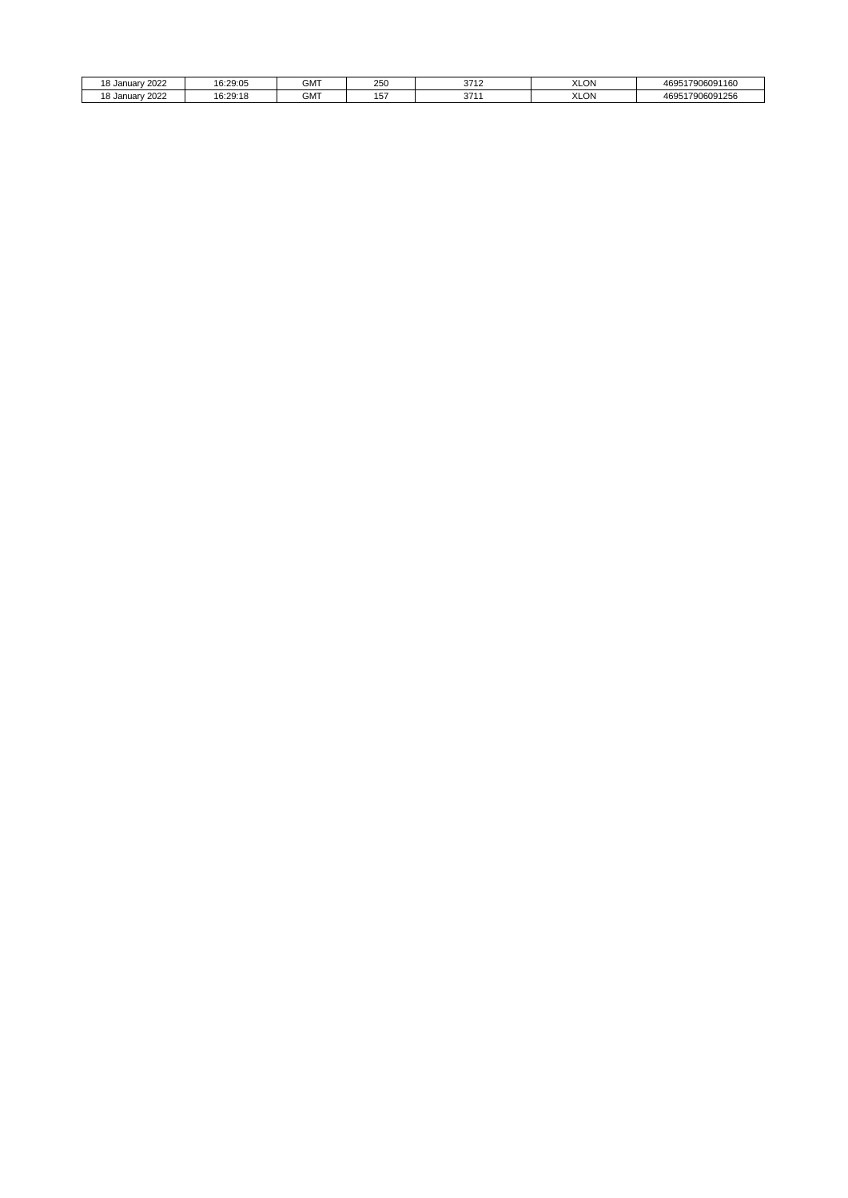| . റ<br>2022<br>d Januar ، | 16:29:05              | <b>GMT</b> | $\sim$ $\sim$ $\sim$<br>250 | 2740<br>ິ<br>. .      | <b>XLON</b> | 17906091160<br>AGO<br>エロー |
|---------------------------|-----------------------|------------|-----------------------------|-----------------------|-------------|---------------------------|
| 2022<br>ה ו<br>.8 Januar  | 16.20.15<br>10.29. IC | GMT        | $\cdot$ $-$<br>. .<br>שו    | 271 <sub>2</sub><br>ີ | <b>XLON</b> | 517906091256<br>AGO<br>.  |